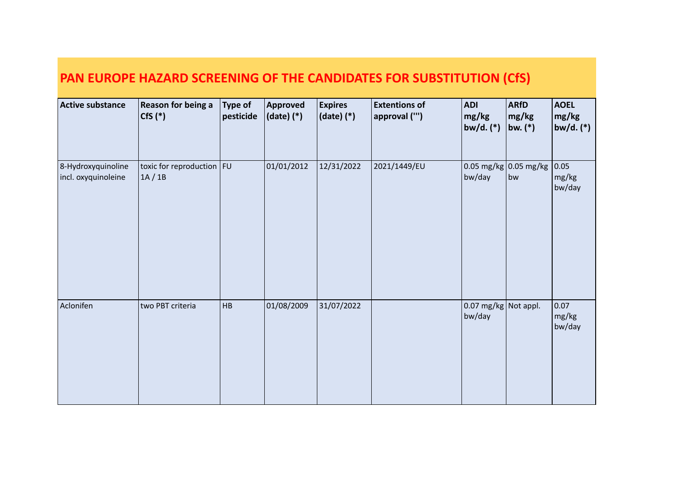| Active substance                          | Reason for being a<br>$Cfs$ $(*)$      | <b>Type of</b><br>pesticide | <b>Approved</b><br>$(data)$ $(*)$ | <b>Expires</b><br>(date) (*) | <b>Extentions of</b><br>approval ("") | <b>ADI</b><br>mg/kg<br>bw/d. $(*)$ | <b>ARfD</b><br>mg/kg<br> bw. (*) | <b>AOEL</b><br>mg/kg<br>bw/d. $(*)$ |
|-------------------------------------------|----------------------------------------|-----------------------------|-----------------------------------|------------------------------|---------------------------------------|------------------------------------|----------------------------------|-------------------------------------|
| 8-Hydroxyquinoline<br>incl. oxyquinoleine | toxic for reproduction $ FU $<br>1A/1B |                             | 01/01/2012                        | 12/31/2022                   | 2021/1449/EU                          | $0.05$ mg/kg<br>bw/day             | $\vert$ 0.05 mg/kg<br>bw         | 0.05 <br>mg/kg<br>bw/day            |
| Aclonifen                                 | two PBT criteria                       | HB                          | 01/08/2009                        | 31/07/2022                   |                                       | $0.07$ mg/kg<br>bw/day             | Not appl.                        | 0.07<br>mg/kg<br>bw/day             |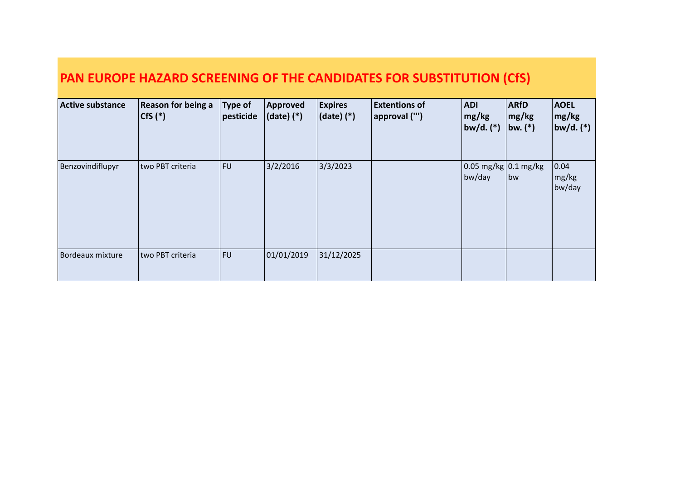| <b>Active substance</b> | Reason for being a<br>$ Cfs(*)$ | <b>Type of</b><br>pesticide | Approved<br>$(date)$ $(*)$ | <b>Expires</b><br>$ $ (date) $(*)$ | <b>Extentions of</b><br>approval ("') | <b>ADI</b><br>mg/kg<br>$ bw/d.$ $(*)$          | <b>ARfD</b><br>mg/kg<br>bw. $(*)$ | <b>AOEL</b><br>$\lfloor$ mg/kg<br> bw/d. (*) |
|-------------------------|---------------------------------|-----------------------------|----------------------------|------------------------------------|---------------------------------------|------------------------------------------------|-----------------------------------|----------------------------------------------|
| Benzovindiflupyr        | two PBT criteria                | FU                          | 3/2/2016                   | 3/3/2023                           |                                       | $\log \log \log  0.1 \text{ mg/kg} $<br>bw/day | bw                                | 0.04 <br>$\lfloor$ mg/kg<br>bw/day           |
| Bordeaux mixture        | two PBT criteria                | FU                          | 01/01/2019                 | 31/12/2025                         |                                       |                                                |                                   |                                              |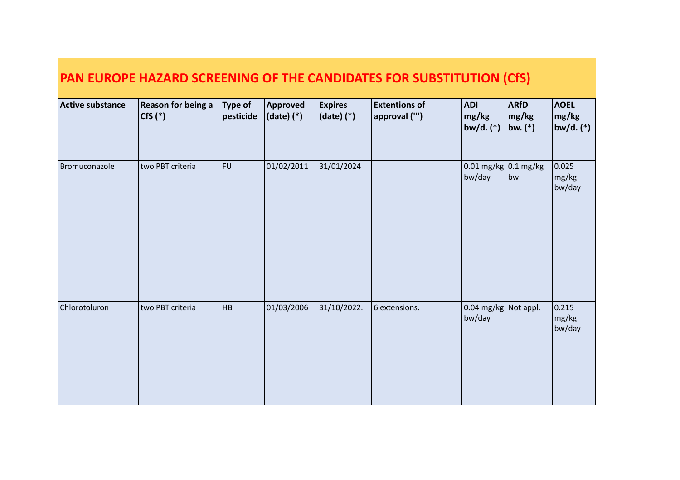| PAN EUROPE HAZARD SCREENING OF THE CANDIDATES FOR SUBSTITUTION (CfS) |  |
|----------------------------------------------------------------------|--|
|----------------------------------------------------------------------|--|

| <b>Active substance</b> | <b>Reason for being a</b><br>$Cfs$ $(*)$ | Type of<br>pesticide | <b>Approved</b><br>$ $ (date) $(*)$ | <b>Expires</b><br>(date) (*) | <b>Extentions of</b><br>approval ("') | <b>ADI</b><br>mg/kg<br> bw/d. (*)         | <b>ARfD</b><br> mg/kg <br>bw. $(*)$ | <b>AOEL</b><br>mg/kg<br> bw/d. (*) |
|-------------------------|------------------------------------------|----------------------|-------------------------------------|------------------------------|---------------------------------------|-------------------------------------------|-------------------------------------|------------------------------------|
| Bromuconazole           | two PBT criteria                         | <b>FU</b>            | 01/02/2011                          | 31/01/2024                   |                                       | $0.01 \,\text{mg/kg}$ 0.1 mg/kg<br>bw/day | bw                                  | 0.025<br>mg/kg<br>bw/day           |
| Chlorotoluron           | two PBT criteria                         | HB                   | 01/03/2006                          | 31/10/2022.                  | 6 extensions.                         | $\log$ mg/kg Not appl.<br>bw/day          |                                     | 0.215<br>mg/kg<br>bw/day           |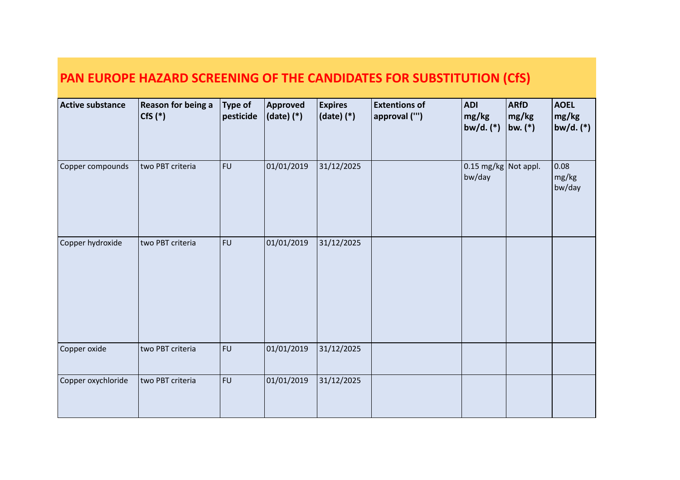| Active substance   | Reason for being a<br>$Cfs$ $(*)$ | <b>Type of</b><br>pesticide | Approved<br>$(data)$ $(*)$ | <b>Expires</b><br>(date) (*) | <b>Extentions of</b><br>approval ("') | <b>ADI</b><br>mg/kg<br>bw/d. (*)       | <b>ARfD</b><br>mg/kg<br>bw. $(*)$ | <b>AOEL</b><br>mg/kg<br>bw/d. $(*)$ |
|--------------------|-----------------------------------|-----------------------------|----------------------------|------------------------------|---------------------------------------|----------------------------------------|-----------------------------------|-------------------------------------|
| Copper compounds   | two PBT criteria                  | <b>FU</b>                   | 01/01/2019                 | 31/12/2025                   |                                       | $\vert$ 0.15 mg/kg Not appl.<br>bw/day |                                   | 0.08<br>mg/kg<br>bw/day             |
| Copper hydroxide   | two PBT criteria                  | <b>FU</b>                   | 01/01/2019                 | 31/12/2025                   |                                       |                                        |                                   |                                     |
| Copper oxide       | two PBT criteria                  | <b>FU</b>                   | 01/01/2019                 | 31/12/2025                   |                                       |                                        |                                   |                                     |
| Copper oxychloride | two PBT criteria                  | FU                          | 01/01/2019                 | 31/12/2025                   |                                       |                                        |                                   |                                     |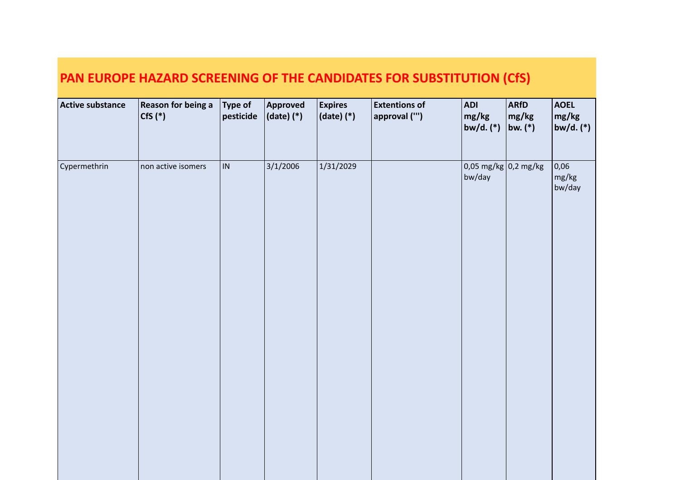| <b>Active substance</b> | <b>Reason for being a</b><br>$Cfs$ $(*)$ | $\sqrt{ }$ Type of<br>$ $ pesticide | Approved<br>$ $ (date) $(*)$ | <b>Expires</b><br>$(date)$ $(*)$ | <b>Extentions of</b><br>approval ("') | <b>ADI</b><br>mg/kg<br>$b$ w/d. $(*)$    | <b>ARfD</b><br>mg/kg<br>$ $ bw. $(*)$ | <b>AOEL</b><br>mg/kg<br>$ $ bw/d. (*) |
|-------------------------|------------------------------------------|-------------------------------------|------------------------------|----------------------------------|---------------------------------------|------------------------------------------|---------------------------------------|---------------------------------------|
| Cypermethrin            | non active isomers                       | IN.                                 | 3/1/2006                     | 1/31/2029                        |                                       | $0.05 \text{ mg/kg}$ 0.2 mg/kg<br>bw/day |                                       | 0,06 <br>mg/kg<br>bw/day              |
|                         |                                          |                                     |                              |                                  |                                       |                                          |                                       |                                       |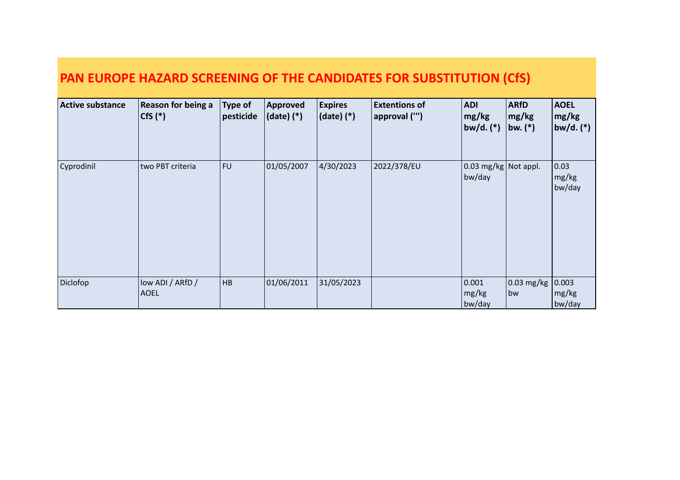| <b>Active substance</b> | <b>Reason for being a</b><br>$ CfS(*)$ | <b>Type of</b><br>pesticide | Approved<br>$(data)$ $(*)$ | <b>Expires</b><br>$ $ (date) $(*)$ | <b>Extentions of</b><br>approval ("') | <b>ADI</b><br>mg/kg<br>$ bw/d.$ $(*)$    | <b>ARfD</b><br>mg/kg<br> bw. (*) | <b>AOEL</b><br>$\lfloor \mathsf{mg/kg} \rfloor$<br> bw/d. (*) |
|-------------------------|----------------------------------------|-----------------------------|----------------------------|------------------------------------|---------------------------------------|------------------------------------------|----------------------------------|---------------------------------------------------------------|
| Cyprodinil              | two PBT criteria                       | <b>FU</b>                   | 01/05/2007                 | 4/30/2023                          | 2022/378/EU                           | $0.03 \text{ mg/kg}$ Not appl.<br>bw/day |                                  | 0.03<br>mg/kg<br>bw/day                                       |
| Diclofop                | low ADI / ARfD /<br> AOEL              | HB                          | 01/06/2011                 | 31/05/2023                         |                                       | 0.001<br>mg/kg<br>bw/day                 | $\vert$ 0.03 mg/kg<br>bw         | 0.003<br>mg/kg<br>bw/day                                      |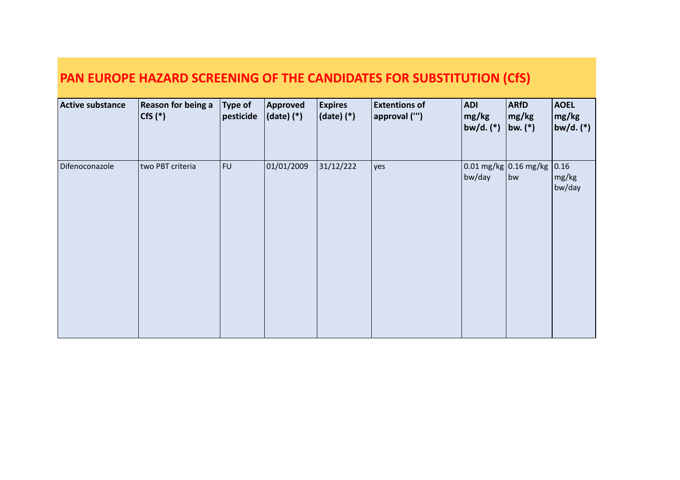| <b>Active substance</b> | Reason for being a<br>$\vert$ CfS $(*)$ | Type of<br>pesticide | Approved<br>$ $ (date) $(*)$ | <b>Expires</b><br>$ $ (date) $(*)$ | <b>Extentions of</b><br>approval ("') | <b>ADI</b><br>mg/kg<br> bw/d. (*)      | <b>ARfD</b><br>mg/kg<br>$ $ bw. $(*)$ | <b>AOEL</b><br> mg/kg <br> bw/d. (*) |
|-------------------------|-----------------------------------------|----------------------|------------------------------|------------------------------------|---------------------------------------|----------------------------------------|---------------------------------------|--------------------------------------|
| Difenoconazole          | two PBT criteria                        | FU                   | 01/01/2009                   | 31/12/222                          | yes                                   | $\log$ 0.01 mg/kg 0.16 mg/kg<br>bw/day | bw                                    | 0.16 <br>mg/kg<br>bw/day             |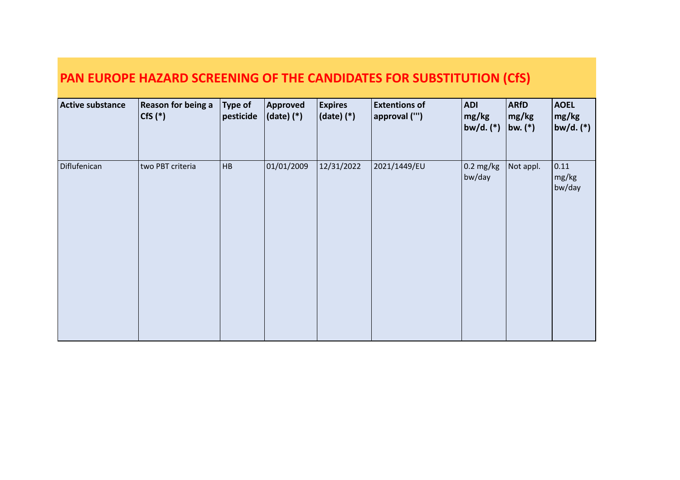| <b>Active substance</b> | <b>Reason for being a</b><br>$Cfs$ $(*)$ | $\vert$ Type of<br>pesticide | Approved<br>$ $ (date) $(*)$ | <b>Expires</b><br>$ $ (date) (*) | <b>Extentions of</b><br>approval ("') | <b>ADI</b><br>mg/kg<br>$ b$ w/d. $(*)$ | <b>ARfD</b><br>mg/kg<br>$ bw_{\cdot} ^*$ | <b>AOEL</b><br>mg/kg<br> bw/d. (*) |
|-------------------------|------------------------------------------|------------------------------|------------------------------|----------------------------------|---------------------------------------|----------------------------------------|------------------------------------------|------------------------------------|
| Diflufenican            | two PBT criteria                         | HB                           | 01/01/2009                   | 12/31/2022                       | 2021/1449/EU                          | $\vert$ 0.2 mg/kg<br>bw/day            | Not appl.                                | 0.11<br>mg/kg<br>bw/day            |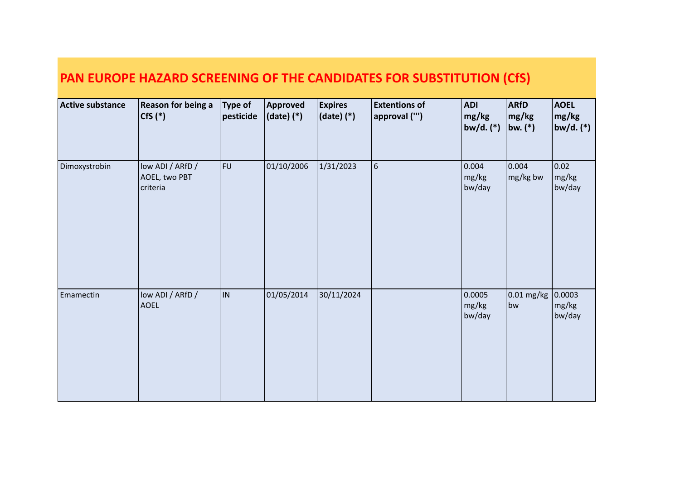| <b>Active substance</b> | <b>Reason for being a</b><br>$Cfs$ $(*)$      | Type of<br>pesticide | Approved<br>$(date)$ $(*)$ | <b>Expires</b><br>$ $ (date) $(*)$ | <b>Extentions of</b><br>approval ("') | <b>ADI</b><br>mg/kg<br> bw/d. (*) | <b>ARfD</b><br>mg/kg<br>bw. $(*)$ | <b>AOEL</b><br>mg/kg<br>$bw/d.$ $(*)$ |
|-------------------------|-----------------------------------------------|----------------------|----------------------------|------------------------------------|---------------------------------------|-----------------------------------|-----------------------------------|---------------------------------------|
| Dimoxystrobin           | low ADI / ARfD /<br>AOEL, two PBT<br>criteria | <b>FU</b>            | 01/10/2006                 | 1/31/2023                          | $\sqrt{6}$                            | 0.004<br>mg/kg<br>bw/day          | 0.004<br>mg/kg bw                 | 0.02<br>mg/kg<br>bw/day               |
| Emamectin               | low ADI / ARfD /<br><b>AOEL</b>               | IN                   | 01/05/2014                 | 30/11/2024                         |                                       | 0.0005<br>mg/kg<br>bw/day         | 0.01 mg/kg<br>bw                  | 0.0003 <br>mg/kg<br>bw/day            |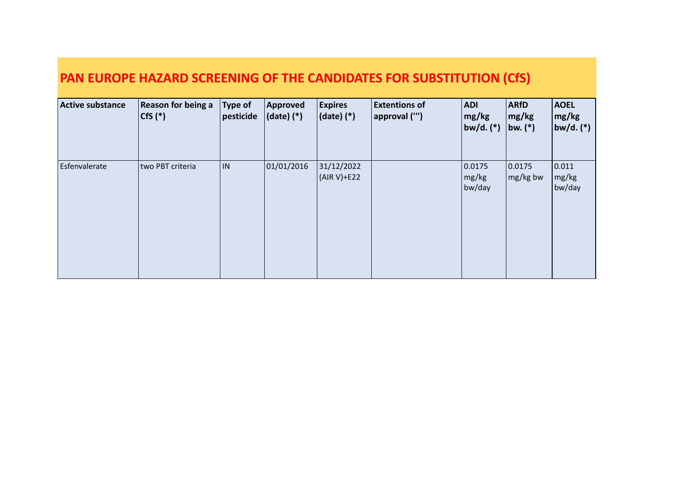| <b>Active substance</b> | Reason for being a<br>$ CfS(*)$ | $\vert$ Type of<br>pesticide | Approved<br>$ $ (date) $(*)$ | <b>Expires</b><br>$ $ (date) $(*)$ | <b>Extentions of</b><br> approval ("') | <b>ADI</b><br>mg/kg<br>$ bw/d.$ $(*)$ | <b>ARfD</b><br> mg/kg <br>bw. $(*)$ | <b>AOEL</b><br>mg/kg<br>$ bw/d.$ $(*)$ |
|-------------------------|---------------------------------|------------------------------|------------------------------|------------------------------------|----------------------------------------|---------------------------------------|-------------------------------------|----------------------------------------|
| Esfenvalerate           | two PBT criteria                | IN.                          | 01/01/2016                   | 31/12/2022<br>(AIR V)+E22          |                                        | 0.0175<br>mg/kg<br>bw/day             | 0.0175<br>$mg/kg$ bw                | 0.011 <br>mg/kg<br>bw/day              |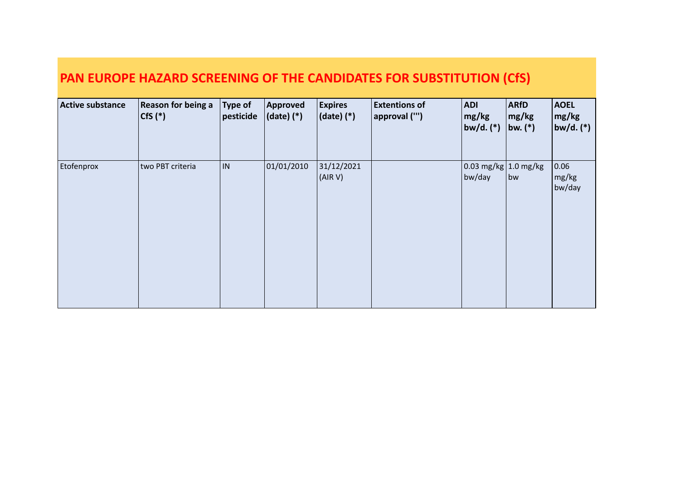| Active substance | <b>Reason for being a</b><br>$\vert$ CfS $(*)$ | <b>Type of</b><br>pesticide | Approved<br>$ $ (date) $(*)$ | <b>Expires</b><br>$ $ (date) $(*)$ | <b>Extentions of</b><br>approval ("') | ADI <br>mg/kg<br> bw/d. (*)           | <b>ARfD</b><br>mg/kg<br>$ $ bw. $(*)$ | <b>AOEL</b><br>$\lfloor \mathsf{mg/kg} \rfloor$<br>$ $ bw/d. (*) $ $ |
|------------------|------------------------------------------------|-----------------------------|------------------------------|------------------------------------|---------------------------------------|---------------------------------------|---------------------------------------|----------------------------------------------------------------------|
| Etofenprox       | two PBT criteria                               | IN.                         | 01/01/2010                   | 31/12/2021<br>(AIR V)              |                                       | $\log$ 0.03 mg/kg 1.0 mg/kg<br>bw/day | bw                                    | 0.06 <br>$\lfloor$ mg/kg<br>bw/day                                   |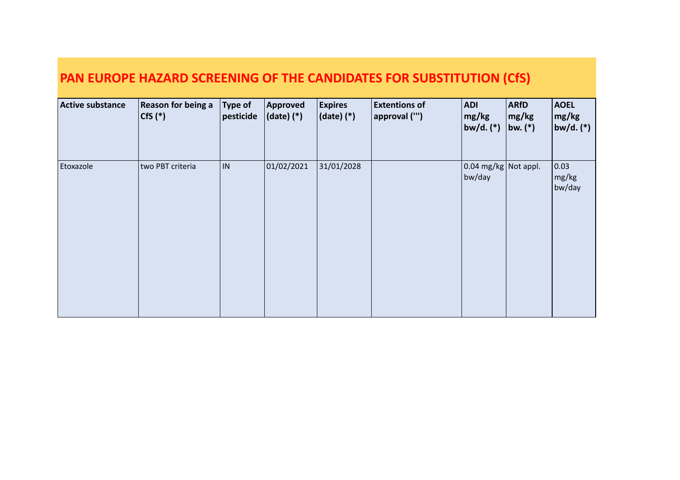| <b>Active substance</b> | <b>Reason for being a</b><br>$\vert$ CfS $(*)$ | <b>Type of</b><br>pesticide | Approved<br>$ $ (date) $(*)$ | <b>Expires</b><br>$ $ (date) $(*)$ | <b>Extentions of</b><br>approval ("') | ADI <br>mg/kg<br> bw/d. (*)                    | <b>ARfD</b><br>mg/kg<br>bw. $(*)$ | <b>AOEL</b><br> mg/kg <br>$ $ bw/d. (*) $ $ |
|-------------------------|------------------------------------------------|-----------------------------|------------------------------|------------------------------------|---------------------------------------|------------------------------------------------|-----------------------------------|---------------------------------------------|
| Etoxazole               | two PBT criteria                               | IN.                         | 01/02/2021                   | 31/01/2028                         |                                       | $\vert$ 0.04 mg/kg $\vert$ Not appl.<br>bw/day |                                   | 0.03 <br>$\lfloor$ mg/kg<br>bw/day          |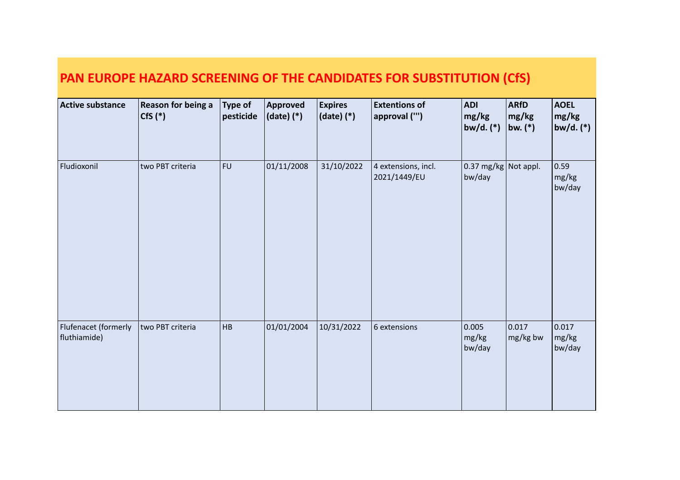| <b>Active substance</b>              | <b>Reason for being a</b><br>$Cfs$ $(*)$ | <b>Type of</b><br>pesticide | <b>Approved</b><br>$ $ (date) $(*)$ | <b>Expires</b><br>$ $ (date) $(*)$ | <b>Extentions of</b><br>approval ("') | <b>ADI</b><br>mg/kg<br>bw/d. $(*)$     | <b>ARfD</b><br>mg/kg<br>bw. $(*)$ | <b>AOEL</b><br>mg/kg<br>bw/d. $(*)$ |
|--------------------------------------|------------------------------------------|-----------------------------|-------------------------------------|------------------------------------|---------------------------------------|----------------------------------------|-----------------------------------|-------------------------------------|
| Fludioxonil                          | two PBT criteria                         | <b>FU</b>                   | 01/11/2008                          | 31/10/2022                         | 4 extensions, incl.<br>2021/1449/EU   | $\vert$ 0.37 mg/kg Not appl.<br>bw/day |                                   | 0.59 <br>mg/kg<br>bw/day            |
| Flufenacet (formerly<br>fluthiamide) | two PBT criteria                         | <b>HB</b>                   | 01/01/2004                          | 10/31/2022                         | 6 extensions                          | 0.005<br>mg/kg<br>bw/day               | 0.017<br>mg/kg bw                 | 0.017<br>mg/kg<br>bw/day            |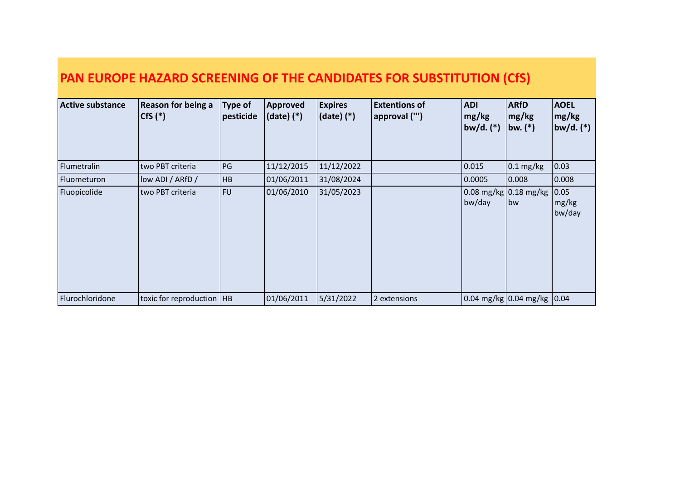1A / 1B

| <b>Active substance</b> | <b>Reason for being a</b><br>$ CfS(*)$ | <b>Type of</b><br>pesticide | Approved<br>$(date)$ $(*)$ | <b>Expires</b><br>$ $ (date) $(*)$ | <b>Extentions of</b><br>approval ("') | <b>ADI</b><br>mg/kg<br> bw/d. (*) | <b>ARfD</b><br>mg/kg<br>bw. $(*)$ | <b>AOEL</b><br>$\lfloor$ mg/kg<br> bw/d. (*) |
|-------------------------|----------------------------------------|-----------------------------|----------------------------|------------------------------------|---------------------------------------|-----------------------------------|-----------------------------------|----------------------------------------------|
| Flumetralin             | two PBT criteria                       | PG                          | 11/12/2015                 | 11/12/2022                         |                                       | 0.015                             | $\vert$ 0.1 mg/kg                 | 0.03                                         |
| <b>Fluometuron</b>      | low ADI / ARfD /                       | HB                          | 01/06/2011                 | 31/08/2024                         |                                       | 0.0005                            | 0.008                             | 0.008                                        |
| Fluopicolide            | two PBT criteria                       | <b>FU</b>                   | 01/06/2010                 | 31/05/2023                         |                                       | bw/day                            | bw                                | 0.05 <br>mg/kg<br>bw/day                     |
| Flurochloridone         | toxic for reproduction   HB            |                             | 01/06/2011                 | 5/31/2022                          | 2 extensions                          |                                   | 0.04 mg/kg 0.04 mg/kg 0.04        |                                              |

bw/day

bw

mg/kg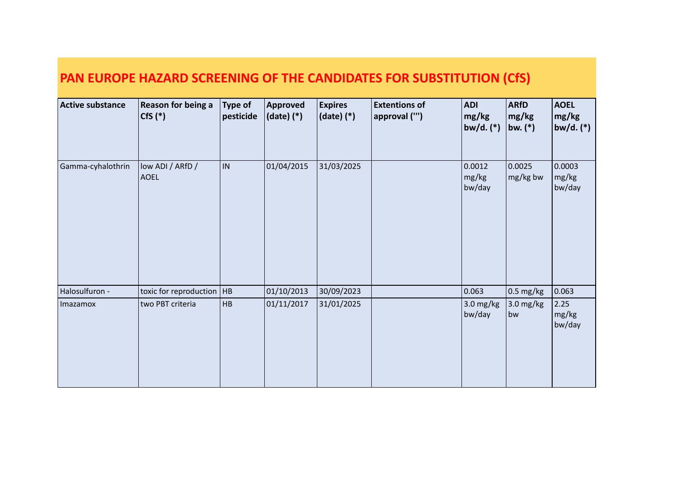| <b>Active substance</b> | Reason for being a<br>$Cfs$ $(*)$ | <b>Type of</b><br>pesticide | Approved<br>$(data)$ $(*)$ | <b>Expires</b><br>(date) (*) | <b>Extentions of</b><br>approval ("') | <b>ADI</b><br>mg/kg<br>$b$ w/d. $(*)$ | <b>ARfD</b><br> mg/kg <br>bw. $(*)$ | <b>AOEL</b><br>mg/kg<br>$ b$ w/d. $(*)$ |
|-------------------------|-----------------------------------|-----------------------------|----------------------------|------------------------------|---------------------------------------|---------------------------------------|-------------------------------------|-----------------------------------------|
| Gamma-cyhalothrin       | low ADI / ARfD /<br><b>AOEL</b>   | IN.                         | 01/04/2015                 | 31/03/2025                   |                                       | 0.0012<br>mg/kg<br>bw/day             | 0.0025<br>mg/kg bw                  | 0.0003<br>mg/kg<br>bw/day               |
| Halosulfuron -          | toxic for reproduction   HB       |                             | 01/10/2013                 | 30/09/2023                   |                                       | 0.063                                 | $\vert$ 0.5 mg/kg                   | 0.063                                   |
| Imazamox                | two PBT criteria                  | <b>HB</b>                   | 01/11/2017                 | 31/01/2025                   |                                       | $3.0$ mg/kg<br>bw/day                 | $3.0$ mg/kg<br>bw                   | 2.25<br>mg/kg<br>bw/day                 |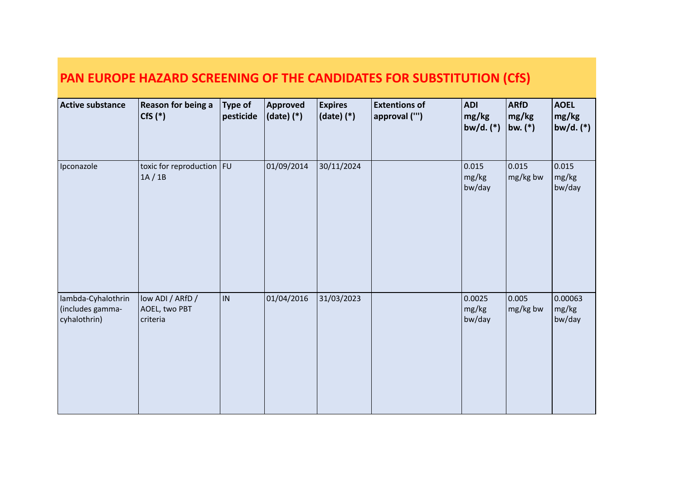| <b>Active substance</b>                                | Reason for being a<br>$Cfs$ $(*)$             | <b>Type of</b><br>pesticide | Approved<br>$ $ (date) $(*)$ | <b>Expires</b><br>$(date)$ $(*)$ | <b>Extentions of</b><br>approval ("') | <b>ADI</b><br>mg/kg<br>bw/d. $(*)$ | <b>ARfD</b><br>mg/kg<br>bw. $(*)$ | <b>AOEL</b><br>mg/kg<br>bw/d. (*) |
|--------------------------------------------------------|-----------------------------------------------|-----------------------------|------------------------------|----------------------------------|---------------------------------------|------------------------------------|-----------------------------------|-----------------------------------|
| Ipconazole                                             | toxic for reproduction $ FU $<br>1A/1B        |                             | 01/09/2014                   | 30/11/2024                       |                                       | 0.015<br>mg/kg<br>bw/day           | 0.015<br>mg/kg bw                 | 0.015<br>mg/kg<br>bw/day          |
| lambda-Cyhalothrin<br>(includes gamma-<br>cyhalothrin) | low ADI / ARfD /<br>AOEL, two PBT<br>criteria | IN                          | 01/04/2016                   | 31/03/2023                       |                                       | 0.0025<br>mg/kg<br>bw/day          | 0.005<br>mg/kg bw                 | 0.00063<br>mg/kg<br>bw/day        |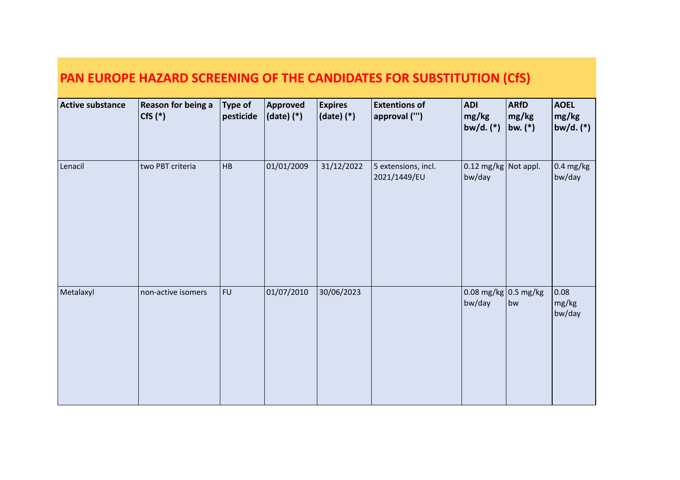|                         | PAN EUROPE HAZARD SCREENING OF THE CANDIDATES FOR SUBSTITUTION (CfS) |                             |                            |                                  |                                       |                                          |                                   |                                     |  |  |  |
|-------------------------|----------------------------------------------------------------------|-----------------------------|----------------------------|----------------------------------|---------------------------------------|------------------------------------------|-----------------------------------|-------------------------------------|--|--|--|
| <b>Active substance</b> | Reason for being a<br>$Cfs$ $(*)$                                    | <b>Type of</b><br>pesticide | Approved<br>$(data)$ $(*)$ | <b>Expires</b><br>$(date)$ $(*)$ | <b>Extentions of</b><br>approval ("') | <b>ADI</b><br>mg/kg<br>bw/d. $(*)$       | <b>ARfD</b><br>mg/kg<br>bw. $(*)$ | <b>AOEL</b><br>mg/kg<br>bw/d. $(*)$ |  |  |  |
| Lenacil                 | two PBT criteria                                                     | <b>HB</b>                   | 01/01/2009                 | 31/12/2022                       | 5 extensions, incl.<br>2021/1449/EU   | $0.12$ mg/kg<br>bw/day                   | Not appl.                         | $0.4 \text{ mg/kg}$<br>bw/day       |  |  |  |
| Metalaxyl               | non-active isomers                                                   | <b>FU</b>                   | 01/07/2010                 | 30/06/2023                       |                                       | $0.08 \text{ mg/kg}$ 0.5 mg/kg<br>bw/day | bw                                | 0.08<br>mg/kg<br>bw/day             |  |  |  |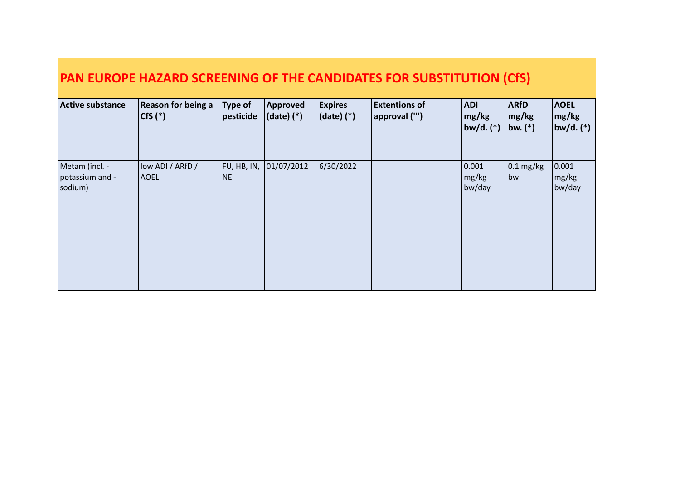| <b>Active substance</b>                      | <b>Reason for being a</b><br>$Cfs$ $(*)$ | <b>Type of</b><br>pesticide | Approved<br>$(date)$ $(*)$ | <b>Expires</b><br>$ $ (date) $(*)$ | <b>Extentions of</b><br>approval ("') | ADI <br>mg/kg<br> bw/d. (*)                        | <b>ARfD</b><br>$\lfloor$ mg/kg<br>bw. $(*)$ | <b>AOEL</b><br>$\lfloor$ mg/kg<br>$ $ bw/d. (*) $ $ |
|----------------------------------------------|------------------------------------------|-----------------------------|----------------------------|------------------------------------|---------------------------------------|----------------------------------------------------|---------------------------------------------|-----------------------------------------------------|
| Metam (incl. -<br>potassium and -<br>sodium) | low ADI / ARfD /<br><b>AOEL</b>          | FU, HB, IN,<br><b>NE</b>    | 01/07/2012                 | 6/30/2022                          |                                       | 0.001 <br>$\lfloor \text{mg/kg} \rfloor$<br>bw/day | $0.1 \text{ mg/kg}$<br>bw                   | 0.001<br>$\lfloor$ mg/kg<br>bw/day                  |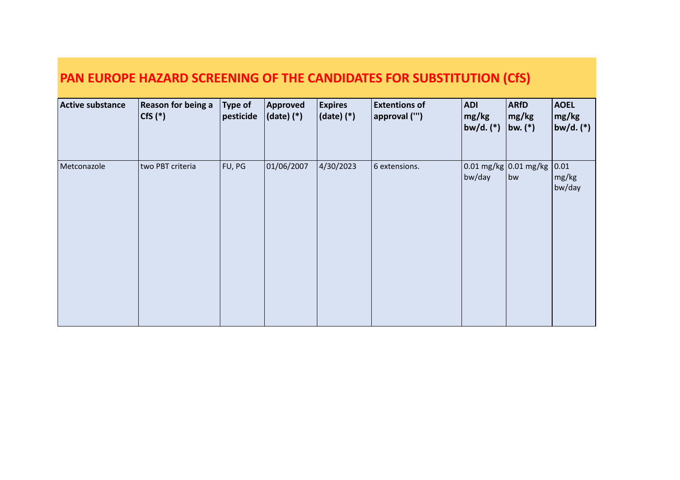| <b>Active substance</b> | <b>Reason for being a</b><br>$Cfs$ $(*)$ | <b>Type of</b><br>pesticide | Approved<br>$(date)$ $(*)$ | <b>Expires</b><br>$ $ (date) $(*)$ | <b>Extentions of</b><br>approval ("') | <b>ADI</b><br>mg/kg<br> bw/d. (*)      | <b>ARfD</b><br> mg/kg <br>bw. $(*)$ | <b>AOEL</b><br> mg/kg <br> bw/d. (*) |
|-------------------------|------------------------------------------|-----------------------------|----------------------------|------------------------------------|---------------------------------------|----------------------------------------|-------------------------------------|--------------------------------------|
| Metconazole             | two PBT criteria                         | FU, PG                      | 01/06/2007                 | 4/30/2023                          | 6 extensions.                         | $\log$ 0.01 mg/kg 0.01 mg/kg<br>bw/day | bw                                  | 0.01 <br>mg/kg<br>bw/day             |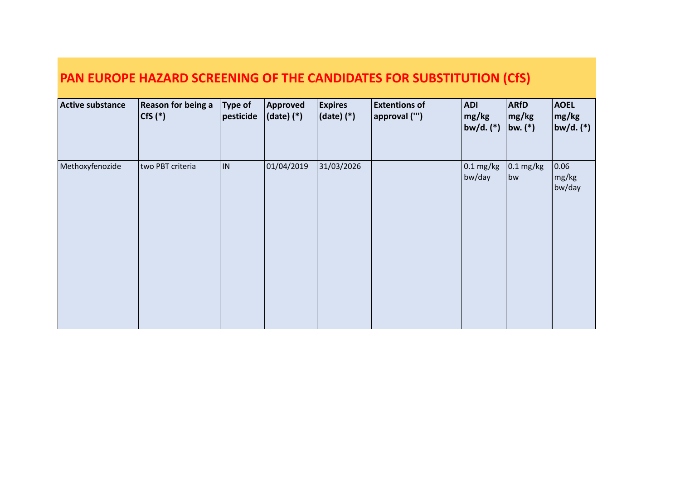| <b>Active substance</b> | <b>Reason for being a</b><br>$ CfS(*)$ | <b>Type of</b><br>pesticide | Approved<br>$(date)$ $(*)$ | <b>Expires</b><br>$ $ (date) $(*)$ | <b>Extentions of</b><br>approval ("') | <b>ADI</b><br>$\lfloor$ mg/kg<br>$ bw/d.$ $(*)$ | <b>ARfD</b><br>mg/kg<br>bw. $(*)$ | <b>AOEL</b><br> mg/kg <br> bw/d. (*) |
|-------------------------|----------------------------------------|-----------------------------|----------------------------|------------------------------------|---------------------------------------|-------------------------------------------------|-----------------------------------|--------------------------------------|
| Methoxyfenozide         | two PBT criteria                       | IN.                         | 01/04/2019                 | 31/03/2026                         |                                       | $0.1 \text{ mg/kg}$<br>bw/day                   | $0.1 \text{ mg/kg}$<br>bw         | 0.06<br>mg/kg<br>bw/day              |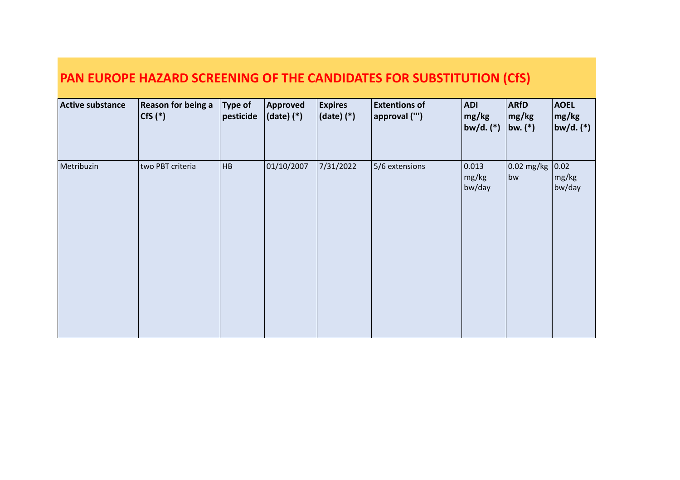| <b>Active substance</b> | <b>Reason for being a</b><br>$Cfs$ $(*)$ | Type of<br>pesticide | Approved<br>(date) (*) | <b>Expires</b><br>(date) (*) | <b>Extentions of</b><br>approval ("') | ADI <br>mg/kg<br>$ b w/d.$ (*) | <b>ARfD</b><br>mg/kg<br>$ bw_{\cdot} ^*$ | <b>AOEL</b><br>mg/kg<br>$ bw/d.$ $(*)$ |
|-------------------------|------------------------------------------|----------------------|------------------------|------------------------------|---------------------------------------|--------------------------------|------------------------------------------|----------------------------------------|
| Metribuzin              | two PBT criteria                         | HB                   | 01/10/2007             | 7/31/2022                    | 5/6 extensions                        | 0.013 <br>mg/kg<br>bw/day      | $\vert$ 0.02 mg/kg<br>bw                 | 0.02 <br>mg/kg<br>bw/day               |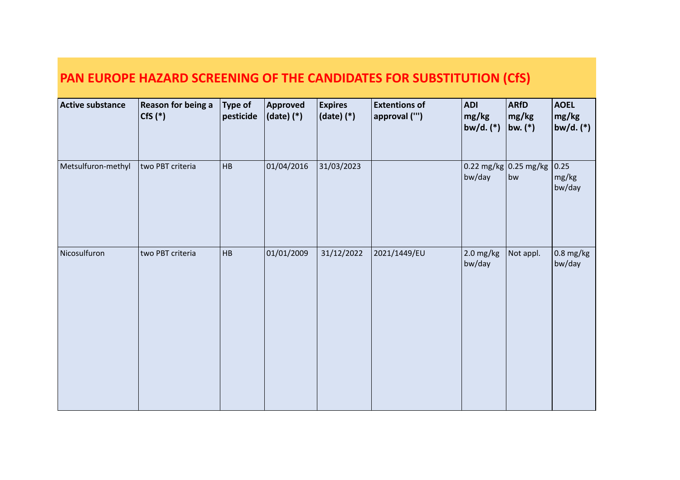| <b>Active substance</b> | <b>Reason for being a</b><br>$Cfs$ $(*)$ | <b>Type of</b><br>pesticide | <b>Approved</b><br>$ $ (date) $(*)$ | <b>Expires</b><br>(date) (*) | <b>Extentions of</b><br>$ $ approval ("') | <b>ADI</b><br>mg/kg<br>bw/d. (*) | <b>ARfD</b><br>mg/kg<br>bw. $(*)$  | <b>AOEL</b><br>mg/kg<br>bw/d. $(*)$ |
|-------------------------|------------------------------------------|-----------------------------|-------------------------------------|------------------------------|-------------------------------------------|----------------------------------|------------------------------------|-------------------------------------|
| Metsulfuron-methyl      | two PBT criteria                         | HB                          | 01/04/2016                          | 31/03/2023                   |                                           | bw/day                           | $\log$ 0.22 mg/kg 0.25 mg/kg<br>bw | 0.25<br>mg/kg<br>bw/day             |
| Nicosulfuron            | two PBT criteria                         | HB                          | 01/01/2009                          | 31/12/2022                   | 2021/1449/EU                              | $2.0$ mg/kg<br>bw/day            | Not appl.                          | $0.8$ mg/kg<br>bw/day               |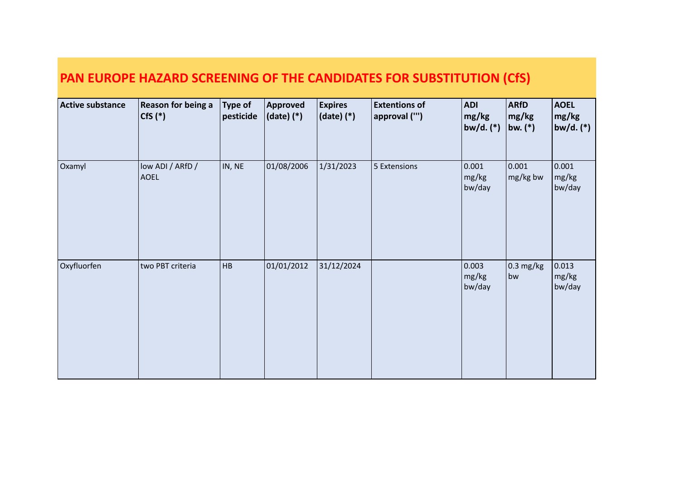| PAN EUROPE HAZARD SCREENING OF THE CANDIDATES FOR SUBSTITUTION (CfS) |  |
|----------------------------------------------------------------------|--|
|                                                                      |  |

| <b>Active substance</b> | Reason for being a<br>$Cfs$ $(*)$ | <b>Type of</b><br>pesticide | Approved<br>$ $ (date) $(*)$ | <b>Expires</b><br>$ $ (date) (*) | <b>Extentions of</b><br>approval ("') | <b>ADI</b><br>mg/kg<br>bw/d. (*) | <b>ARfD</b><br>mg/kg<br>bw. $(*)$ | <b>AOEL</b><br>mg/kg<br>$ bw/d.$ $(*)$ |
|-------------------------|-----------------------------------|-----------------------------|------------------------------|----------------------------------|---------------------------------------|----------------------------------|-----------------------------------|----------------------------------------|
| Oxamyl                  | low ADI / ARfD /<br><b>AOEL</b>   | IN, NE                      | 01/08/2006                   | 1/31/2023                        | 5 Extensions                          | 0.001<br>mg/kg<br>bw/day         | 0.001 <br>mg/kg bw                | 0.001<br>mg/kg<br>bw/day               |
| Oxyfluorfen             | two PBT criteria                  | HB                          | 01/01/2012                   | 31/12/2024                       |                                       | 0.003<br>mg/kg<br>bw/day         | $\vert$ 0.3 mg/kg<br>bw           | 0.013 <br>mg/kg<br>bw/day              |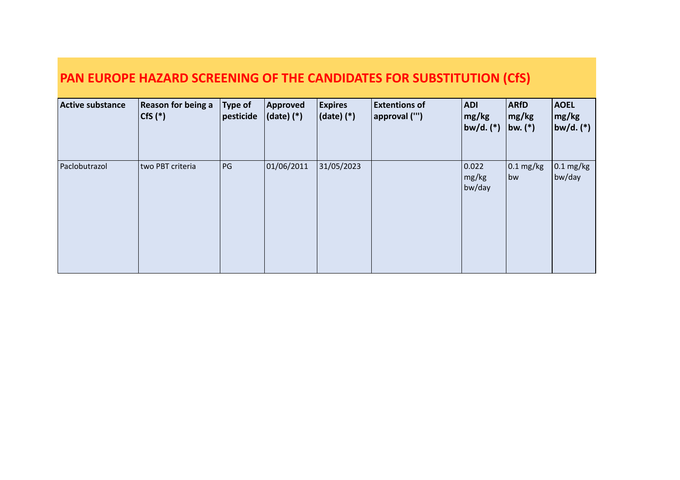| <b>Active substance</b> | <b>Reason for being a</b><br>$ Cfs('*) $ | $\vert$ Type of<br>pesticide | Approved<br>$(data)$ $(*)$ | <b>Expires</b><br>$ $ (date) $(*)$ | <b>Extentions of</b><br> approval ("') | <b>ADI</b><br>mg/kg<br> bw/d. (*) | <b>ARfD</b><br>mg/kg<br> bw. (*) | <b>AOEL</b><br>$\lfloor$ mg/kg<br>$ $ bw/d. (*) $ $ |
|-------------------------|------------------------------------------|------------------------------|----------------------------|------------------------------------|----------------------------------------|-----------------------------------|----------------------------------|-----------------------------------------------------|
| Paclobutrazol           | two PBT criteria                         | PG                           | 01/06/2011                 | 31/05/2023                         |                                        | 0.022 <br>mg/kg<br>bw/day         | $\vert$ 0.1 mg/kg<br>bw          | $0.1 \text{ mg/kg}$<br>bw/day                       |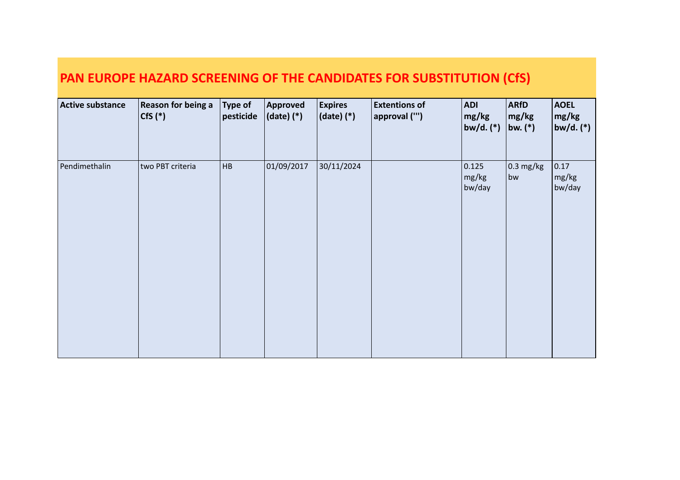| <b>Active substance</b> | <b>Reason for being a</b><br>$ CfS(*)$ | $\vert$ Type of<br>pesticide | Approved<br>$ $ (date) $(*)$ | <b>Expires</b><br>$ $ (date) $(*)$ | <b>Extentions of</b><br>approval ("') | <b>ADI</b><br>mg/kg<br>bw/d. (*) | <b>ARfD</b><br>mg/kg<br> bw. (*) | <b>AOEL</b><br>mg/kg<br> bw/d. (*) |
|-------------------------|----------------------------------------|------------------------------|------------------------------|------------------------------------|---------------------------------------|----------------------------------|----------------------------------|------------------------------------|
| Pendimethalin           | two PBT criteria                       | HB                           | 01/09/2017                   | 30/11/2024                         |                                       | 0.125<br>mg/kg<br>bw/day         | $\vert$ 0.3 mg/kg<br>bw          | 0.17<br>mg/kg<br>bw/day            |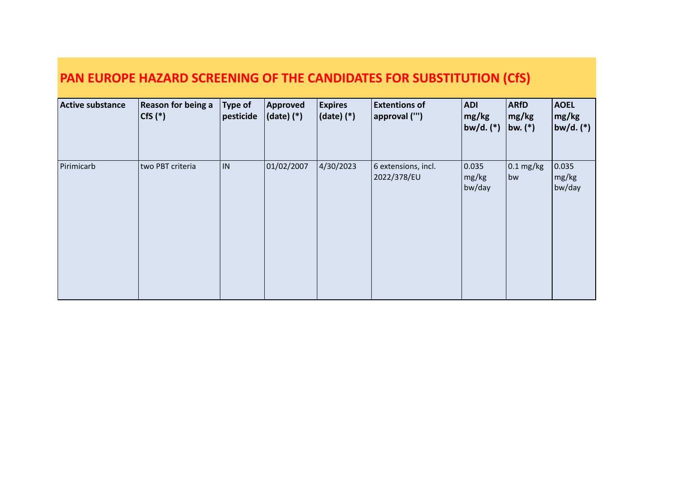| <b>Active substance</b> | <b>Reason for being a</b><br>$ CfS(*)$ | <b>Type of</b><br>pesticide | Approved<br>(date) (*) | <b>Expires</b><br>$ $ (date) $(*)$ | <b>Extentions of</b><br>approval ("') | ADI <br>mg/kg<br>$ bw/d.$ $(*)$ | <b>ARfD</b><br>$\lfloor$ mg/kg<br>bw. $(*)$ | <b>AOEL</b><br>$\lfloor$ mg/kg<br>$ $ bw/d. (*) $ $ |
|-------------------------|----------------------------------------|-----------------------------|------------------------|------------------------------------|---------------------------------------|---------------------------------|---------------------------------------------|-----------------------------------------------------|
| Pirimicarb              | two PBT criteria                       | IN.                         | 01/02/2007             | 4/30/2023                          | 6 extensions, incl.<br>2022/378/EU    | 0.035 <br>mg/kg<br>bw/day       | $0.1 \text{ mg/kg}$<br>bw                   | 0.035 <br>mg/kg<br>bw/day                           |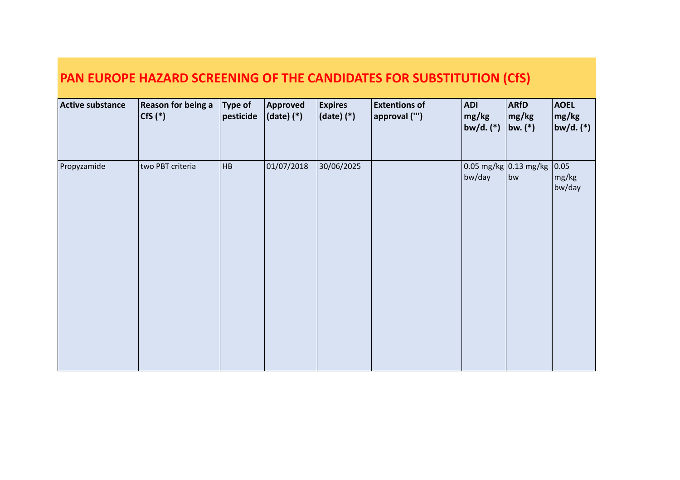| <b>Active substance</b> | <b>Reason for being a</b><br>$Cfs$ $(*)$ | <b>Type of</b><br>pesticide | Approved<br>$(data)$ $(*)$ | <b>Expires</b><br>$ $ (date) (*) | <b>Extentions of</b><br>approval ("') | <b>ADI</b><br>mg/kg<br> bw/d. (*) | <b>ARfD</b><br>$\lfloor$ mg/kg<br>bw. $(*)$ | <b>AOEL</b><br>mg/kg<br>$ {\sf bw}/{\sf d.}\,({}^{*}) $ |
|-------------------------|------------------------------------------|-----------------------------|----------------------------|----------------------------------|---------------------------------------|-----------------------------------|---------------------------------------------|---------------------------------------------------------|
| Propyzamide             | two PBT criteria                         | HB                          | 01/07/2018                 | 30/06/2025                       |                                       | bw/day                            | $0.05 \,\text{mg/kg}$ 0.13 mg/kg<br>bw      | 0.05 <br>mg/kg<br>bw/day                                |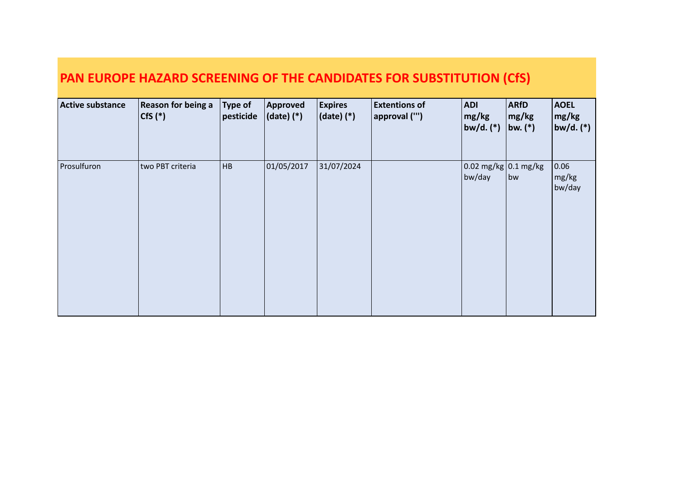| Active substance | <b>Reason for being a</b><br>$\vert$ CfS $(*)$ | Type of<br>$ $ pesticide | Approved<br>$ $ (date) $(*)$ | <b>Expires</b><br>$ $ (date) $(*)$ | <b>Extentions of</b><br>approval ("') | ADI <br>mg/kg<br> bw/d. (*)                    | <b>ARfD</b><br>mg/kg<br>bw. $(*)$ | <b>AOEL</b><br> mg/kg <br>$ $ bw/d. (*) $ $ |
|------------------|------------------------------------------------|--------------------------|------------------------------|------------------------------------|---------------------------------------|------------------------------------------------|-----------------------------------|---------------------------------------------|
| Prosulfuron      | two PBT criteria                               | HB                       | 01/05/2017                   | 31/07/2024                         |                                       | $\log \log \log  0.1 \text{ mg/kg} $<br>bw/day | bw                                | 0.06 <br>$\lfloor$ mg/kg<br>bw/day          |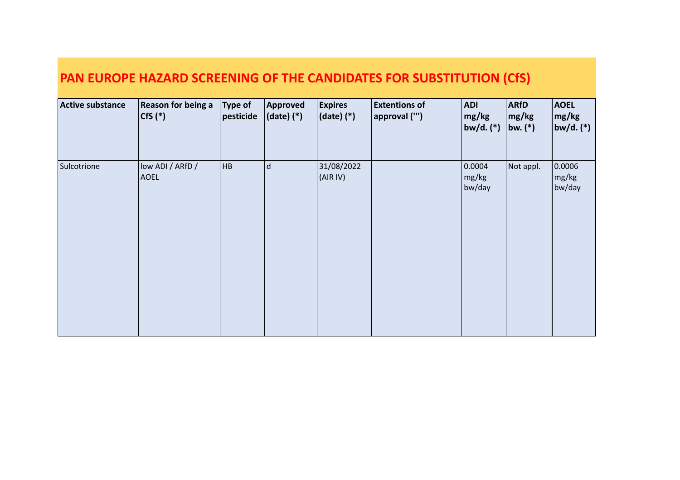| <b>Active substance</b> | <b>Reason for being a</b><br>$Cfs$ $(*)$ | Type of<br>pesticide | Approved<br>$(date)$ $(*)$ | <b>Expires</b><br>$ $ (date) $(*)$ | <b>Extentions of</b><br>approval ("') | <b>ADI</b><br>mg/kg<br> bw/d. (*) | <b>ARfD</b><br>mg/kg<br> bw. (*) | <b>AOEL</b><br>mg/kg<br> bw/d. (*) |
|-------------------------|------------------------------------------|----------------------|----------------------------|------------------------------------|---------------------------------------|-----------------------------------|----------------------------------|------------------------------------|
| Sulcotrione             | low ADI / ARfD /<br><b>AOEL</b>          | HB                   | $\mathsf{d}$               | 31/08/2022<br>(AIR IV)             |                                       | 0.0004<br>mg/kg<br>bw/day         | Not appl.                        | 0.0006<br>mg/kg<br>bw/day          |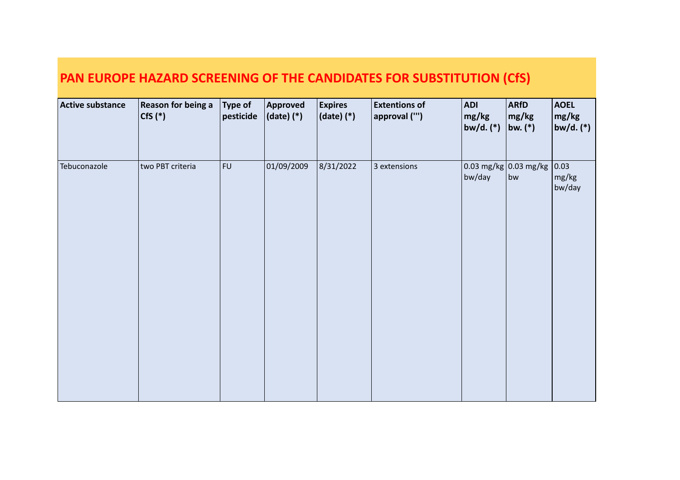| <b>Active substance</b> | <b>Reason for being a</b><br>$Cfs$ $(*)$ | <b>Type of</b><br>pesticide | <b>Approved</b><br>$ $ (date) $(*)$ | <b>Expires</b><br>$ $ (date) $(*)$ | <b>Extentions of</b><br>approval ("') | <b>ADI</b><br>mg/kg<br>bw/d. (*)  | <b>ARfD</b><br>mg/kg<br>bw. $(*)$ | <b>AOEL</b><br>mg/kg<br>$ $ bw/d. (*) |
|-------------------------|------------------------------------------|-----------------------------|-------------------------------------|------------------------------------|---------------------------------------|-----------------------------------|-----------------------------------|---------------------------------------|
| Tebuconazole            | two PBT criteria                         | FU                          | 01/09/2009                          | 8/31/2022                          | 3 extensions                          | $\log$ mg/kg 0.03 mg/kg<br>bw/day | bw                                | 0.03 <br>mg/kg<br>bw/day              |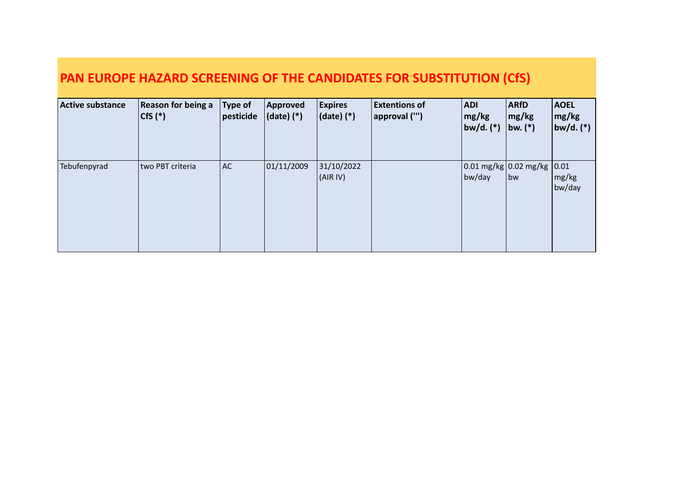| <b>Active substance</b> | <b>Reason for being a</b><br>$Cfs$ $(*)$ | Type of<br>$ $ pesticide | Approved<br>$(data)$ $(*)$ | <b>Expires</b><br>$ $ (date) (*) | <b>Extentions of</b><br>approval ("') | <b>ADI</b><br>$\lfloor$ mg/kg<br>$ b w/d. (*) $ | <b>ARfD</b><br>$\lfloor$ mg/kg<br>bw. $(*)$                    | <b>AOEL</b><br>mg/kg<br> bw/d. (*)          |
|-------------------------|------------------------------------------|--------------------------|----------------------------|----------------------------------|---------------------------------------|-------------------------------------------------|----------------------------------------------------------------|---------------------------------------------|
| Tebufenpyrad            | two PBT criteria                         | AC.                      | 01/11/2009                 | 31/10/2022<br>(AIR IV)           |                                       | bw/day                                          | $\left  0.01 \right $ mg/kg $\left  0.02 \right $ mg/kg<br> bw | 0.01<br>$\lfloor$ mg/kg $\rfloor$<br>bw/day |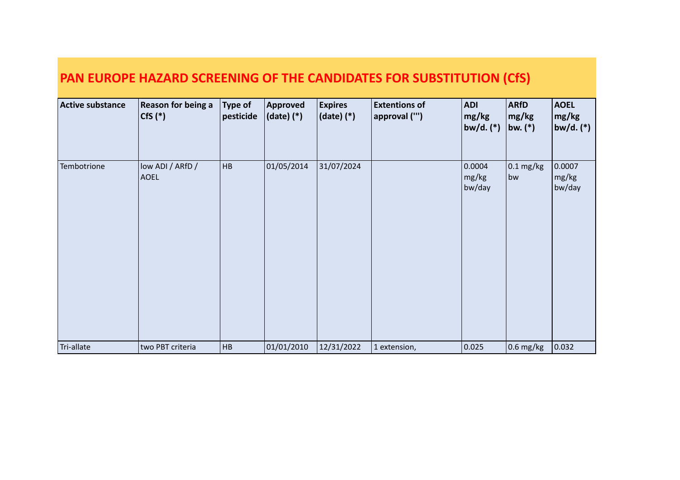| PAN EUROPE HAZARD SCREENING OF THE CANDIDATES FOR SUBSTITUTION (CfS) |                                   |                             |                              |                                  |                                       |                                  |                                            |                                    |  |
|----------------------------------------------------------------------|-----------------------------------|-----------------------------|------------------------------|----------------------------------|---------------------------------------|----------------------------------|--------------------------------------------|------------------------------------|--|
| <b>Active substance</b>                                              | Reason for being a<br>$Cfs$ $(*)$ | <b>Type of</b><br>pesticide | Approved<br>$ $ (date) $(*)$ | <b>Expires</b><br>$(date)$ $(*)$ | <b>Extentions of</b><br>approval ("') | <b>ADI</b><br>mg/kg<br>bw/d. (*) | <b>ARfD</b><br>$\lfloor$ mg/kg<br> bw. (*) | <b>AOEL</b><br>mg/kg<br> bw/d. (*) |  |
| Tembotrione                                                          | low ADI / ARfD /<br><b>AOEL</b>   | <b>HB</b>                   | 01/05/2014                   | 31/07/2024                       |                                       | 0.0004<br>mg/kg<br>bw/day        | $0.1 \text{ mg/kg}$<br>bw                  | 0.0007<br>mg/kg<br>bw/day          |  |
| Tri-allate                                                           | two PBT criteria                  | <b>HB</b>                   | 01/01/2010                   | 12/31/2022                       | 1 extension,                          | 0.025                            | $0.6$ mg/kg                                | 0.032                              |  |

2021/1449/EU

mg/kg

bw

mg/kg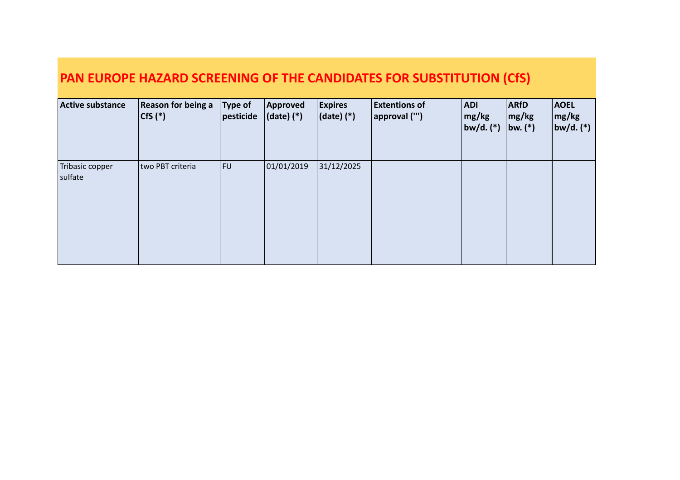| <b>Active substance</b>    | <b>Reason for being a</b><br>$ Cfs(*)$ | Type of<br>pesticide | Approved<br>$(data)$ $(*)$ | <b>Expires</b><br>$ $ (date) $(*)$ | <b>Extentions of</b><br>approval ("') | <b>ADI</b><br>mg/kg<br> bw/d. (*) | <b>ARfD</b><br>$\lfloor$ mg/kg<br> bw. (*) | <b>AOEL</b><br>$\lfloor$ mg/kg<br>$ $ bw/d. (*) $ $ |
|----------------------------|----------------------------------------|----------------------|----------------------------|------------------------------------|---------------------------------------|-----------------------------------|--------------------------------------------|-----------------------------------------------------|
| Tribasic copper<br>sulfate | two PBT criteria                       | FU                   | 01/01/2019                 | 31/12/2025                         |                                       |                                   |                                            |                                                     |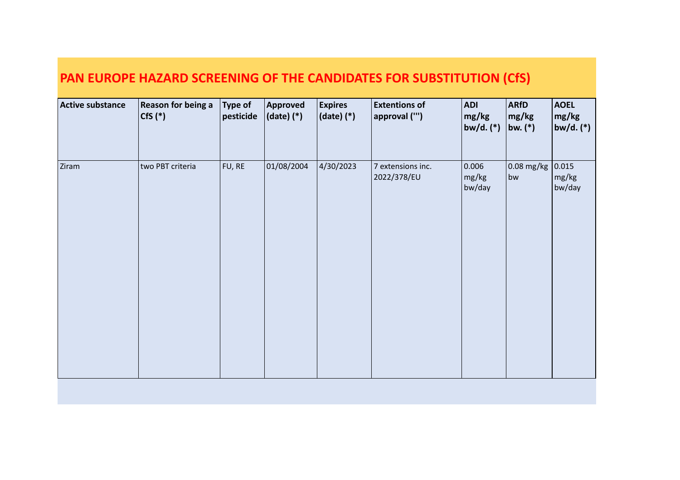| <b>Active substance</b> | <b>Reason for being a</b><br>$Cfs$ $(*)$ | Type of<br>$ $ pesticide | Approved<br>$(date)$ $(*)$ | <b>Expires</b><br>$ $ (date) (*) | <b>Extentions of</b><br>approval ("') | <b>ADI</b><br>mg/kg<br>bw/d. $(*)$ | <b>ARfD</b><br>mg/kg<br> bw. (*) | <b>AOEL</b><br>mg/kg<br>$ $ bw/d. (*) |
|-------------------------|------------------------------------------|--------------------------|----------------------------|----------------------------------|---------------------------------------|------------------------------------|----------------------------------|---------------------------------------|
| Ziram                   | two PBT criteria                         | FU, RE                   | 01/08/2004                 | 4/30/2023                        | 7 extensions inc.<br>2022/378/EU      | 0.006<br>mg/kg<br>bw/day           | 0.08 mg/kg<br>bw                 | 0.015 <br>mg/kg<br>bw/day             |
|                         |                                          |                          |                            |                                  |                                       |                                    |                                  |                                       |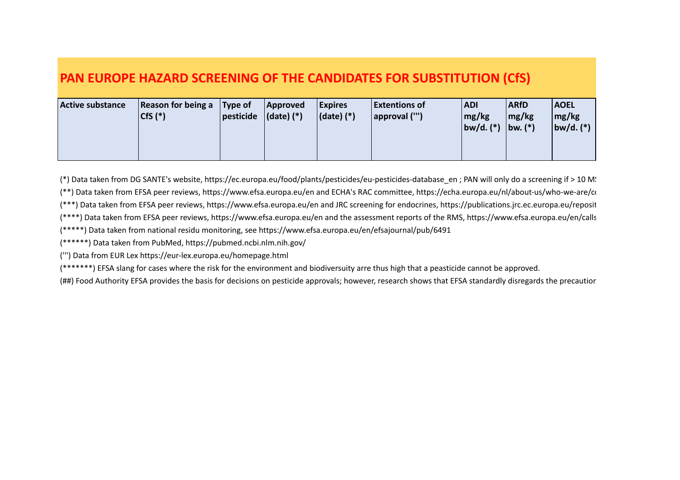| <b>Active substance</b> | Reason for being a $\vert$ Type of<br>$Cfs$ $(*)$<br>$ $ pesticide | Approved<br>$ $ (date) $(*)$ | <b>Expires</b><br>$ $ (date) $(*)$ | <b>Extentions of</b><br>$ $ approval $("')$ | <b>ADI</b><br>mg/kg<br>$ b w/d.$ $(*)$ | <b>ARfD</b><br>mg/kg<br>$ bw_{\cdot} ^*$ | <b>AOEL</b><br>mg/kg<br>$ bw/d.$ $(*)$ |
|-------------------------|--------------------------------------------------------------------|------------------------------|------------------------------------|---------------------------------------------|----------------------------------------|------------------------------------------|----------------------------------------|
|-------------------------|--------------------------------------------------------------------|------------------------------|------------------------------------|---------------------------------------------|----------------------------------------|------------------------------------------|----------------------------------------|

(\*) Data taken from DG SANTE's website, https://ec.europa.eu/food/plants/pesticides/eu-pesticides-database\_en ; PAN will only do a screening if > 10 M. (\*\*) Data taken from EFSA peer reviews, https://www.efsa.europa.eu/en and ECHA's RAC committee, https://echa.europa.eu/nl/about-us/who-we-are/committee-for-(\*\*\*) Data taken from EFSA peer reviews, https://www.efsa.europa.eu/en and JRC screening for endocrines, https://publications.jrc.ec.europa.eu/reposit (\*\*\*\*) Data taken from EFSA peer reviews, https://www.efsa.europa.eu/en and the assessment reports of the RMS, https://www.efsa.europa.eu/en/calls (\*\*\*\*\*) Data taken from national residu monitoring, see https://www.efsa.europa.eu/en/efsajournal/pub/6491

(\*\*\*\*\*\*) Data taken from PubMed, https://pubmed.ncbi.nlm.nih.gov/

(''') Data from EUR Lex https://eur-lex.europa.eu/homepage.html

(\*\*\*\*\*\*\*) EFSA slang for cases where the risk for the environment and biodiversuity arre thus high that a peasticide cannot be approved.

(##) Food Authority EFSA provides the basis for decisions on pesticide approvals; however, research shows that EFSA standardly disregards the precautior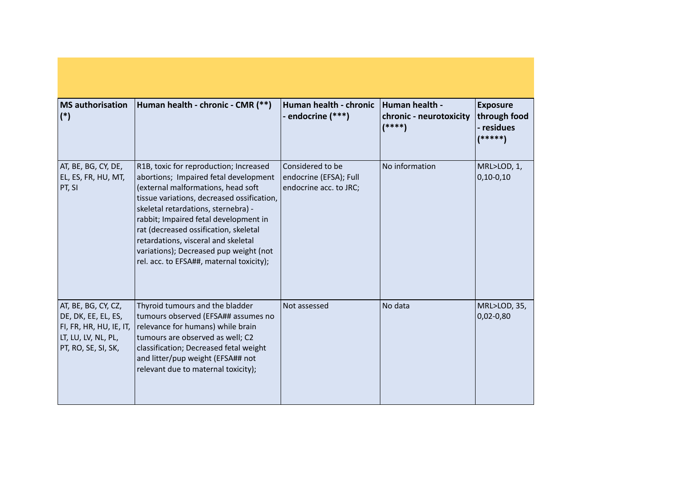| <b>MS</b> authorisation<br>$(*)$                                                                                    | Human health - chronic - CMR (**)                                                                                                                                                                                                                                                                                                                                                                                         | Human health - chronic<br>- endocrine (***)                          | Human health -<br>chronic - neurotoxicity<br>$(****)$ | <b>Exposure</b><br>through food<br>- residues<br>(*****) |
|---------------------------------------------------------------------------------------------------------------------|---------------------------------------------------------------------------------------------------------------------------------------------------------------------------------------------------------------------------------------------------------------------------------------------------------------------------------------------------------------------------------------------------------------------------|----------------------------------------------------------------------|-------------------------------------------------------|----------------------------------------------------------|
| AT, BE, BG, CY, DE,<br>EL, ES, FR, HU, MT,<br>PT, SI                                                                | R1B, toxic for reproduction; Increased<br>abortions; Impaired fetal development<br>(external malformations, head soft<br>tissue variations, decreased ossification,<br>skeletal retardations, sternebra) -<br>rabbit; Impaired fetal development in<br>rat (decreased ossification, skeletal<br>retardations, visceral and skeletal<br>variations); Decreased pup weight (not<br>rel. acc. to EFSA##, maternal toxicity); | Considered to be<br>endocrine (EFSA); Full<br>endocrine acc. to JRC; | No information                                        | MRL>LOD, 1,<br>$0,10-0,10$                               |
| AT, BE, BG, CY, CZ,<br>DE, DK, EE, EL, ES,<br>FI, FR, HR, HU, IE, IT,<br>LT, LU, LV, NL, PL,<br>PT, RO, SE, SI, SK, | Thyroid tumours and the bladder<br>tumours observed (EFSA## assumes no<br>relevance for humans) while brain<br>tumours are observed as well; C2<br>classification; Decreased fetal weight<br>and litter/pup weight (EFSA## not<br>relevant due to maternal toxicity);                                                                                                                                                     | Not assessed                                                         | No data                                               | MRL>LOD, 35,<br>$0,02 - 0,80$                            |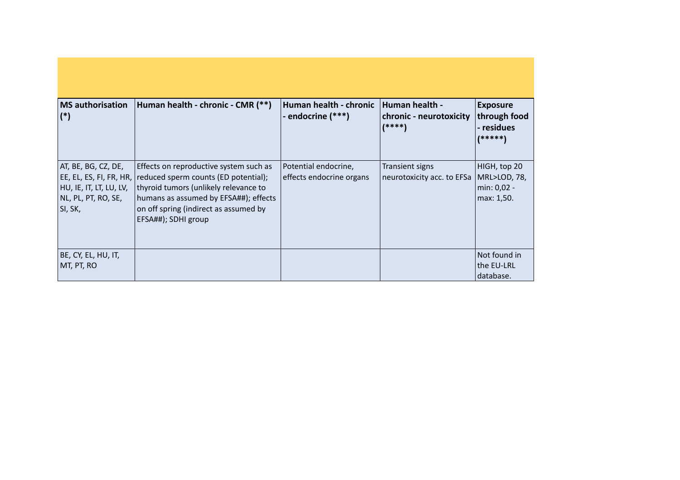| <b>MS</b> authorisation<br>$(*)$                                                                              | Human health - chronic - CMR (**)                                                                                                                                                                                                | Human health - chronic<br>- endocrine (***)      | <b>Human health -</b><br>chronic - neurotoxicity<br>$(****)$ | <b>Exposure</b><br>through food<br>- residues              |
|---------------------------------------------------------------------------------------------------------------|----------------------------------------------------------------------------------------------------------------------------------------------------------------------------------------------------------------------------------|--------------------------------------------------|--------------------------------------------------------------|------------------------------------------------------------|
|                                                                                                               |                                                                                                                                                                                                                                  |                                                  |                                                              | $(*****)$                                                  |
| AT, BE, BG, CZ, DE,<br> EE, EL, ES, FI, FR, HR,<br> HU, IE, IT, LT, LU, LV,<br>NL, PL, PT, RO, SE,<br>SI, SK, | Effects on reproductive system such as<br>reduced sperm counts (ED potential);<br>thyroid tumors (unlikely relevance to<br>humans as assumed by EFSA##); effects<br>on off spring (indirect as assumed by<br>EFSA##); SDHI group | Potential endocrine,<br>effects endocrine organs | Transient signs<br>neurotoxicity acc. to EFSa                | HIGH, top 20<br> MRL>LOD, 78,<br>min: 0,02 -<br>max: 1,50. |
| BE, CY, EL, HU, IT,<br>MT, PT, RO                                                                             |                                                                                                                                                                                                                                  |                                                  |                                                              | Not found in<br>the EU-LRL                                 |
|                                                                                                               |                                                                                                                                                                                                                                  |                                                  |                                                              | database.                                                  |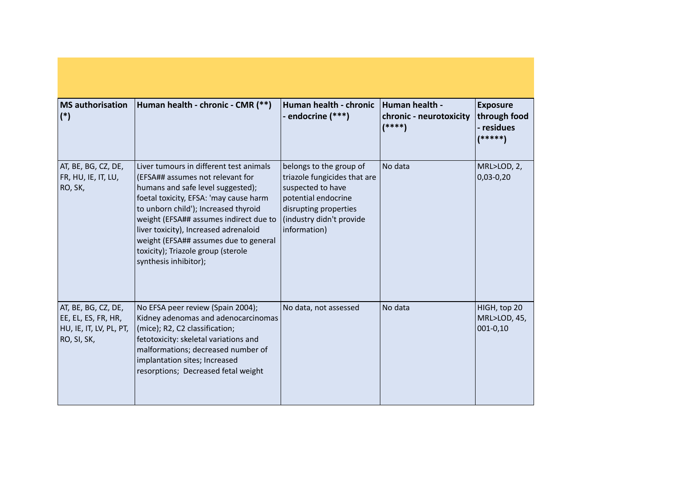| <b>MS</b> authorisation<br>$(*)$                                                     | Human health - chronic - CMR (**)                                                                                                                                                                                                                                                                                                                                                             | Human health - chronic<br>- endocrine (***)                                                                                                                              | Human health -<br>chronic - neurotoxicity<br>$(****)$ | <b>Exposure</b><br>through food<br>- residues<br>(*****) |
|--------------------------------------------------------------------------------------|-----------------------------------------------------------------------------------------------------------------------------------------------------------------------------------------------------------------------------------------------------------------------------------------------------------------------------------------------------------------------------------------------|--------------------------------------------------------------------------------------------------------------------------------------------------------------------------|-------------------------------------------------------|----------------------------------------------------------|
| AT, BE, BG, CZ, DE,<br>FR, HU, IE, IT, LU,<br>RO, SK,                                | Liver tumours in different test animals<br>(EFSA## assumes not relevant for<br>humans and safe level suggested);<br>foetal toxicity, EFSA: 'may cause harm<br>to unborn child'); Increased thyroid<br>weight (EFSA## assumes indirect due to<br>liver toxicity), Increased adrenaloid<br>weight (EFSA## assumes due to general<br>toxicity); Triazole group (sterole<br>synthesis inhibitor); | belongs to the group of<br>triazole fungicides that are<br>suspected to have<br>potential endocrine<br>disrupting properties<br>(industry didn't provide<br>information) | No data                                               | MRL>LOD, 2,<br>$0,03-0,20$                               |
| AT, BE, BG, CZ, DE,<br>EE, EL, ES, FR, HR,<br>HU, IE, IT, LV, PL, PT,<br>RO, SI, SK, | No EFSA peer review (Spain 2004);<br>Kidney adenomas and adenocarcinomas<br>(mice); R2, C2 classification;<br>fetotoxicity: skeletal variations and<br>malformations; decreased number of<br>implantation sites; Increased<br>resorptions; Decreased fetal weight                                                                                                                             | No data, not assessed                                                                                                                                                    | No data                                               | HIGH, top 20<br>MRL>LOD, 45,<br>$ 001 - 0, 10$           |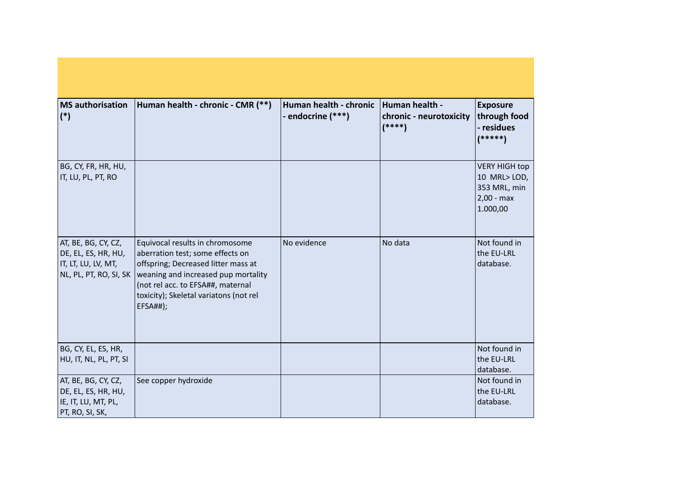| <b>MS</b> authorisation<br>$(*)$                                                            | Human health - chronic - CMR (**)                                                                                                                                                                                                                   | Human health - chronic<br>- endocrine (***) | Human health -<br>chronic - neurotoxicity<br>$(****)$ | <b>Exposure</b><br>through food<br>- residues<br>$(*****)$                      |
|---------------------------------------------------------------------------------------------|-----------------------------------------------------------------------------------------------------------------------------------------------------------------------------------------------------------------------------------------------------|---------------------------------------------|-------------------------------------------------------|---------------------------------------------------------------------------------|
| BG, CY, FR, HR, HU,<br>IT, LU, PL, PT, RO                                                   |                                                                                                                                                                                                                                                     |                                             |                                                       | <b>VERY HIGH top</b><br>10 MRL>LOD,<br>353 MRL, min<br>$2,00 - max$<br>1.000,00 |
| AT, BE, BG, CY, CZ,<br>DE, EL, ES, HR, HU,<br>IT, LT, LU, LV, MT,<br>NL, PL, PT, RO, SI, SK | Equivocal results in chromosome<br>aberration test; some effects on<br>offspring; Decreased litter mass at<br>weaning and increased pup mortality<br>(not rel acc. to EFSA##, maternal<br>toxicity); Skeletal variatons (not rel<br><b>EFSA##);</b> | No evidence                                 | No data                                               | Not found in<br>the EU-LRL<br>database.                                         |
| BG, CY, EL, ES, HR,<br>HU, IT, NL, PL, PT, SI                                               |                                                                                                                                                                                                                                                     |                                             |                                                       | Not found in<br>the EU-LRL<br>database.                                         |
| AT, BE, BG, CY, CZ,<br>DE, EL, ES, HR, HU,<br>IE, IT, LU, MT, PL,<br>PT, RO, SI, SK,        | See copper hydroxide                                                                                                                                                                                                                                |                                             |                                                       | Not found in<br>the EU-LRL<br>database.                                         |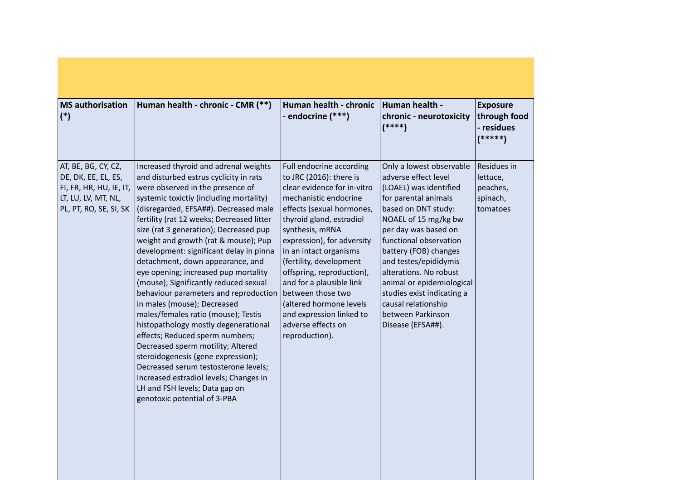| <b>MS</b> authorisation<br>$(*)$                                                                                       | Human health - chronic - CMR (**)                                                                                                                                                                                                                                                                                                                                                                                                                                                                                                                                                                                                                                                                                                                                                                                                                                                                                               | Human health - chronic<br>- endocrine (***)                                                                                                                                                                                                                                                                                                                                                                                                             | Human health -<br>chronic - neurotoxicity<br>$(****)$                                                                                                                                                                                                                                                                                                                                                       | <b>Exposure</b><br>through food<br>- residues<br>$(*****)$  |
|------------------------------------------------------------------------------------------------------------------------|---------------------------------------------------------------------------------------------------------------------------------------------------------------------------------------------------------------------------------------------------------------------------------------------------------------------------------------------------------------------------------------------------------------------------------------------------------------------------------------------------------------------------------------------------------------------------------------------------------------------------------------------------------------------------------------------------------------------------------------------------------------------------------------------------------------------------------------------------------------------------------------------------------------------------------|---------------------------------------------------------------------------------------------------------------------------------------------------------------------------------------------------------------------------------------------------------------------------------------------------------------------------------------------------------------------------------------------------------------------------------------------------------|-------------------------------------------------------------------------------------------------------------------------------------------------------------------------------------------------------------------------------------------------------------------------------------------------------------------------------------------------------------------------------------------------------------|-------------------------------------------------------------|
| AT, BE, BG, CY, CZ,<br>DE, DK, EE, EL, ES,<br>FI, FR, HR, HU, IE, IT,<br>LT, LU, LV, MT, NL,<br>PL, PT, RO, SE, SI, SK | Increased thyroid and adrenal weights<br>and disturbed estrus cyclicity in rats<br>were observed in the presence of<br>systemic toxictiy (including mortality)<br>(disregarded, EFSA##). Decreased male<br>fertility (rat 12 weeks; Decreased litter<br>size (rat 3 generation); Decreased pup<br>weight and growth (rat & mouse); Pup<br>development: significant delay in pinna<br>detachment, down appearance, and<br>eye opening; increased pup mortality<br>(mouse); Significantly reduced sexual<br>behaviour parameters and reproduction<br>in males (mouse); Decreased<br>males/females ratio (mouse); Testis<br>histopathology mostly degenerational<br>effects; Reduced sperm numbers;<br>Decreased sperm motility; Altered<br>steroidogenesis (gene expression);<br>Decreased serum testosterone levels;<br>Increased estradiol levels; Changes in<br>LH and FSH levels; Data gap on<br>genotoxic potential of 3-PBA | Full endocrine according<br>to JRC (2016): there is<br>clear evidence for in-vitro<br>mechanistic endocrine<br>effects (sexual hormones,<br>thyroid gland, estradiol<br>synthesis, mRNA<br>expression), for adversity<br>in an intact organisms<br>(fertility, development<br>offspring, reproduction),<br>and for a plausible link<br>between those two<br>(altered hormone levels<br>and expression linked to<br>adverse effects on<br>reproduction). | Only a lowest observable<br>adverse effect level<br>(LOAEL) was identified<br>for parental animals<br>based on DNT study:<br>NOAEL of 15 mg/kg bw<br>per day was based on<br>functional observation<br>battery (FOB) changes<br>and testes/epididymis<br>alterations. No robust<br>animal or epidemiological<br>studies exist indicating a<br>causal relationship<br>between Parkinson<br>Disease (EFSA##). | Residues in<br>lettuce,<br>peaches,<br>spinach,<br>tomatoes |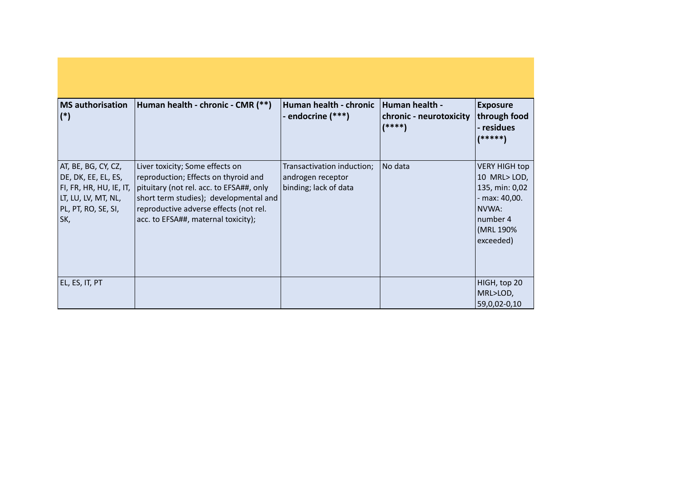| <b>MS</b> authorisation<br>$(*)$                                                                                           | Human health - chronic - CMR (**)                                                                                                                                                                                                              | Human health - chronic<br>- endocrine (***)                              | Human health -<br>chronic - neurotoxicity<br>$(****)$ | <b>Exposure</b><br>through food<br>- residues<br>(*****)                                                               |
|----------------------------------------------------------------------------------------------------------------------------|------------------------------------------------------------------------------------------------------------------------------------------------------------------------------------------------------------------------------------------------|--------------------------------------------------------------------------|-------------------------------------------------------|------------------------------------------------------------------------------------------------------------------------|
| AT, BE, BG, CY, CZ,<br>DE, DK, EE, EL, ES,<br>FI, FR, HR, HU, IE, IT,<br>LT, LU, LV, MT, NL,<br>PL, PT, RO, SE, SI,<br>SK, | Liver toxicity; Some effects on<br>reproduction; Effects on thyroid and<br>pituitary (not rel. acc. to EFSA##, only<br>short term studies); developmental and<br>reproductive adverse effects (not rel.<br>acc. to EFSA##, maternal toxicity); | Transactivation induction;<br>androgen receptor<br>binding; lack of data | No data                                               | <b>VERY HIGH top</b><br>10 MRL>LOD,<br>135, min: 0,02<br>- max: 40,00.<br>NVWA:<br>Inumber 4<br>(MRL 190%<br>exceeded) |
| EL, ES, IT, PT                                                                                                             |                                                                                                                                                                                                                                                |                                                                          |                                                       | HIGH, top 20<br>MRL>LOD,<br>59,0,02-0,10                                                                               |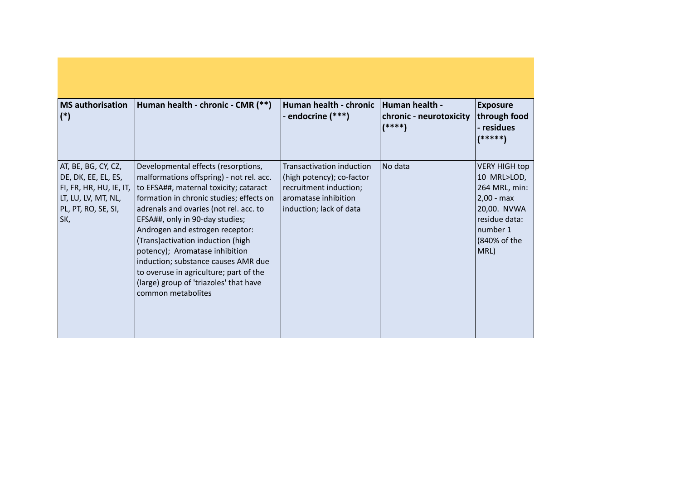| <b>MS</b> authorisation<br>$(*)$                                                                                           | Human health - chronic - CMR (**)                                                                                                                                                                                                                                                                                                                                                                                                                                                                              | Human health - chronic<br>- endocrine (***)                                                                                         | Human health -<br>chronic - neurotoxicity<br>$(****)$ | <b>Exposure</b><br>through food<br>- residues<br>(*****)                                                                                 |
|----------------------------------------------------------------------------------------------------------------------------|----------------------------------------------------------------------------------------------------------------------------------------------------------------------------------------------------------------------------------------------------------------------------------------------------------------------------------------------------------------------------------------------------------------------------------------------------------------------------------------------------------------|-------------------------------------------------------------------------------------------------------------------------------------|-------------------------------------------------------|------------------------------------------------------------------------------------------------------------------------------------------|
| AT, BE, BG, CY, CZ,<br>DE, DK, EE, EL, ES,<br>FI, FR, HR, HU, IE, IT,<br>LT, LU, LV, MT, NL,<br>PL, PT, RO, SE, SI,<br>SK, | Developmental effects (resorptions,<br>malformations offspring) - not rel. acc.<br>to EFSA##, maternal toxicity; cataract<br>formation in chronic studies; effects on<br>adrenals and ovaries (not rel. acc. to<br>EFSA##, only in 90-day studies;<br>Androgen and estrogen receptor:<br>(Trans) activation induction (high<br>potency); Aromatase inhibition<br>induction; substance causes AMR due<br>to overuse in agriculture; part of the<br>(large) group of 'triazoles' that have<br>common metabolites | Transactivation induction<br>(high potency); co-factor<br>recruitment induction;<br>aromatase inhibition<br>induction; lack of data | No data                                               | <b>VERY HIGH top</b><br>10 MRL>LOD,<br>264 MRL, min:<br>$2,00 - max$<br>20,00. NVWA<br>residue data:<br>number 1<br>(840% of the<br>MRL) |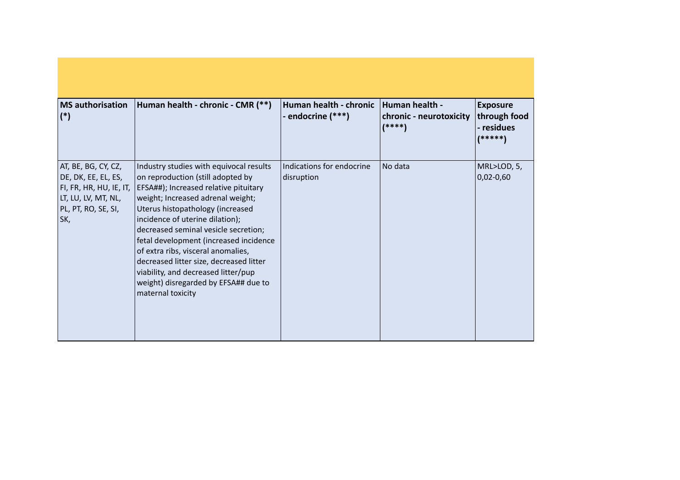| <b>MS</b> authorisation<br>$(*)$                                                                                            | Human health - chronic - CMR (**)                                                                                                                                                                                                                                                                                                                                                                                                                                                                        | Human health - chronic<br>- endocrine (***) | Human health -<br>chronic - neurotoxicity<br>$(****)$ | <b>Exposure</b><br>through food<br>- residues<br>(*****) |
|-----------------------------------------------------------------------------------------------------------------------------|----------------------------------------------------------------------------------------------------------------------------------------------------------------------------------------------------------------------------------------------------------------------------------------------------------------------------------------------------------------------------------------------------------------------------------------------------------------------------------------------------------|---------------------------------------------|-------------------------------------------------------|----------------------------------------------------------|
| AT, BE, BG, CY, CZ,<br>DE, DK, EE, EL, ES,<br> FI, FR, HR, HU, IE, IT,<br>LT, LU, LV, MT, NL,<br>PL, PT, RO, SE, SI,<br>SK, | Industry studies with equivocal results<br>on reproduction (still adopted by<br>EFSA##); Increased relative pituitary<br>weight; Increased adrenal weight;<br>Uterus histopathology (increased<br>incidence of uterine dilation);<br>decreased seminal vesicle secretion;<br>fetal development (increased incidence<br>of extra ribs, visceral anomalies,<br>decreased litter size, decreased litter<br>viability, and decreased litter/pup<br>weight) disregarded by EFSA## due to<br>maternal toxicity | Indications for endocrine<br>disruption     | No data                                               | MRL>LOD, 5,<br>$ 0,02-0,60 $                             |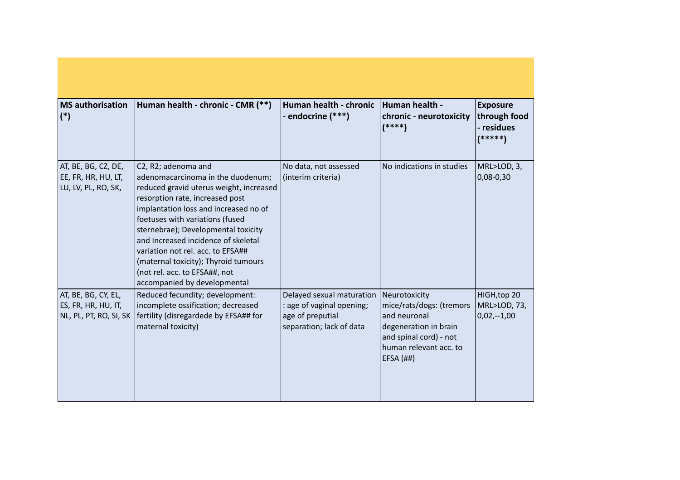| <b>MS</b> authorisation<br>$(*)$                                     | Human health - chronic - CMR (**)                                                                                                                                                                                                                                                                                                                                                                                                              | Human health - chronic<br>- endocrine (***)                                                            | Human health -<br>chronic - neurotoxicity<br>$(****)$                                                                                                   | <b>Exposure</b><br>through food<br>- residues<br>$(*****)$ |
|----------------------------------------------------------------------|------------------------------------------------------------------------------------------------------------------------------------------------------------------------------------------------------------------------------------------------------------------------------------------------------------------------------------------------------------------------------------------------------------------------------------------------|--------------------------------------------------------------------------------------------------------|---------------------------------------------------------------------------------------------------------------------------------------------------------|------------------------------------------------------------|
| AT, BE, BG, CZ, DE,<br>EE, FR, HR, HU, LT,<br>LU, LV, PL, RO, SK,    | C2, R2; adenoma and<br>adenomacarcinoma in the duodenum;<br>reduced gravid uterus weight, increased<br>resorption rate, increased post<br>implantation loss and increased no of<br>foetuses with variations (fused<br>sternebrae); Developmental toxicity<br>and Increased incidence of skeletal<br>variation not rel. acc. to EFSA##<br>(maternal toxicity); Thyroid tumours<br>(not rel. acc. to EFSA##, not<br>accompanied by developmental | No data, not assessed<br>(interim criteria)                                                            | No indications in studies                                                                                                                               | MRL>LOD, 3,<br>$0,08-0,30$                                 |
| AT, BE, BG, CY, EL,<br>ES, FR, HR, HU, IT,<br>NL, PL, PT, RO, SI, SK | Reduced fecundity; development:<br>incomplete ossification; decreased<br>fertility (disregardede by EFSA## for<br>maternal toxicity)                                                                                                                                                                                                                                                                                                           | Delayed sexual maturation<br>: age of vaginal opening;<br>age of preputial<br>separation; lack of data | Neurotoxicity<br>mice/rats/dogs: (tremors<br>and neuronal<br>degeneration in brain<br>and spinal cord) - not<br>human relevant acc. to<br>$EFSA$ $(H#)$ | HIGH, top 20<br>MRL>LOD, 73,<br>$0,02,-1,00$               |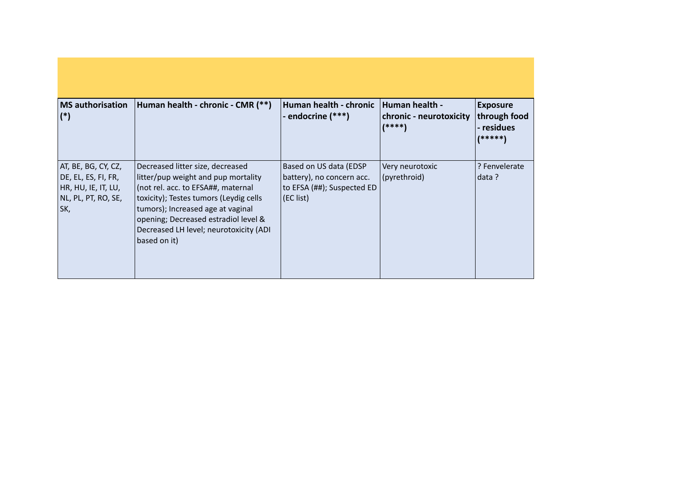| <b>MS</b> authorisation<br>$(*)$                                                                | Human health - chronic - CMR (**)                                                                                                                                                                                                                                                              | Human health - chronic<br>- endocrine (***)                                                    | <b>Human health -</b><br>chronic - neurotoxicity<br>$(****)$ | <b>Exposure</b><br>through food<br>- residues<br>(*****) |
|-------------------------------------------------------------------------------------------------|------------------------------------------------------------------------------------------------------------------------------------------------------------------------------------------------------------------------------------------------------------------------------------------------|------------------------------------------------------------------------------------------------|--------------------------------------------------------------|----------------------------------------------------------|
| AT, BE, BG, CY, CZ,<br>DE, EL, ES, FI, FR,<br>HR, HU, IE, IT, LU,<br>NL, PL, PT, RO, SE,<br>SK, | Decreased litter size, decreased<br>litter/pup weight and pup mortality<br>(not rel. acc. to EFSA##, maternal<br>toxicity); Testes tumors (Leydig cells<br>tumors); Increased age at vaginal<br>opening; Decreased estradiol level &<br>Decreased LH level; neurotoxicity (ADI<br>based on it) | Based on US data (EDSP<br>battery), no concern acc.<br>to EFSA (##); Suspected ED<br>(EC list) | Very neurotoxic<br>(pyrethroid)                              | ? Fenvelerate<br>data ?                                  |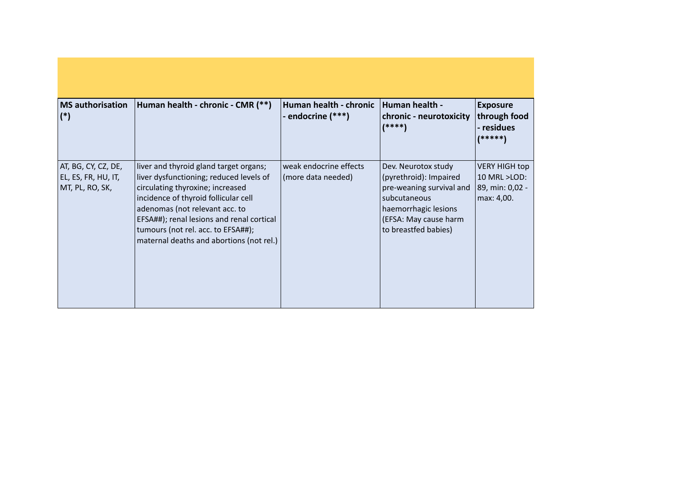| <b>MS</b> authorisation<br>$(*)$                              | Human health - chronic - CMR (**)                                                                                                                                                                                                                                                                                              | Human health - chronic<br>- endocrine (***)  | Human health -<br>chronic - neurotoxicity<br>$(****)$                                                                                                              | <b>Exposure</b><br>through food<br>- residues<br>(*****)              |
|---------------------------------------------------------------|--------------------------------------------------------------------------------------------------------------------------------------------------------------------------------------------------------------------------------------------------------------------------------------------------------------------------------|----------------------------------------------|--------------------------------------------------------------------------------------------------------------------------------------------------------------------|-----------------------------------------------------------------------|
| AT, BG, CY, CZ, DE,<br>EL, ES, FR, HU, IT,<br>MT, PL, RO, SK, | liver and thyroid gland target organs;<br>liver dysfunctioning; reduced levels of<br>circulating thyroxine; increased<br>incidence of thyroid follicular cell<br>adenomas (not relevant acc. to<br>EFSA##); renal lesions and renal cortical<br>tumours (not rel. acc. to EFSA##);<br>maternal deaths and abortions (not rel.) | weak endocrine effects<br>(more data needed) | Dev. Neurotox study<br>(pyrethroid): Impaired<br>pre-weaning survival and<br>subcutaneous<br>haemorrhagic lesions<br>(EFSA: May cause harm<br>to breastfed babies) | <b>VERY HIGH top</b><br>10 MRL >LOD:<br>89, min: 0,02 -<br>max: 4,00. |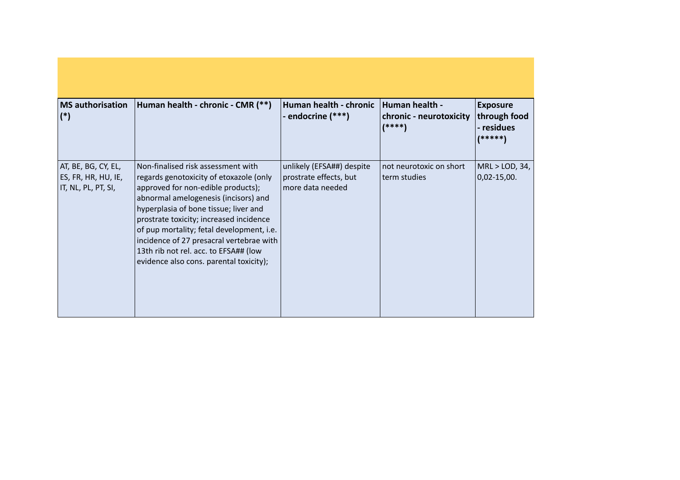| <b>MS</b> authorisation<br>$(*)$                                  | Human health - chronic - CMR (**)                                                                                                                                                                                                                                                                                                                                                                                            | Human health - chronic<br>- endocrine (***)                             | Human health -<br>chronic - neurotoxicity<br>$(****)$ | <b>Exposure</b><br>through food<br>- residues<br>(*****) |
|-------------------------------------------------------------------|------------------------------------------------------------------------------------------------------------------------------------------------------------------------------------------------------------------------------------------------------------------------------------------------------------------------------------------------------------------------------------------------------------------------------|-------------------------------------------------------------------------|-------------------------------------------------------|----------------------------------------------------------|
| AT, BE, BG, CY, EL,<br>ES, FR, HR, HU, IE,<br>IT, NL, PL, PT, SI, | Non-finalised risk assessment with<br>regards genotoxicity of etoxazole (only<br>approved for non-edible products);<br>abnormal amelogenesis (incisors) and<br>hyperplasia of bone tissue; liver and<br>prostrate toxicity; increased incidence<br>of pup mortality; fetal development, i.e.<br>incidence of 27 presacral vertebrae with<br>13th rib not rel. acc. to EFSA## (low<br>evidence also cons. parental toxicity); | unlikely (EFSA##) despite<br>prostrate effects, but<br>more data needed | not neurotoxic on short<br>term studies               | MRL > LOD, 34,<br>$0,02 - 15,00.$                        |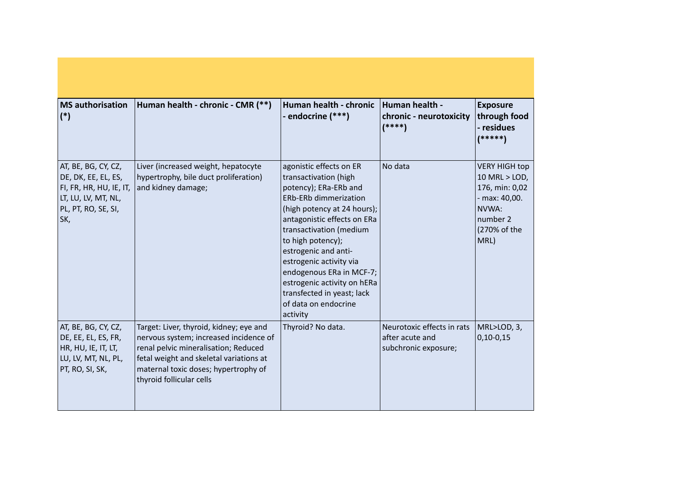| <b>MS</b> authorisation<br>$(*)$                                                                                           | Human health - chronic - CMR (**)                                                                                                                                                                                                        | Human health - chronic<br>- endocrine (***)                                                                                                                                                                                                                                                                                                                                                             | Human health -<br>chronic - neurotoxicity<br>$(****)$                 | <b>Exposure</b><br>through food<br>- residues<br>$(*****)$                                                            |
|----------------------------------------------------------------------------------------------------------------------------|------------------------------------------------------------------------------------------------------------------------------------------------------------------------------------------------------------------------------------------|---------------------------------------------------------------------------------------------------------------------------------------------------------------------------------------------------------------------------------------------------------------------------------------------------------------------------------------------------------------------------------------------------------|-----------------------------------------------------------------------|-----------------------------------------------------------------------------------------------------------------------|
| AT, BE, BG, CY, CZ,<br>DE, DK, EE, EL, ES,<br>FI, FR, HR, HU, IE, IT,<br>LT, LU, LV, MT, NL,<br>PL, PT, RO, SE, SI,<br>SK, | Liver (increased weight, hepatocyte<br>hypertrophy, bile duct proliferation)<br>and kidney damage;                                                                                                                                       | agonistic effects on ER<br>transactivation (high<br>potency); ERa-ERb and<br><b>ERb-ERb dimmerization</b><br>(high potency at 24 hours);<br>antagonistic effects on ERa<br>transactivation (medium<br>to high potency);<br>estrogenic and anti-<br>estrogenic activity via<br>endogenous ERa in MCF-7;<br>estrogenic activity on hERa<br>transfected in yeast; lack<br>of data on endocrine<br>activity | No data                                                               | <b>VERY HIGH top</b><br>10 MRL > LOD,<br>176, min: 0,02<br>- max: 40,00.<br>NVWA:<br>number 2<br>(270% of the<br>MRL) |
| AT, BE, BG, CY, CZ,<br>DE, EE, EL, ES, FR,<br>HR, HU, IE, IT, LT,<br>LU, LV, MT, NL, PL,<br>PT, RO, SI, SK,                | Target: Liver, thyroid, kidney; eye and<br>nervous system; increased incidence of<br>renal pelvic mineralisation; Reduced<br>fetal weight and skeletal variations at<br>maternal toxic doses; hypertrophy of<br>thyroid follicular cells | Thyroid? No data.                                                                                                                                                                                                                                                                                                                                                                                       | Neurotoxic effects in rats<br>after acute and<br>subchronic exposure; | MRL>LOD, 3,<br>$0,10-0,15$                                                                                            |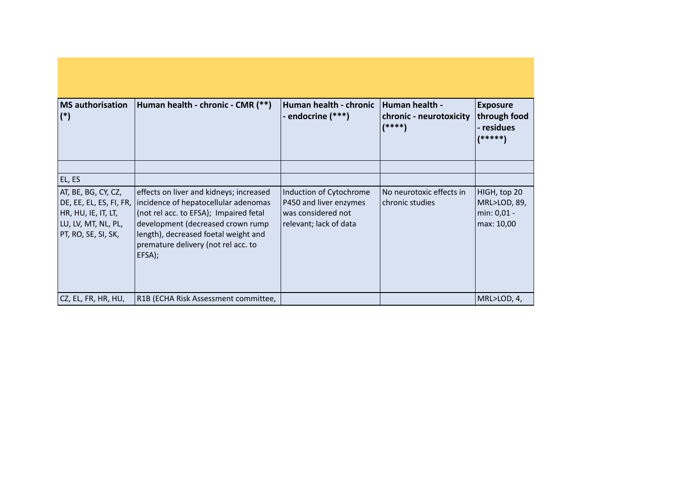| <b>MS</b> authorisation<br>$(*)$                                                                                    | Human health - chronic - CMR (**)                                                                                                                                                                                                                       | Human health - chronic<br>- endocrine (***)                                                       | Human health -<br>chronic - neurotoxicity<br>$(****)$ | <b>Exposure</b><br>through food<br>- residues<br>(*****)  |
|---------------------------------------------------------------------------------------------------------------------|---------------------------------------------------------------------------------------------------------------------------------------------------------------------------------------------------------------------------------------------------------|---------------------------------------------------------------------------------------------------|-------------------------------------------------------|-----------------------------------------------------------|
|                                                                                                                     |                                                                                                                                                                                                                                                         |                                                                                                   |                                                       |                                                           |
| EL, ES                                                                                                              |                                                                                                                                                                                                                                                         |                                                                                                   |                                                       |                                                           |
| AT, BE, BG, CY, CZ,<br>DE, EE, EL, ES, FI, FR,<br>HR, HU, IE, IT, LT,<br>LU, LV, MT, NL, PL,<br>PT, RO, SE, SI, SK, | effects on liver and kidneys; increased<br>incidence of hepatocellular adenomas<br>(not rel acc. to EFSA); Impaired fetal<br>development (decreased crown rump<br>length), decreased foetal weight and<br>premature delivery (not rel acc. to<br>EFSA); | Induction of Cytochrome<br>P450 and liver enzymes<br>was considered not<br>relevant; lack of data | No neurotoxic effects in<br>chronic studies           | HIGH, top 20<br>MRL>LOD, 89,<br>min: 0,01 -<br>max: 10,00 |
| CZ, EL, FR, HR, HU,                                                                                                 | R1B (ECHA Risk Assessment committee,                                                                                                                                                                                                                    |                                                                                                   |                                                       | MRL>LOD, 4,                                               |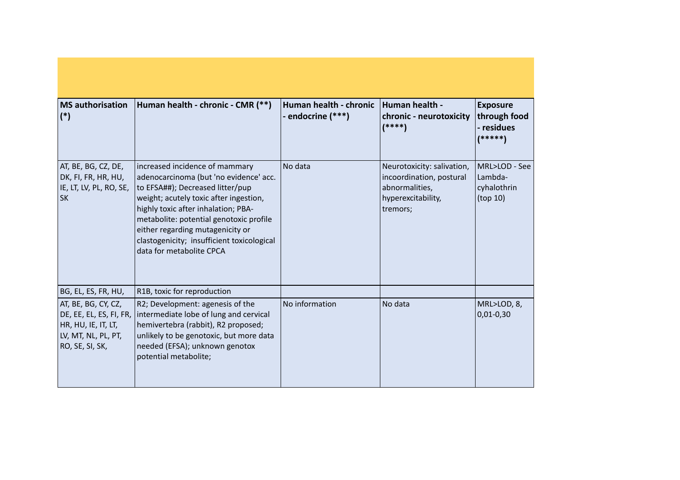| <b>MS</b> authorisation<br>$(*)$                                                     | Human health - chronic - CMR (**)                                                                                                                                                                                                                                                                                                                      | Human health - chronic<br>- endocrine (***) | Human health -<br>chronic - neurotoxicity<br>$(****)$                                                      | <b>Exposure</b><br>through food<br>- residues<br>(*****) |
|--------------------------------------------------------------------------------------|--------------------------------------------------------------------------------------------------------------------------------------------------------------------------------------------------------------------------------------------------------------------------------------------------------------------------------------------------------|---------------------------------------------|------------------------------------------------------------------------------------------------------------|----------------------------------------------------------|
| AT, BE, BG, CZ, DE,<br>DK, FI, FR, HR, HU,<br>IE, LT, LV, PL, RO, SE,<br><b>SK</b>   | increased incidence of mammary<br>adenocarcinoma (but 'no evidence' acc.<br>to EFSA##); Decreased litter/pup<br>weight; acutely toxic after ingestion,<br>highly toxic after inhalation; PBA-<br>metabolite: potential genotoxic profile<br>either regarding mutagenicity or<br>clastogenicity; insufficient toxicological<br>data for metabolite CPCA | No data                                     | Neurotoxicity: salivation,<br>incoordination, postural<br>abnormalities,<br>hyperexcitability,<br>tremors; | MRL>LOD - See<br>Lambda-<br>cyhalothrin<br>(top 10)      |
| BG, EL, ES, FR, HU,                                                                  | R1B, toxic for reproduction                                                                                                                                                                                                                                                                                                                            |                                             |                                                                                                            |                                                          |
| AT, BE, BG, CY, CZ,<br>HR, HU, IE, IT, LT,<br>LV, MT, NL, PL, PT,<br>RO, SE, SI, SK, | R2; Development: agenesis of the<br>DE, EE, EL, ES, FI, FR,   intermediate lobe of lung and cervical<br>hemivertebra (rabbit), R2 proposed;<br>unlikely to be genotoxic, but more data<br>needed (EFSA); unknown genotox<br>potential metabolite;                                                                                                      | No information                              | No data                                                                                                    | MRL>LOD, 8,<br>$0,01-0,30$                               |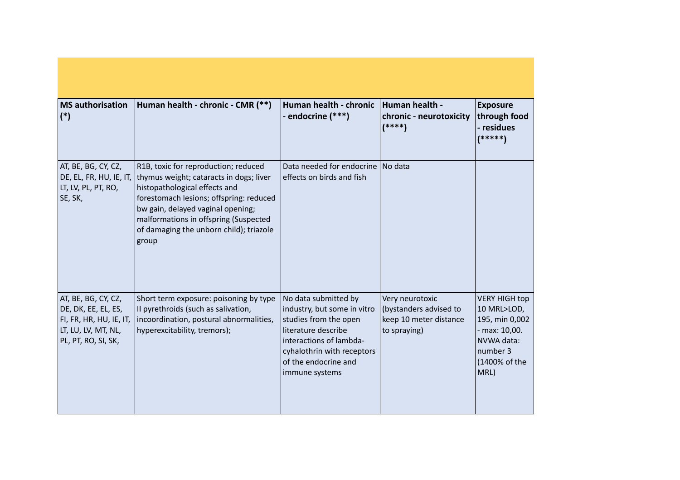| <b>MS</b> authorisation<br>$(*)$                                                                                    | Human health - chronic - CMR (**)                                                                                                                                                                                                                                                             | Human health - chronic<br>- endocrine (***)                                                                                                                                                             | Human health -<br>chronic - neurotoxicity<br>$(****)$                               | <b>Exposure</b><br>through food<br>- residues<br>(*****)                                                                  |
|---------------------------------------------------------------------------------------------------------------------|-----------------------------------------------------------------------------------------------------------------------------------------------------------------------------------------------------------------------------------------------------------------------------------------------|---------------------------------------------------------------------------------------------------------------------------------------------------------------------------------------------------------|-------------------------------------------------------------------------------------|---------------------------------------------------------------------------------------------------------------------------|
| AT, BE, BG, CY, CZ,<br>DE, EL, FR, HU, IE, IT,<br>LT, LV, PL, PT, RO,<br>SE, SK,                                    | R1B, toxic for reproduction; reduced<br>thymus weight; cataracts in dogs; liver<br>histopathological effects and<br>forestomach lesions; offspring: reduced<br>bw gain, delayed vaginal opening;<br>malformations in offspring (Suspected<br>of damaging the unborn child); triazole<br>group | Data needed for endocrine   No data<br>effects on birds and fish                                                                                                                                        |                                                                                     |                                                                                                                           |
| AT, BE, BG, CY, CZ,<br>DE, DK, EE, EL, ES,<br>FI, FR, HR, HU, IE, IT,<br>LT, LU, LV, MT, NL,<br>PL, PT, RO, SI, SK, | Short term exposure: poisoning by type<br>Il pyrethroids (such as salivation,<br>incoordination, postural abnormalities,<br>hyperexcitability, tremors);                                                                                                                                      | No data submitted by<br>industry, but some in vitro<br>studies from the open<br>lliterature describe<br>interactions of lambda-<br>cyhalothrin with receptors<br>of the endocrine and<br>immune systems | Very neurotoxic<br>(bystanders advised to<br>keep 10 meter distance<br>to spraying) | <b>VERY HIGH top</b><br>10 MRL>LOD,<br>195, min 0,002<br>- max: 10,00.<br>NVWA data:<br>number 3<br>(1400% of the<br>MRL) |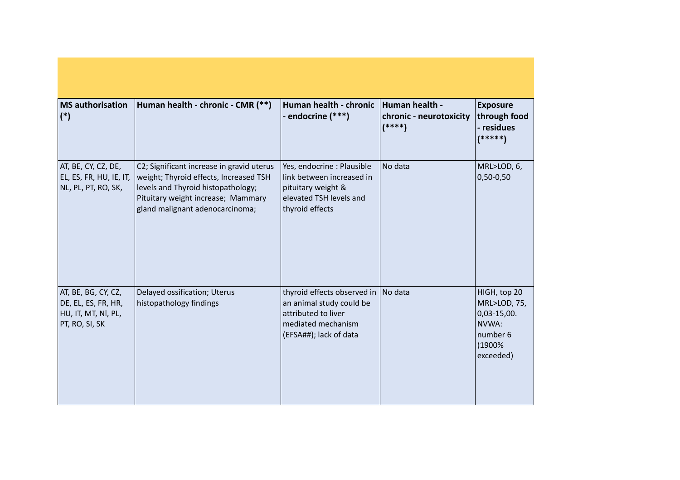| <b>MS</b> authorisation<br>$(*)$                                                    | Human health - chronic - CMR (**)                                                                                                                                                                  | Human health - chronic<br>- endocrine (***)                                                                                    | Human health -<br>chronic - neurotoxicity<br>$(****)$ | <b>Exposure</b><br>through food<br>- residues<br>$(*****)$                                |
|-------------------------------------------------------------------------------------|----------------------------------------------------------------------------------------------------------------------------------------------------------------------------------------------------|--------------------------------------------------------------------------------------------------------------------------------|-------------------------------------------------------|-------------------------------------------------------------------------------------------|
| AT, BE, CY, CZ, DE,<br>EL, ES, FR, HU, IE, IT,<br>NL, PL, PT, RO, SK,               | C2; Significant increase in gravid uterus<br>weight; Thyroid effects, Increased TSH<br>levels and Thyroid histopathology;<br>Pituitary weight increase; Mammary<br>gland malignant adenocarcinoma; | Yes, endocrine : Plausible<br>link between increased in<br>pituitary weight &<br>elevated TSH levels and<br>thyroid effects    | No data                                               | MRL>LOD, 6,<br>$0,50-0,50$                                                                |
| AT, BE, BG, CY, CZ,<br>DE, EL, ES, FR, HR,<br>HU, IT, MT, NI, PL,<br>PT, RO, SI, SK | Delayed ossification; Uterus<br>histopathology findings                                                                                                                                            | thyroid effects observed in<br>an animal study could be<br>attributed to liver<br>mediated mechanism<br>(EFSA##); lack of data | No data                                               | HIGH, top 20<br>MRL>LOD, 75,<br>$0,03-15,00.$<br>NVWA:<br>number 6<br>(1900%<br>exceeded) |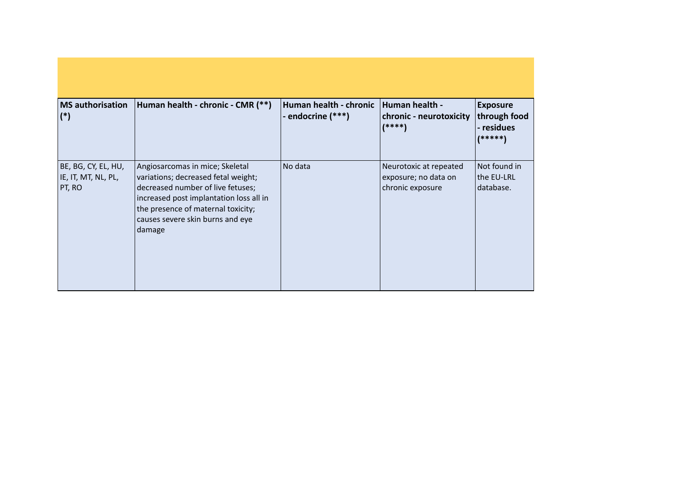| <b>MS</b> authorisation<br>$(*)$                     | Human health - chronic - CMR (**)                                                                                                                                                                                                          | Human health - chronic<br>- endocrine (***) | Human health -<br>chronic - neurotoxicity<br>$(****)$              | <b>Exposure</b><br>through food<br>- residues<br>(*****) |
|------------------------------------------------------|--------------------------------------------------------------------------------------------------------------------------------------------------------------------------------------------------------------------------------------------|---------------------------------------------|--------------------------------------------------------------------|----------------------------------------------------------|
| BE, BG, CY, EL, HU,<br>IE, IT, MT, NL, PL,<br>PT, RO | Angiosarcomas in mice; Skeletal<br>variations; decreased fetal weight;<br>decreased number of live fetuses;<br>increased post implantation loss all in<br>the presence of maternal toxicity;<br>causes severe skin burns and eye<br>damage | No data                                     | Neurotoxic at repeated<br>exposure; no data on<br>chronic exposure | Not found in<br>the EU-LRL<br>database.                  |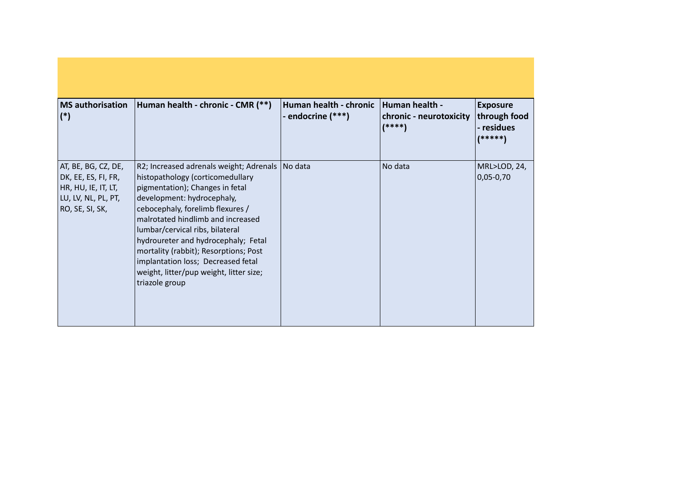| <b>MS</b> authorisation<br>$(*)$                                                                            | Human health - chronic - CMR (**)                                                                                                                                                                                                                                                                                                                                                                                                                     | Human health - chronic<br>- endocrine (***) | Human health -<br>chronic - neurotoxicity<br>$(****)$ | <b>Exposure</b><br>through food<br>- residues<br>(*****) |
|-------------------------------------------------------------------------------------------------------------|-------------------------------------------------------------------------------------------------------------------------------------------------------------------------------------------------------------------------------------------------------------------------------------------------------------------------------------------------------------------------------------------------------------------------------------------------------|---------------------------------------------|-------------------------------------------------------|----------------------------------------------------------|
| AT, BE, BG, CZ, DE,<br>DK, EE, ES, FI, FR,<br>HR, HU, IE, IT, LT,<br>LU, LV, NL, PL, PT,<br>RO, SE, SI, SK, | R2; Increased adrenals weight; Adrenals   No data<br>histopathology (corticomedullary<br>pigmentation); Changes in fetal<br>development: hydrocephaly,<br>cebocephaly, forelimb flexures /<br>malrotated hindlimb and increased<br>lumbar/cervical ribs, bilateral<br>hydroureter and hydrocephaly; Fetal<br>mortality (rabbit); Resorptions; Post<br>implantation loss; Decreased fetal<br>weight, litter/pup weight, litter size;<br>triazole group |                                             | No data                                               | MRL>LOD, 24,<br>$ 0,05-0,70 $                            |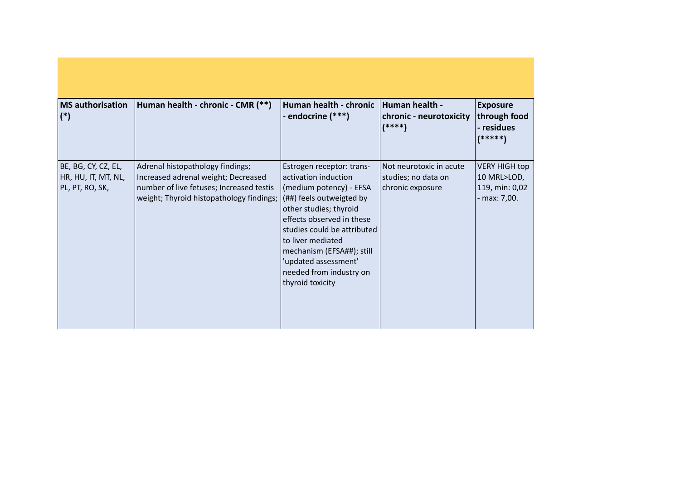| <b>MS</b> authorisation<br>$(*)$                              | Human health - chronic - CMR (**)                                                                                                                               | Human health - chronic<br>- endocrine (***)                                                                                                                                                                                                                                                                             | Human health -<br>chronic - neurotoxicity<br>$(****)$              | <b>Exposure</b><br>through food<br>- residues<br>$(*****)$            |
|---------------------------------------------------------------|-----------------------------------------------------------------------------------------------------------------------------------------------------------------|-------------------------------------------------------------------------------------------------------------------------------------------------------------------------------------------------------------------------------------------------------------------------------------------------------------------------|--------------------------------------------------------------------|-----------------------------------------------------------------------|
| BE, BG, CY, CZ, EL,<br>HR, HU, IT, MT, NL,<br>PL, PT, RO, SK, | Adrenal histopathology findings;<br>Increased adrenal weight; Decreased<br>number of live fetuses; Increased testis<br>weight; Thyroid histopathology findings; | Estrogen receptor: trans-<br>activation induction<br>(medium potency) - EFSA<br>(##) feels outweigted by<br>other studies; thyroid<br>effects observed in these<br>studies could be attributed<br>to liver mediated<br>mechanism (EFSA##); still<br>'updated assessment'<br>needed from industry on<br>thyroid toxicity | Not neurotoxic in acute<br>studies; no data on<br>chronic exposure | <b>VERY HIGH top</b><br>10 MRL>LOD,<br>119, min: 0,02<br>- max: 7,00. |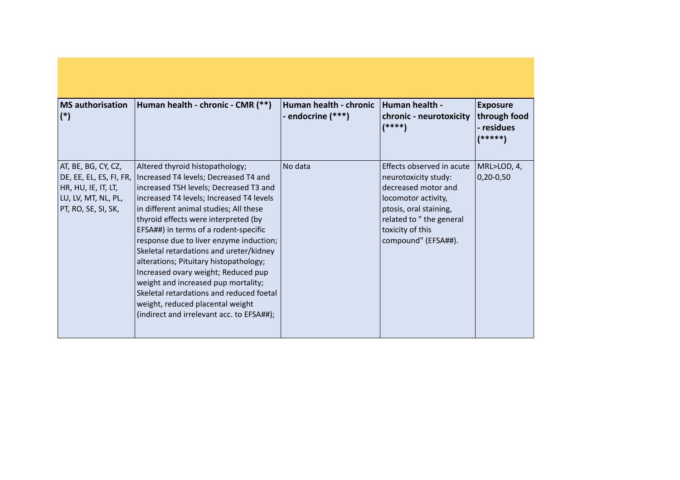| <b>MS</b> authorisation<br>$(*)$                                                                                    | Human health - chronic - CMR (**)                                                                                                                                                                                                                                                                                                                                                                                                                                                                                                                                                                                                    | Human health - chronic<br>- endocrine (***) | Human health -<br>chronic - neurotoxicity<br>$(****)$                                                                                                                                           | <b>Exposure</b><br>through food<br>- residues<br>(*****) |
|---------------------------------------------------------------------------------------------------------------------|--------------------------------------------------------------------------------------------------------------------------------------------------------------------------------------------------------------------------------------------------------------------------------------------------------------------------------------------------------------------------------------------------------------------------------------------------------------------------------------------------------------------------------------------------------------------------------------------------------------------------------------|---------------------------------------------|-------------------------------------------------------------------------------------------------------------------------------------------------------------------------------------------------|----------------------------------------------------------|
| AT, BE, BG, CY, CZ,<br>DE, EE, EL, ES, FI, FR,<br>HR, HU, IE, IT, LT,<br>LU, LV, MT, NL, PL,<br>PT, RO, SE, SI, SK, | Altered thyroid histopathology;<br>Increased T4 levels; Decreased T4 and<br>increased TSH levels; Decreased T3 and<br>increased T4 levels; Increased T4 levels<br>in different animal studies; All these<br>thyroid effects were interpreted (by<br>EFSA##) in terms of a rodent-specific<br>response due to liver enzyme induction;<br>Skeletal retardations and ureter/kidney<br>alterations; Pituitary histopathology;<br>Increased ovary weight; Reduced pup<br>weight and increased pup mortality;<br>Skeletal retardations and reduced foetal<br>weight, reduced placental weight<br>(indirect and irrelevant acc. to EFSA##); | No data                                     | Effects observed in acute<br>neurotoxicity study:<br>decreased motor and<br>locomotor activity,<br>ptosis, oral staining,<br>related to "the general<br>toxicity of this<br>compound" (EFSA##). | MRL>LOD, 4,<br>$0,20-0,50$                               |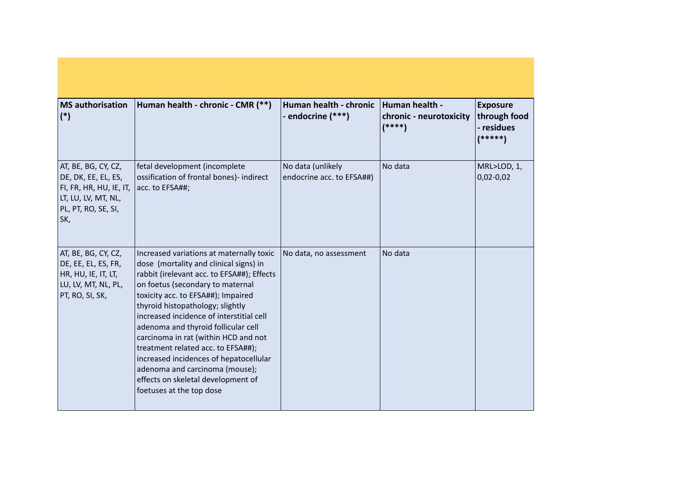| <b>MS</b> authorisation<br>$(*)$                                                                                           | Human health - chronic - CMR (**)                                                                                                                                                                                                                                                                                                                                                                                                                                                                                                                             | Human health - chronic<br>- endocrine (***)    | Human health -<br>chronic - neurotoxicity<br>$(****)$ | <b>Exposure</b><br>through food<br>- residues<br>$(*****)$ |
|----------------------------------------------------------------------------------------------------------------------------|---------------------------------------------------------------------------------------------------------------------------------------------------------------------------------------------------------------------------------------------------------------------------------------------------------------------------------------------------------------------------------------------------------------------------------------------------------------------------------------------------------------------------------------------------------------|------------------------------------------------|-------------------------------------------------------|------------------------------------------------------------|
| AT, BE, BG, CY, CZ,<br>DE, DK, EE, EL, ES,<br>FI, FR, HR, HU, IE, IT,<br>LT, LU, LV, MT, NL,<br>PL, PT, RO, SE, SI,<br>SK, | fetal development (incomplete<br>ossification of frontal bones)- indirect<br>acc. to EFSA##;                                                                                                                                                                                                                                                                                                                                                                                                                                                                  | No data (unlikely<br>endocrine acc. to EFSA##) | No data                                               | MRL>LOD, 1,<br>$0,02 - 0,02$                               |
| AT, BE, BG, CY, CZ,<br>DE, EE, EL, ES, FR,<br>HR, HU, IE, IT, LT,<br>LU, LV, MT, NL, PL,<br>PT, RO, SI, SK,                | Increased variations at maternally toxic<br>dose (mortality and clinical signs) in<br>rabbit (irelevant acc. to EFSA##); Effects<br>on foetus (secondary to maternal<br>toxicity acc. to EFSA##); Impaired<br>thyroid histopathology; slightly<br>increased incidence of interstitial cell<br>adenoma and thyroid follicular cell<br>carcinoma in rat (within HCD and not<br>treatment related acc. to EFSA##);<br>increased incidences of hepatocellular<br>adenoma and carcinoma (mouse);<br>effects on skeletal development of<br>foetuses at the top dose | No data, no assessment                         | No data                                               |                                                            |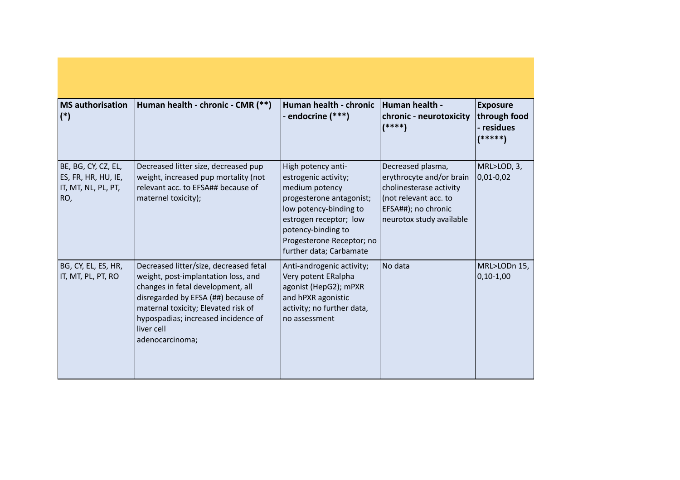| <b>MS</b> authorisation<br>$(*)$                                         | Human health - chronic - CMR (**)                                                                                                                                                                                                                                        | Human health - chronic<br>- endocrine (***)                                                                                                                                                                                | Human health -<br>chronic - neurotoxicity<br>$(****)$                                                                                                | <b>Exposure</b><br>through food<br>- residues<br>(*****) |
|--------------------------------------------------------------------------|--------------------------------------------------------------------------------------------------------------------------------------------------------------------------------------------------------------------------------------------------------------------------|----------------------------------------------------------------------------------------------------------------------------------------------------------------------------------------------------------------------------|------------------------------------------------------------------------------------------------------------------------------------------------------|----------------------------------------------------------|
| BE, BG, CY, CZ, EL,<br>ES, FR, HR, HU, IE,<br>IT, MT, NL, PL, PT,<br>RO, | Decreased litter size, decreased pup<br>weight, increased pup mortality (not<br>relevant acc. to EFSA## because of<br>maternel toxicity);                                                                                                                                | High potency anti-<br>estrogenic activity;<br>medium potency<br>progesterone antagonist;<br>low potency-binding to<br>estrogen receptor; low<br>potency-binding to<br>Progesterone Receptor; no<br>further data; Carbamate | Decreased plasma,<br>erythrocyte and/or brain<br>cholinesterase activity<br>(not relevant acc. to<br>EFSA##); no chronic<br>neurotox study available | MRL>LOD, 3,<br>$0,01 - 0,02$                             |
| BG, CY, EL, ES, HR,<br>IT, MT, PL, PT, RO                                | Decreased litter/size, decreased fetal<br>weight, post-implantation loss, and<br>changes in fetal development, all<br>disregarded by EFSA (##) because of<br>maternal toxicity; Elevated risk of<br>hypospadias; increased incidence of<br>liver cell<br>adenocarcinoma; | Anti-androgenic activity;<br>Very potent ERalpha<br>agonist (HepG2); mPXR<br>and hPXR agonistic<br>activity; no further data,<br>no assessment                                                                             | No data                                                                                                                                              | MRL>LODn 15,<br>$0,10-1,00$                              |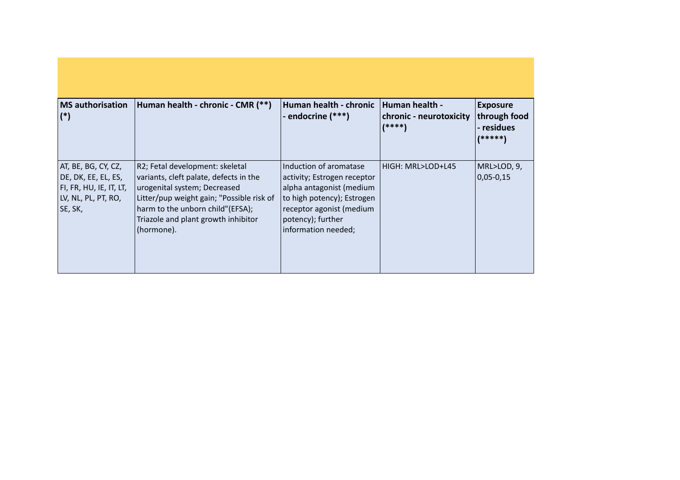| <b>MS</b> authorisation<br>$(*)$                                                                         | Human health - chronic - CMR (**)                                                                                                                                                                                                               | Human health - chronic<br>- endocrine (***)                                                                                                                                             | <b>Human health -</b><br>chronic - neurotoxicity<br>(****) | <b>Exposure</b><br>through food<br>- residues<br>(*****) |
|----------------------------------------------------------------------------------------------------------|-------------------------------------------------------------------------------------------------------------------------------------------------------------------------------------------------------------------------------------------------|-----------------------------------------------------------------------------------------------------------------------------------------------------------------------------------------|------------------------------------------------------------|----------------------------------------------------------|
| AT, BE, BG, CY, CZ,<br>DE, DK, EE, EL, ES,<br> FI, FR, HU, IE, IT, LT,<br>LV, NL, PL, PT, RO,<br>SE, SK, | R2; Fetal development: skeletal<br>variants, cleft palate, defects in the<br>urogenital system; Decreased<br>Litter/pup weight gain; "Possible risk of<br>harm to the unborn child"(EFSA);<br>Triazole and plant growth inhibitor<br>(hormone). | Induction of aromatase<br>activity; Estrogen receptor<br>alpha antagonist (medium<br>to high potency); Estrogen<br>receptor agonist (medium<br>potency); further<br>information needed; | HIGH: MRL>LOD+L45                                          | MRL>LOD, 9,<br>$0,05 - 0,15$                             |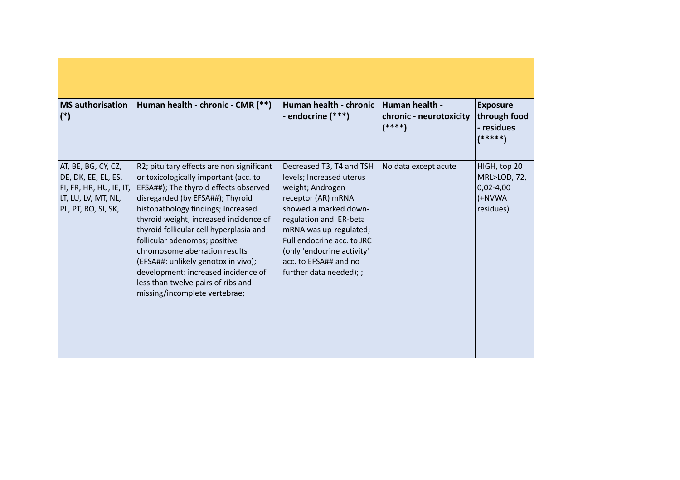| <b>MS</b> authorisation<br>$(*)$                                                                                    | Human health - chronic - CMR (**)                                                                                                                                                                                                                                                                                                                                                                                                                                                                                 | Human health - chronic<br>- endocrine (***)                                                                                                                                                                                                                                                  | Human health -<br>chronic - neurotoxicity<br>$(****)$ | <b>Exposure</b><br>through food<br>- residues<br>$(*****]$           |
|---------------------------------------------------------------------------------------------------------------------|-------------------------------------------------------------------------------------------------------------------------------------------------------------------------------------------------------------------------------------------------------------------------------------------------------------------------------------------------------------------------------------------------------------------------------------------------------------------------------------------------------------------|----------------------------------------------------------------------------------------------------------------------------------------------------------------------------------------------------------------------------------------------------------------------------------------------|-------------------------------------------------------|----------------------------------------------------------------------|
| AT, BE, BG, CY, CZ,<br>DE, DK, EE, EL, ES,<br>FI, FR, HR, HU, IE, IT,<br>LT, LU, LV, MT, NL,<br>PL, PT, RO, SI, SK, | R2; pituitary effects are non significant<br>or toxicologically important (acc. to<br>EFSA##); The thyroid effects observed<br>disregarded (by EFSA##); Thyroid<br>histopathology findings; Increased<br>thyroid weight; increased incidence of<br>thyroid follicular cell hyperplasia and<br>follicular adenomas; positive<br>chromosome aberration results<br>(EFSA##: unlikely genotox in vivo);<br>development: increased incidence of<br>less than twelve pairs of ribs and<br>missing/incomplete vertebrae; | Decreased T3, T4 and TSH<br>levels; Increased uterus<br>weight; Androgen<br>receptor (AR) mRNA<br>showed a marked down-<br>regulation and ER-beta<br>mRNA was up-regulated;<br>Full endocrine acc. to JRC<br>(only 'endocrine activity'<br>acc. to EFSA## and no<br> further data needed); ; | No data except acute                                  | HIGH, top 20<br>MRL>LOD, 72,<br>$0,02 - 4,00$<br>(+NVWA<br>residues) |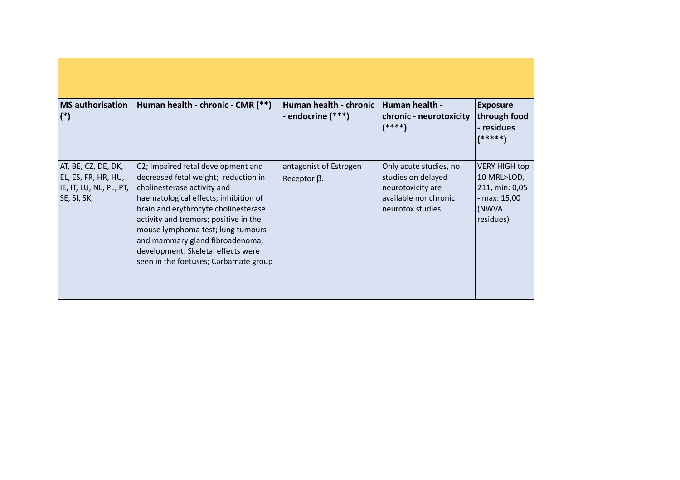| <b>MS</b> authorisation<br>$(*)$                                                     | Human health - chronic - CMR (**)                                                                                                                                                                                                                                                                                                                                                          | Human health - chronic<br>- endocrine (***)      | Human health -<br>chronic - neurotoxicity<br>$(****)$                                                          | <b>Exposure</b><br>through food<br>- residues<br>(*****)                                  |
|--------------------------------------------------------------------------------------|--------------------------------------------------------------------------------------------------------------------------------------------------------------------------------------------------------------------------------------------------------------------------------------------------------------------------------------------------------------------------------------------|--------------------------------------------------|----------------------------------------------------------------------------------------------------------------|-------------------------------------------------------------------------------------------|
| AT, BE, CZ, DE, DK,<br>EL, ES, FR, HR, HU,<br>IE, IT, LU, NL, PL, PT,<br>SE, SI, SK, | C2; Impaired fetal development and<br>decreased fetal weight; reduction in<br>cholinesterase activity and<br>haematological effects; inhibition of<br>brain and erythrocyte cholinesterase<br>activity and tremors; positive in the<br>mouse lymphoma test; lung tumours<br>and mammary gland fibroadenoma;<br>development: Skeletal effects were<br>seen in the foetuses; Carbamate group | antagonist of Estrogen<br>$ $ Receptor $\beta$ . | Only acute studies, no<br>studies on delayed<br>neurotoxicity are<br>available nor chronic<br>neurotox studies | <b>VERY HIGH top</b><br>10 MRL>LOD,<br>211, min: 0,05<br>max: 15,00<br>(NWVA<br>residues) |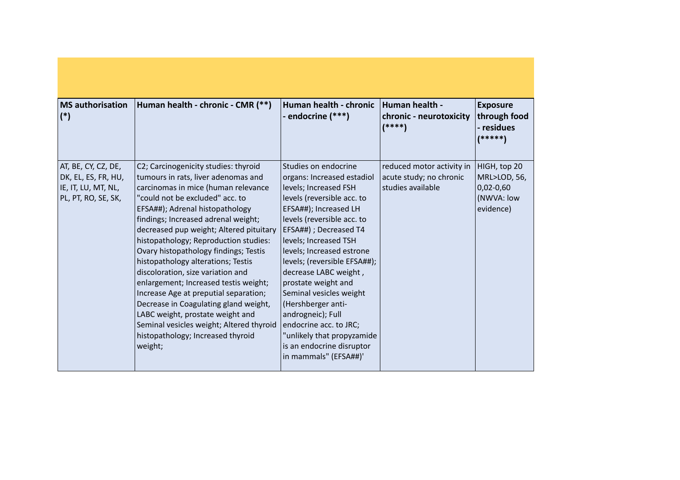| <b>MS</b> authorisation<br>$(*)$                                                         | Human health - chronic - CMR (**)                                                                                                                                                                                                                                                                                                                                                                                                                                                                                                                                                                                                                                                                  | Human health - chronic<br>- endocrine (***)                                                                                                                                                                                                                                                                                                                                                                                                                                                                          | Human health -<br>chronic - neurotoxicity<br>$(****)$                     | <b>Exposure</b><br>through food<br>- residues<br>(*****)                         |
|------------------------------------------------------------------------------------------|----------------------------------------------------------------------------------------------------------------------------------------------------------------------------------------------------------------------------------------------------------------------------------------------------------------------------------------------------------------------------------------------------------------------------------------------------------------------------------------------------------------------------------------------------------------------------------------------------------------------------------------------------------------------------------------------------|----------------------------------------------------------------------------------------------------------------------------------------------------------------------------------------------------------------------------------------------------------------------------------------------------------------------------------------------------------------------------------------------------------------------------------------------------------------------------------------------------------------------|---------------------------------------------------------------------------|----------------------------------------------------------------------------------|
| AT, BE, CY, CZ, DE,<br>DK, EL, ES, FR, HU,<br>IE, IT, LU, MT, NL,<br>PL, PT, RO, SE, SK, | C2; Carcinogenicity studies: thyroid<br>tumours in rats, liver adenomas and<br>carcinomas in mice (human relevance<br>"could not be excluded" acc. to<br>EFSA##); Adrenal histopathology<br>findings; Increased adrenal weight;<br>decreased pup weight; Altered pituitary<br>histopathology; Reproduction studies:<br>Ovary histopathology findings; Testis<br>histopathology alterations; Testis<br>discoloration, size variation and<br>enlargement; Increased testis weight;<br>Increase Age at preputial separation;<br>Decrease in Coagulating gland weight,<br>LABC weight, prostate weight and<br>Seminal vesicles weight; Altered thyroid<br>histopathology; Increased thyroid<br>weight; | Studies on endocrine<br>organs: Increased estadiol<br>levels; Increased FSH<br>levels (reversible acc. to<br>EFSA##); Increased LH<br>levels (reversible acc. to<br>EFSA##) ; Decreased T4<br>levels; Increased TSH<br>levels; Increased estrone<br>levels; (reversible EFSA##);<br>decrease LABC weight,<br>prostate weight and<br>Seminal vesicles weight<br>(Hershberger anti-<br>androgneic); Full<br>endocrine acc. to JRC;<br>"unlikely that propyzamide<br>is an endocrine disruptor<br>in mammals" (EFSA##)' | reduced motor activity in<br>acute study; no chronic<br>studies available | HIGH, top 20<br><b>MRL&gt;LOD, 56,</b><br>$0,02-0,60$<br>(NWVA: low<br>evidence) |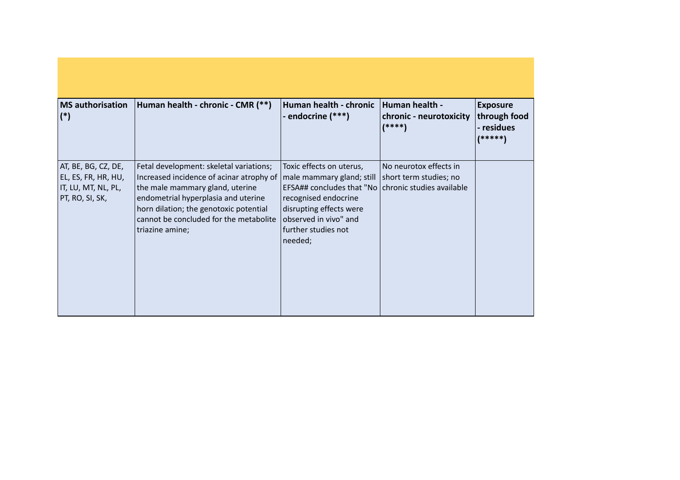| <b>MS</b> authorisation<br>$(*)$                                                     | Human health - chronic - CMR (**)                                                                                                                                                                                                                                                                | Human health - chronic<br>- endocrine (***)                                                                                                                                                     | Human health -<br>chronic - neurotoxicity<br>$(****)$ | <b>Exposure</b><br>through food<br>- residues<br> ***** |
|--------------------------------------------------------------------------------------|--------------------------------------------------------------------------------------------------------------------------------------------------------------------------------------------------------------------------------------------------------------------------------------------------|-------------------------------------------------------------------------------------------------------------------------------------------------------------------------------------------------|-------------------------------------------------------|---------------------------------------------------------|
| AT, BE, BG, CZ, DE,<br>EL, ES, FR, HR, HU,<br>IT, LU, MT, NL, PL,<br>PT, RO, SI, SK, | Fetal development: skeletal variations;<br>Increased incidence of acinar atrophy of   male mammary gland; still<br>the male mammary gland, uterine<br>endometrial hyperplasia and uterine<br>horn dilation; the genotoxic potential<br>cannot be concluded for the metabolite<br>triazine amine; | Toxic effects on uterus,<br>EFSA## concludes that "No   chronic studies available<br>recognised endocrine<br>disrupting effects were<br>observed in vivo" and<br>further studies not<br>needed; | No neurotox effects in<br>short term studies; no      |                                                         |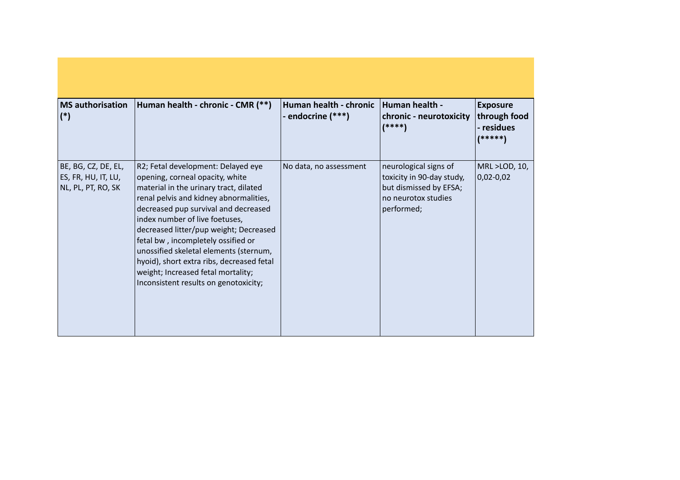| <b>MS</b> authorisation<br>$(*)$                                 | Human health - chronic - CMR (**)                                                                                                                                                                                                                                                                                                                                                                                                                                                         | Human health - chronic<br>- endocrine (***) | Human health -<br>chronic - neurotoxicity<br>$(****)$                                                             | <b>Exposure</b><br>through food<br>- residues<br>(*****) |
|------------------------------------------------------------------|-------------------------------------------------------------------------------------------------------------------------------------------------------------------------------------------------------------------------------------------------------------------------------------------------------------------------------------------------------------------------------------------------------------------------------------------------------------------------------------------|---------------------------------------------|-------------------------------------------------------------------------------------------------------------------|----------------------------------------------------------|
| BE, BG, CZ, DE, EL,<br>ES, FR, HU, IT, LU,<br>NL, PL, PT, RO, SK | R2; Fetal development: Delayed eye<br>opening, corneal opacity, white<br>material in the urinary tract, dilated<br>renal pelvis and kidney abnormalities,<br>decreased pup survival and decreased<br>index number of live foetuses,<br>decreased litter/pup weight; Decreased<br>fetal bw, incompletely ossified or<br>unossified skeletal elements (sternum,<br>hyoid), short extra ribs, decreased fetal<br>weight; Increased fetal mortality;<br>Inconsistent results on genotoxicity; | No data, no assessment                      | neurological signs of<br>toxicity in 90-day study,<br>but dismissed by EFSA;<br>no neurotox studies<br>performed; | MRL >LOD, 10,<br>$ 0,02-0,02 $                           |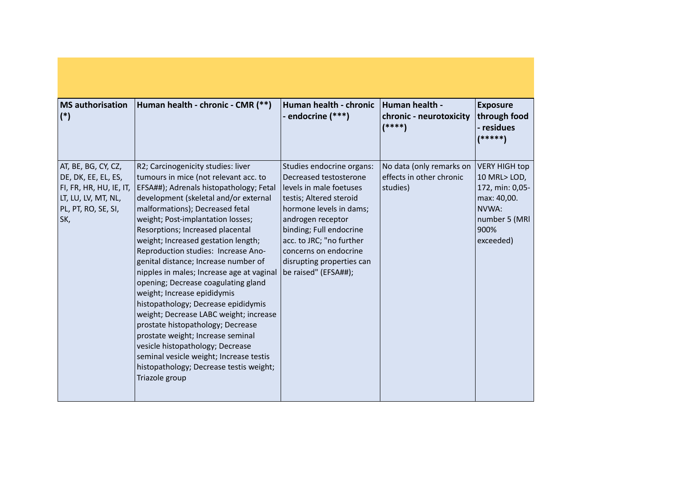| <b>MS</b> authorisation<br>$(*)$                                                                                           | Human health - chronic - CMR (**)                                                                                                                                                                                                                                                                                                                                                                                                                                                                                                                                                                                                                                                                                                                                                                                           | Human health - chronic<br>- endocrine (***)                                                                                                                                                                                                                                                    | Human health -<br>chronic - neurotoxicity<br>$(****)$            | <b>Exposure</b><br>through food<br>- residues<br>(*****)                                                             |
|----------------------------------------------------------------------------------------------------------------------------|-----------------------------------------------------------------------------------------------------------------------------------------------------------------------------------------------------------------------------------------------------------------------------------------------------------------------------------------------------------------------------------------------------------------------------------------------------------------------------------------------------------------------------------------------------------------------------------------------------------------------------------------------------------------------------------------------------------------------------------------------------------------------------------------------------------------------------|------------------------------------------------------------------------------------------------------------------------------------------------------------------------------------------------------------------------------------------------------------------------------------------------|------------------------------------------------------------------|----------------------------------------------------------------------------------------------------------------------|
| AT, BE, BG, CY, CZ,<br>DE, DK, EE, EL, ES,<br>FI, FR, HR, HU, IE, IT,<br>LT, LU, LV, MT, NL,<br>PL, PT, RO, SE, SI,<br>SK, | R2; Carcinogenicity studies: liver<br>tumours in mice (not relevant acc. to<br>EFSA##); Adrenals histopathology; Fetal<br>development (skeletal and/or external<br>malformations); Decreased fetal<br>weight; Post-implantation losses;<br>Resorptions; Increased placental<br>weight; Increased gestation length;<br>Reproduction studies: Increase Ano-<br>genital distance; Increase number of<br>nipples in males; Increase age at vaginal<br>opening; Decrease coagulating gland<br>weight; Increase epididymis<br>histopathology; Decrease epididymis<br>weight; Decrease LABC weight; increase<br>prostate histopathology; Decrease<br>prostate weight; Increase seminal<br>vesicle histopathology; Decrease<br>seminal vesicle weight; Increase testis<br>histopathology; Decrease testis weight;<br>Triazole group | Studies endocrine organs:<br>Decreased testosterone<br>levels in male foetuses<br>testis; Altered steroid<br>hormone levels in dams;<br>androgen receptor<br>binding; Full endocrine<br>acc. to JRC; "no further<br>concerns on endocrine<br>disrupting properties can<br>be raised" (EFSA##); | No data (only remarks on<br>effects in other chronic<br>studies) | <b>VERY HIGH top</b><br>10 MRL>LOD,<br>172, min: 0,05-<br>max: 40,00.<br>NVWA:<br>number 5 (MRI<br>900%<br>exceeded) |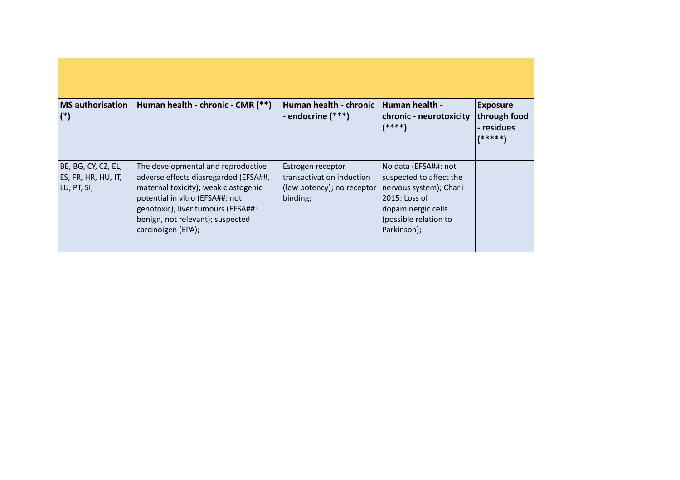| <b>MS</b> authorisation<br>$(*)$                          | Human health - chronic - CMR (**)                                                                                                                                                                                                                        | Human health - chronic<br>- endocrine (***)                                              | Human health -<br><b>chronic</b> - neurotoxicity<br>$(****)$                                                                                              | <b>Exposure</b><br>through food<br>- residues<br>(*****) |
|-----------------------------------------------------------|----------------------------------------------------------------------------------------------------------------------------------------------------------------------------------------------------------------------------------------------------------|------------------------------------------------------------------------------------------|-----------------------------------------------------------------------------------------------------------------------------------------------------------|----------------------------------------------------------|
| BE, BG, CY, CZ, EL,<br>ES, FR, HR, HU, IT,<br>LU, PT, SI, | The developmental and reproductive<br>adverse effects diasregarded (EFSA##,<br>maternal toxicity); weak clastogenic<br>potential in vitro (EFSA##: not<br>genotoxic); liver tumours (EFSA##:<br>benign, not relevant); suspected<br>  carcinoigen (EPA); | Estrogen receptor<br>transactivation induction<br>(low potency); no receptor<br>binding; | No data (EFSA##: not<br>suspected to affect the<br>nervous system); Charli<br>2015: Loss of<br>dopaminergic cells<br>(possible relation to<br>Parkinson); |                                                          |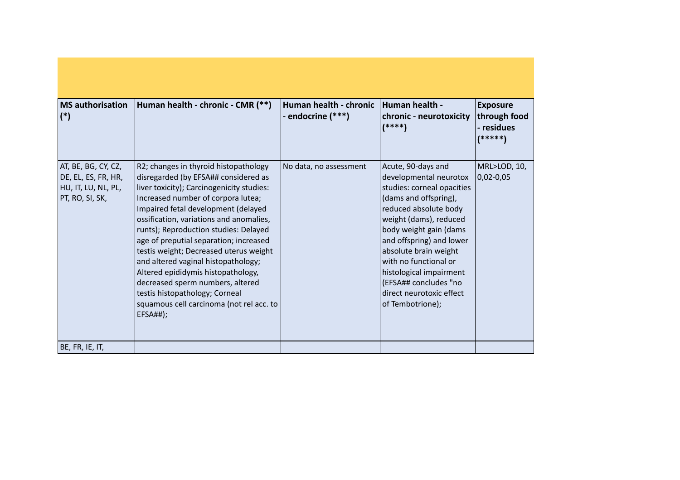| <b>MS</b> authorisation<br>$(*)$                                                     | Human health - chronic - CMR (**)                                                                                                                                                                                                                                                                                                                                                                                                                                                                                                                                                                 | Human health - chronic<br>- endocrine (***) | Human health -<br>chronic - neurotoxicity<br>$(****)$                                                                                                                                                                                                                                                                                                              | <b>Exposure</b><br>through food<br>- residues<br>(*****) |
|--------------------------------------------------------------------------------------|---------------------------------------------------------------------------------------------------------------------------------------------------------------------------------------------------------------------------------------------------------------------------------------------------------------------------------------------------------------------------------------------------------------------------------------------------------------------------------------------------------------------------------------------------------------------------------------------------|---------------------------------------------|--------------------------------------------------------------------------------------------------------------------------------------------------------------------------------------------------------------------------------------------------------------------------------------------------------------------------------------------------------------------|----------------------------------------------------------|
| AT, BE, BG, CY, CZ,<br>DE, EL, ES, FR, HR,<br>HU, IT, LU, NL, PL,<br>PT, RO, SI, SK, | R2; changes in thyroid histopathology<br>disregarded (by EFSA## considered as<br>liver toxicity); Carcinogenicity studies:<br>Increased number of corpora lutea;<br>Impaired fetal development (delayed<br>ossification, variations and anomalies,<br>runts); Reproduction studies: Delayed<br>age of preputial separation; increased<br>testis weight; Decreased uterus weight<br>and altered vaginal histopathology;<br>Altered epididymis histopathology,<br>decreased sperm numbers, altered<br>testis histopathology; Corneal<br>squamous cell carcinoma (not rel acc. to<br><b>EFSA##);</b> | No data, no assessment                      | Acute, 90-days and<br>developmental neurotox<br>studies: corneal opacities<br>(dams and offspring),<br>reduced absolute body<br>weight (dams), reduced<br>body weight gain (dams<br>and offspring) and lower<br>absolute brain weight<br>with no functional or<br>histological impairment<br>(EFSA## concludes "no<br>direct neurotoxic effect<br>of Tembotrione); | MRL>LOD, 10,<br>$0,02 - 0,05$                            |
| BE, FR, IE, IT,                                                                      |                                                                                                                                                                                                                                                                                                                                                                                                                                                                                                                                                                                                   |                                             |                                                                                                                                                                                                                                                                                                                                                                    |                                                          |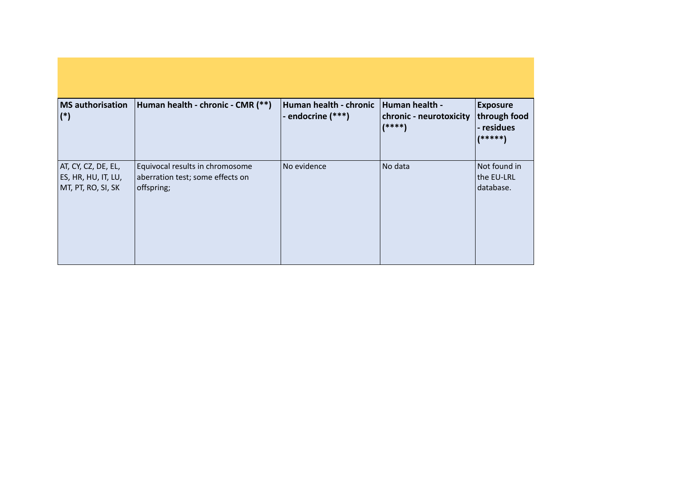| <b>MS</b> authorisation                                          |                                                                                   | Human health - chronic | Human health -                      |                                                             |
|------------------------------------------------------------------|-----------------------------------------------------------------------------------|------------------------|-------------------------------------|-------------------------------------------------------------|
| $(*)$                                                            | Human health - chronic - CMR (**)                                                 | - endocrine (***)      | chronic - neurotoxicity<br>$(****)$ | <b>Exposure</b><br>through food<br>- residues<br>$(*****")$ |
| AT, CY, CZ, DE, EL,<br>ES, HR, HU, IT, LU,<br>MT, PT, RO, SI, SK | Equivocal results in chromosome<br>aberration test; some effects on<br>offspring; | No evidence            | No data                             | Not found in<br>the EU-LRL<br>database.                     |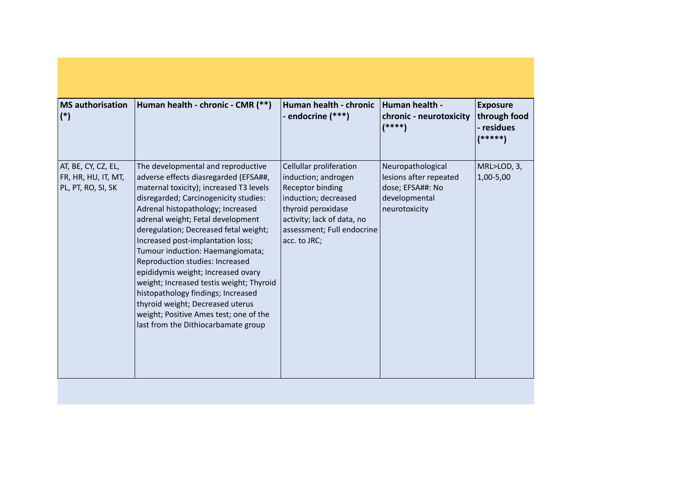| <b>MS</b> authorisation<br>$(*)$                                 | Human health - chronic - CMR (**)                                                                                                                                                                                                                                                                                                                                                                                                                                                                                                                                                                                                           | Human health - chronic<br>- endocrine (***)                                                                                                                                                         | Human health -<br>chronic - neurotoxicity<br>$(****)$                                             | <b>Exposure</b><br>through food<br>- residues<br>(*****) |
|------------------------------------------------------------------|---------------------------------------------------------------------------------------------------------------------------------------------------------------------------------------------------------------------------------------------------------------------------------------------------------------------------------------------------------------------------------------------------------------------------------------------------------------------------------------------------------------------------------------------------------------------------------------------------------------------------------------------|-----------------------------------------------------------------------------------------------------------------------------------------------------------------------------------------------------|---------------------------------------------------------------------------------------------------|----------------------------------------------------------|
| AT, BE, CY, CZ, EL,<br>FR, HR, HU, IT, MT,<br>PL, PT, RO, SI, SK | The developmental and reproductive<br>adverse effects diasregarded (EFSA##,<br>maternal toxicity); increased T3 levels<br>disregarded; Carcinogenicity studies:<br>Adrenal histopathology; Increased<br>adrenal weight; Fetal development<br>deregulation; Decreased fetal weight;<br>Increased post-implantation loss;<br>Tumour induction: Haemangiomata;<br>Reproduction studies: Increased<br>epididymis weight; Increased ovary<br>weight; Increased testis weight; Thyroid<br>histopathology findings; Increased<br>thyroid weight; Decreased uterus<br>weight; Positive Ames test; one of the<br>last from the Dithiocarbamate group | Cellullar proliferation<br>induction; androgen<br><b>Receptor binding</b><br>induction; decreased<br>thyroid peroxidase<br>activity; lack of data, no<br>assessment; Full endocrine<br>acc. to JRC; | Neuropathological<br>lesions after repeated<br>dose; EFSA##: No<br>developmental<br>neurotoxicity | MRL>LOD, 3,<br>1,00-5,00                                 |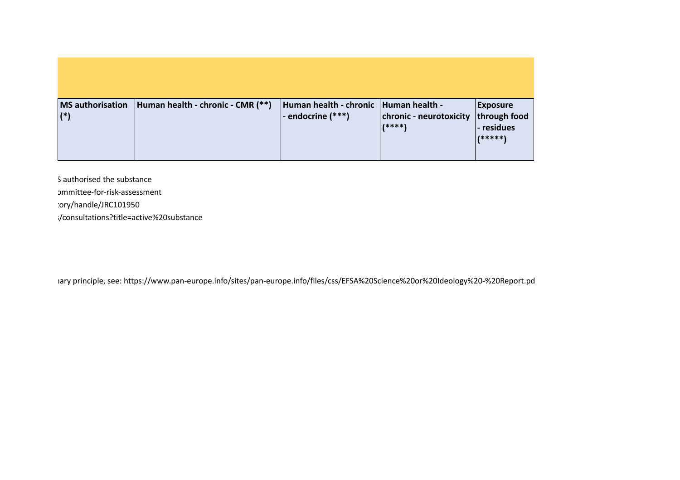| <b>MS</b> authorisation<br>$(*)$ | Human health - chronic - CMR (**) | Human health - chronic   Human health -<br>- endocrine (***) | chronic - neurotoxicity<br>$(****)$ | <b>Exposure</b><br>through food<br>- residues<br>$1*****$ |
|----------------------------------|-----------------------------------|--------------------------------------------------------------|-------------------------------------|-----------------------------------------------------------|

S authorised the substance om mittee-for-risk-assessment :ory/handle/JRC101950  $\cdot$ /consultations?title=active%20substance

iary principle, see: https://www.pan-europe.info/sites/pan-europe.info/files/css/EFSA%20Science%20or%20Ideology%20-%20Report.pd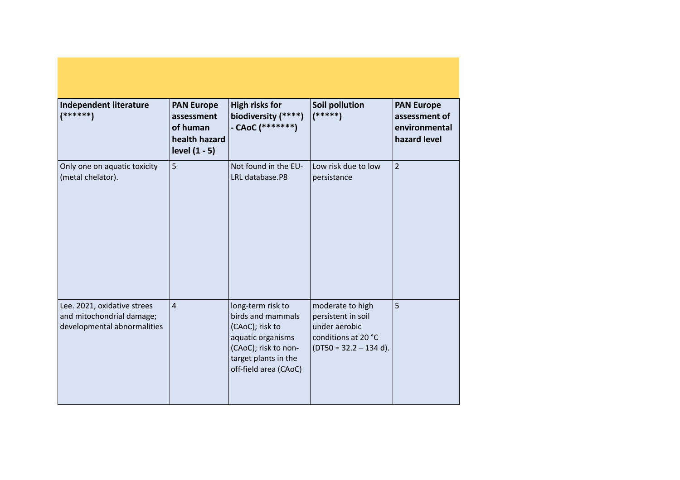| Independent literature<br>(******)                                                      | <b>PAN Europe</b><br>assessment<br>of human<br>health hazard<br>level $(1 - 5)$ | <b>High risks for</b><br>biodiversity (****)<br>- CAoC $(******")$                                                                                      | <b>Soil pollution</b><br>$(*****)$                                                                         | <b>PAN Europe</b><br>assessment of<br>environmental<br>hazard level |
|-----------------------------------------------------------------------------------------|---------------------------------------------------------------------------------|---------------------------------------------------------------------------------------------------------------------------------------------------------|------------------------------------------------------------------------------------------------------------|---------------------------------------------------------------------|
| Only one on aquatic toxicity<br>(metal chelator).                                       | 5                                                                               | Not found in the EU-<br>LRL database.P8                                                                                                                 | Low risk due to low<br>persistance                                                                         | $\overline{2}$                                                      |
| Lee. 2021, oxidative strees<br>and mitochondrial damage;<br>developmental abnormalities | $\overline{4}$                                                                  | long-term risk to<br>birds and mammals<br>(CAoC); risk to<br>aquatic organisms<br>(CAoC); risk to non-<br>target plants in the<br>off-field area (CAoC) | moderate to high<br>persistent in soil<br>under aerobic<br>conditions at 20 °C<br>$(DT50 = 32.2 - 134 d).$ | 5                                                                   |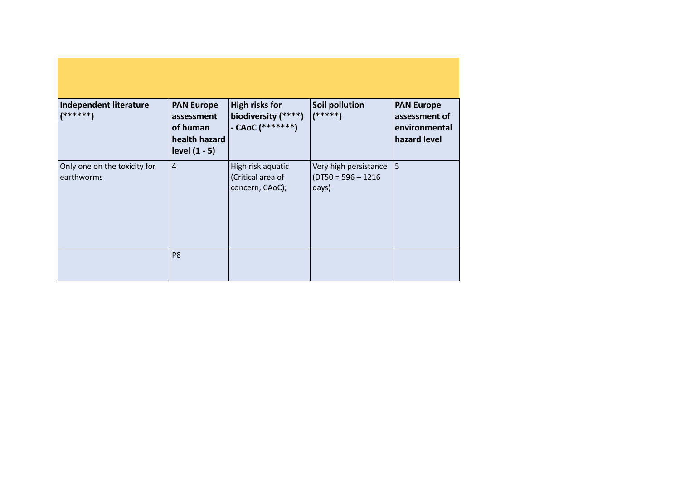| Independent literature<br>$(******)$       | <b>PAN Europe</b><br>assessment<br>of human<br>health hazard<br>level (1 - 5) | High risks for<br>biodiversity (****)<br>$-$ CAoC (********) | Soil pollution<br>$(****")$                            | <b>PAN Europe</b><br>assessment of<br>environmental<br>hazard level |
|--------------------------------------------|-------------------------------------------------------------------------------|--------------------------------------------------------------|--------------------------------------------------------|---------------------------------------------------------------------|
| Only one on the toxicity for<br>earthworms | 4                                                                             | High risk aquatic<br>(Critical area of<br>concern, CAoC);    | Very high persistance<br>$(DTS0 = 596 - 1216$<br>days) | 5                                                                   |
|                                            | P <sub>8</sub>                                                                |                                                              |                                                        |                                                                     |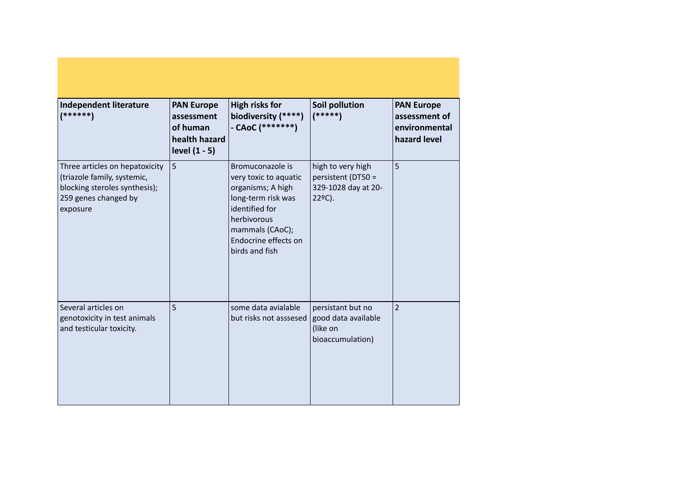| Independent literature<br>$(******")$                                                                                              | <b>PAN Europe</b><br>assessment<br>of human<br>health hazard<br>level (1 - 5) | High risks for<br>biodiversity (****)<br>- CAoC $(******")$                                                                                                                        | <b>Soil pollution</b><br>$(*****)$                                       | <b>PAN Europe</b><br>assessment of<br>environmental<br>hazard level |
|------------------------------------------------------------------------------------------------------------------------------------|-------------------------------------------------------------------------------|------------------------------------------------------------------------------------------------------------------------------------------------------------------------------------|--------------------------------------------------------------------------|---------------------------------------------------------------------|
| Three articles on hepatoxicity<br>(triazole family, systemic,<br>blocking steroles synthesis);<br>259 genes changed by<br>exposure | 5                                                                             | Bromuconazole is<br>very toxic to aquatic<br>organisms; A high<br>long-term risk was<br>identified for<br>herbivorous<br>mammals (CAoC);<br>Endocrine effects on<br>birds and fish | high to very high<br>persistent (DT50 =<br>329-1028 day at 20-<br>22°C). | 5                                                                   |
| Several articles on<br>genotoxicity in test animals<br>and testicular toxicity.                                                    | 5                                                                             | some data avialable<br>but risks not asssesed   good data available                                                                                                                | persistant but no<br>(like on<br>bioaccumulation)                        | $\overline{2}$                                                      |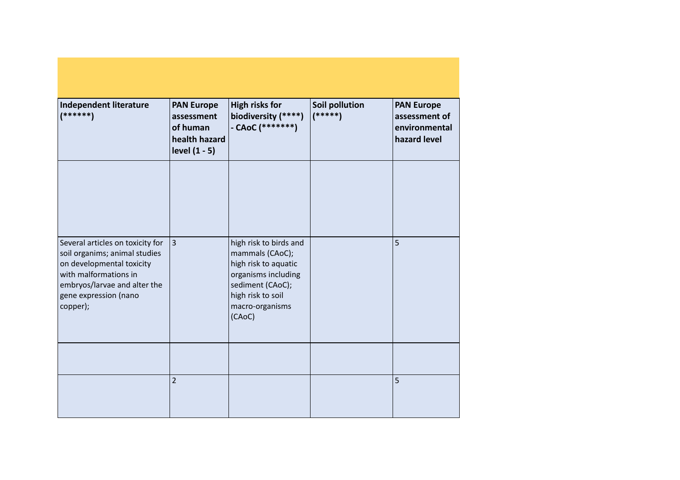| Independent literature<br>$(*****)$                                                                                                                                                          | <b>PAN Europe</b><br>assessment<br>of human<br>health hazard<br>level (1 - 5) | <b>High risks for</b><br>biodiversity (****)<br>- CAoC $(******")$                                                                                             | <b>Soil pollution</b><br>$(*****)$ | <b>PAN Europe</b><br>assessment of<br>environmental<br>hazard level |
|----------------------------------------------------------------------------------------------------------------------------------------------------------------------------------------------|-------------------------------------------------------------------------------|----------------------------------------------------------------------------------------------------------------------------------------------------------------|------------------------------------|---------------------------------------------------------------------|
|                                                                                                                                                                                              |                                                                               |                                                                                                                                                                |                                    |                                                                     |
| Several articles on toxicity for<br>soil organims; animal studies<br>on developmental toxicity<br>with malformations in<br>embryos/larvae and alter the<br>gene expression (nano<br>copper); | $\vert$ 3                                                                     | high risk to birds and<br>mammals (CAoC);<br>high risk to aquatic<br>organisms including<br>sediment (CAoC);<br>high risk to soil<br>macro-organisms<br>(CAoC) |                                    | 5                                                                   |
|                                                                                                                                                                                              |                                                                               |                                                                                                                                                                |                                    |                                                                     |
|                                                                                                                                                                                              | $\overline{2}$                                                                |                                                                                                                                                                |                                    | 5                                                                   |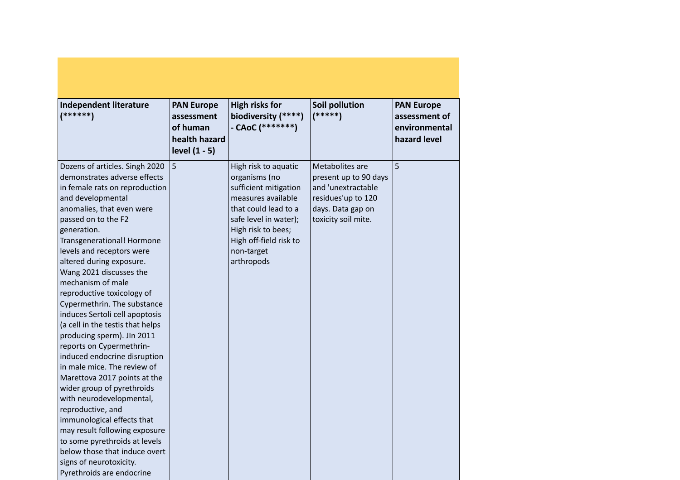| <b>Independent literature</b><br>$(*****)$                                                                                                                                                                                                                                                                                                                                                                                                                                                                                                                                                                                                                                                                                                                                                                                                                                                          | <b>PAN Europe</b><br>assessment<br>of human<br>health hazard<br>level (1 - 5) | <b>High risks for</b><br>biodiversity (****)<br>- CAoC $(******")$                                                                                                                                                | <b>Soil pollution</b><br>$(*****)$                                                                                               | <b>PAN Europe</b><br>assessment of<br>environmental<br>hazard level |
|-----------------------------------------------------------------------------------------------------------------------------------------------------------------------------------------------------------------------------------------------------------------------------------------------------------------------------------------------------------------------------------------------------------------------------------------------------------------------------------------------------------------------------------------------------------------------------------------------------------------------------------------------------------------------------------------------------------------------------------------------------------------------------------------------------------------------------------------------------------------------------------------------------|-------------------------------------------------------------------------------|-------------------------------------------------------------------------------------------------------------------------------------------------------------------------------------------------------------------|----------------------------------------------------------------------------------------------------------------------------------|---------------------------------------------------------------------|
| Dozens of articles. Singh 2020<br>demonstrates adverse effects<br>in female rats on reproduction<br>and developmental<br>anomalies, that even were<br>passed on to the F2<br>generation.<br>Transgenerational! Hormone<br>levels and receptors were<br>altered during exposure.<br>Wang 2021 discusses the<br>mechanism of male<br>reproductive toxicology of<br>Cypermethrin. The substance<br>induces Sertoli cell apoptosis<br>(a cell in the testis that helps<br>producing sperm). JIn 2011<br>reports on Cypermethrin-<br>induced endocrine disruption<br>in male mice. The review of<br>Marettova 2017 points at the<br>wider group of pyrethroids<br>with neurodevelopmental,<br>reproductive, and<br>immunological effects that<br>may result following exposure<br>to some pyrethroids at levels<br>below those that induce overt<br>signs of neurotoxicity.<br>Pyrethroids are endocrine | 5                                                                             | High risk to aquatic<br>organisms (no<br>sufficient mitigation<br>measures available<br>that could lead to a<br>safe level in water);<br>High risk to bees;<br>High off-field risk to<br>non-target<br>arthropods | Metabolites are<br>present up to 90 days<br>and 'unextractable<br>residues'up to 120<br>days. Data gap on<br>toxicity soil mite. | 5                                                                   |

and the control of the control of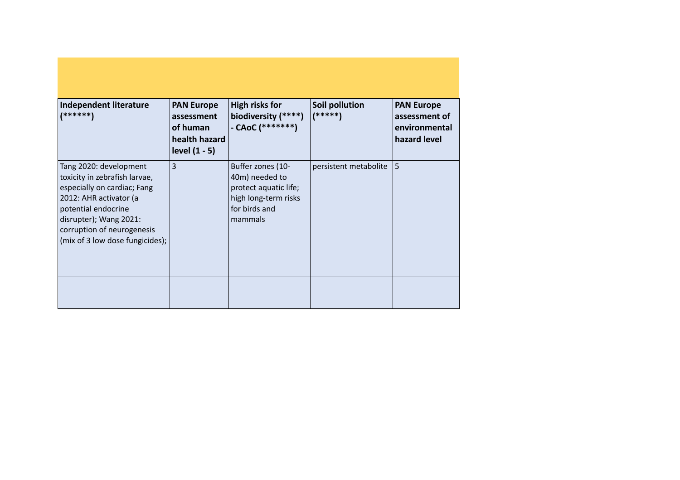| Independent literature<br>  ******                                                                                                                                                                                                 | <b>PAN Europe</b><br>assessment<br>of human<br>health hazard<br>level $(1 - 5)$ | <b>High risks for</b><br>biodiversity (****)<br>- CAoC (*******)                                                 | Soil pollution<br>(*****) | <b>PAN Europe</b><br>assessment of<br>environmental<br>hazard level |
|------------------------------------------------------------------------------------------------------------------------------------------------------------------------------------------------------------------------------------|---------------------------------------------------------------------------------|------------------------------------------------------------------------------------------------------------------|---------------------------|---------------------------------------------------------------------|
| Tang 2020: development<br>toxicity in zebrafish larvae,<br>especially on cardiac; Fang<br>2012: AHR activator (a<br>potential endocrine<br>disrupter); Wang 2021:<br>corruption of neurogenesis<br>(mix of 3 low dose fungicides); | $\overline{3}$                                                                  | Buffer zones (10-<br>40m) needed to<br>protect aquatic life;<br>high long-term risks<br>for birds and<br>mammals | persistent metabolite     | 5                                                                   |
|                                                                                                                                                                                                                                    |                                                                                 |                                                                                                                  |                           |                                                                     |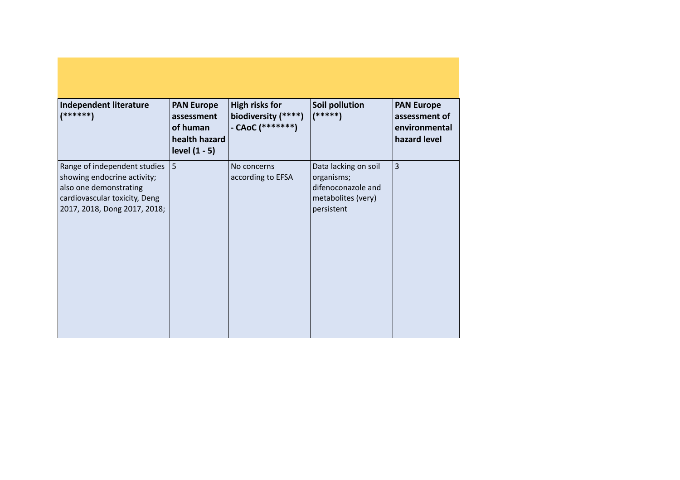| Independent literature<br>$(******)$                                                                                                                   | <b>PAN Europe</b><br>assessment<br>of human<br>health hazard<br>level $(1 - 5)$ | <b>High risks for</b><br>biodiversity (****)<br>- CAoC $(******")$ | Soil pollution<br>$(****)$                                                                   | <b>PAN Europe</b><br>assessment of<br>environmental<br>hazard level |
|--------------------------------------------------------------------------------------------------------------------------------------------------------|---------------------------------------------------------------------------------|--------------------------------------------------------------------|----------------------------------------------------------------------------------------------|---------------------------------------------------------------------|
| Range of independent studies<br>showing endocrine activity;<br>also one demonstrating<br>cardiovascular toxicity, Deng<br>2017, 2018, Dong 2017, 2018; | 5                                                                               | No concerns<br>according to EFSA                                   | Data lacking on soil<br>organisms;<br>difenoconazole and<br>metabolites (very)<br>persistent | $\vert$ 3                                                           |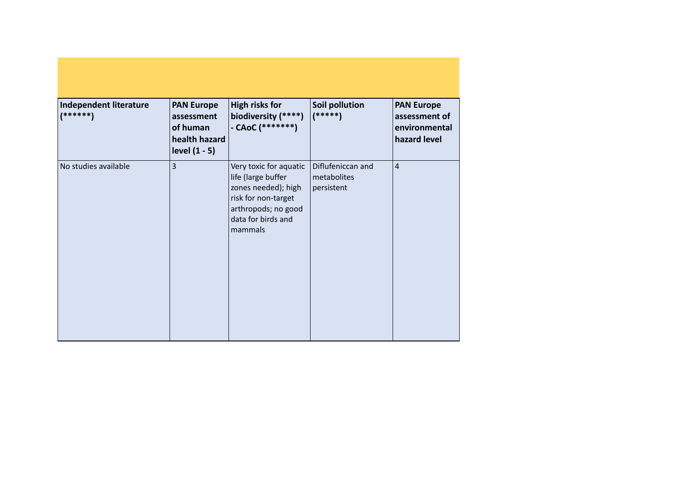| <b>Independent literature</b><br>$(******")$ | <b>PAN Europe</b><br>assessment<br>of human<br>health hazard<br>level $(1 - 5)$ | <b>High risks for</b><br>biodiversity (****)<br>$-$ CAoC (********)                                                                                | Soil pollution<br>$(*****)$                    | <b>PAN Europe</b><br>assessment of<br>environmental<br>hazard level |
|----------------------------------------------|---------------------------------------------------------------------------------|----------------------------------------------------------------------------------------------------------------------------------------------------|------------------------------------------------|---------------------------------------------------------------------|
| No studies available                         | $\overline{3}$                                                                  | Very toxic for aquatic<br>life (large buffer<br>zones needed); high<br>risk for non-target<br>arthropods; no good<br>data for birds and<br>mammals | Diflufeniccan and<br>metabolites<br>persistent | $\overline{4}$                                                      |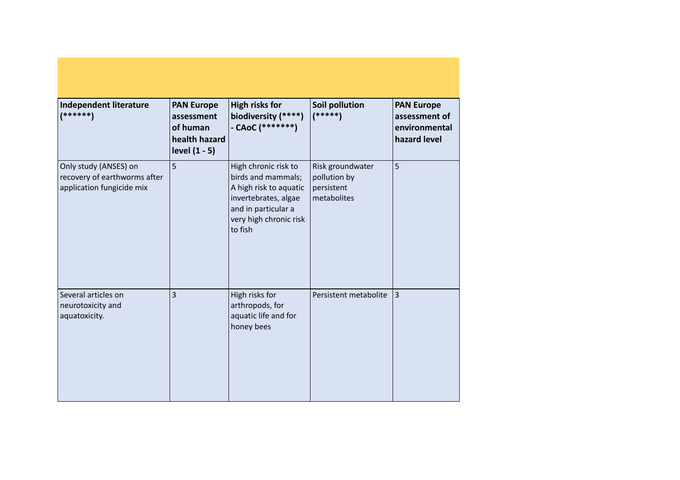| Independent literature<br>$(******")$                                              | <b>PAN Europe</b><br>assessment<br>of human<br>health hazard<br>level (1 - 5) | <b>High risks for</b><br>biodiversity (****)<br>- CAoC $(******")$                                                                                       | Soil pollution<br>$(*****)$                                   | <b>PAN Europe</b><br>assessment of<br>environmental<br>hazard level |
|------------------------------------------------------------------------------------|-------------------------------------------------------------------------------|----------------------------------------------------------------------------------------------------------------------------------------------------------|---------------------------------------------------------------|---------------------------------------------------------------------|
| Only study (ANSES) on<br>recovery of earthworms after<br>application fungicide mix | 5                                                                             | High chronic risk to<br>birds and mammals;<br>A high risk to aquatic<br>invertebrates, algae<br>and in particular a<br>very high chronic risk<br>to fish | Risk groundwater<br>pollution by<br>persistent<br>metabolites | 5                                                                   |
| Several articles on<br>neurotoxicity and<br>aquatoxicity.                          | 3                                                                             | High risks for<br>arthropods, for<br>aquatic life and for<br>honey bees                                                                                  | Persistent metabolite                                         | 3                                                                   |

a sa karang sa kabupatèn Kabupatèn Bangung Kabupatèn Kabupatèn Kabupatèn Kabupatèn Kabupatèn Kabupatèn Kabupat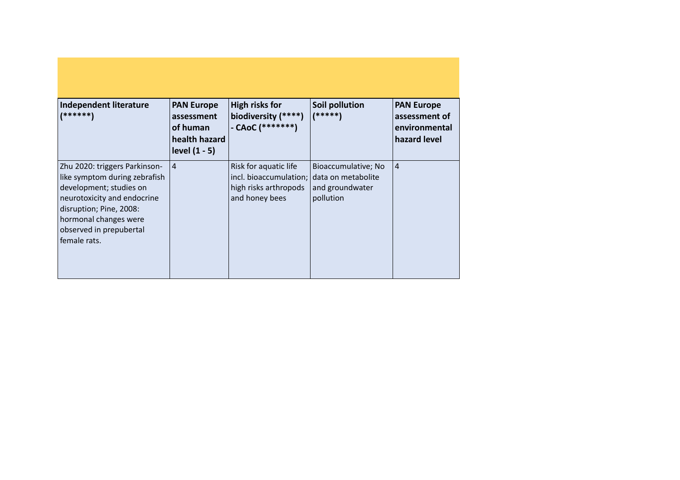| Independent literature<br>(******)                                                                                                                                                                                      | <b>PAN Europe</b><br>assessment<br>of human<br>health hazard<br>level $(1 - 5)$ | High risks for<br>biodiversity (****)<br>- CAoC $(******")$                                                   | <b>Soil pollution</b><br>$(*****)$                  | <b>PAN Europe</b><br>assessment of<br>environmental<br>hazard level |
|-------------------------------------------------------------------------------------------------------------------------------------------------------------------------------------------------------------------------|---------------------------------------------------------------------------------|---------------------------------------------------------------------------------------------------------------|-----------------------------------------------------|---------------------------------------------------------------------|
| Zhu 2020: triggers Parkinson-<br>like symptom during zebrafish<br>development; studies on<br>neurotoxicity and endocrine<br>disruption; Pine, 2008:<br>hormonal changes were<br>observed in prepubertal<br>female rats. | $\overline{4}$                                                                  | Risk for aquatic life<br>incl. bioaccumulation; data on metabolite<br>high risks arthropods<br>and honey bees | Bioaccumulative; No<br>and groundwater<br>pollution | $\vert$ 4                                                           |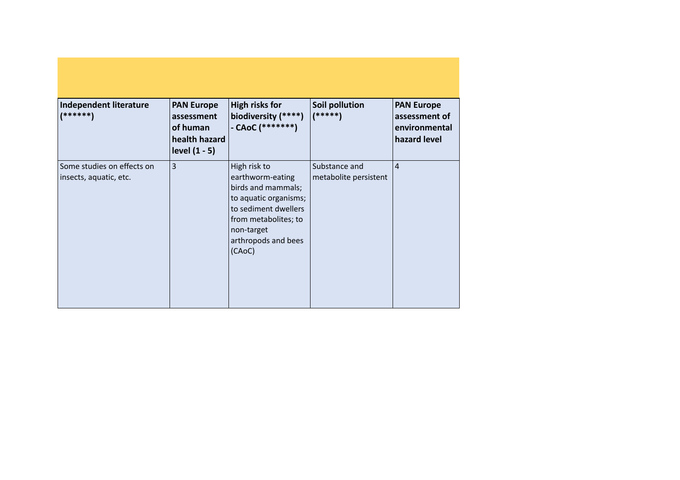| <b>Independent literature</b><br>(******)            | <b>PAN Europe</b><br>assessment<br>of human<br>health hazard<br>level $(1 - 5)$ | <b>High risks for</b><br>biodiversity (****)<br>- CAoC (*******)                                                                                                               | Soil pollution<br>$(*****)$            | <b>PAN Europe</b><br>assessment of<br>environmental<br>hazard level |
|------------------------------------------------------|---------------------------------------------------------------------------------|--------------------------------------------------------------------------------------------------------------------------------------------------------------------------------|----------------------------------------|---------------------------------------------------------------------|
| Some studies on effects on<br>insects, aquatic, etc. | $\overline{3}$                                                                  | High risk to<br>earthworm-eating<br>birds and mammals;<br>to aquatic organisms;<br>to sediment dwellers<br>from metabolites; to<br>non-target<br>arthropods and bees<br>(CAoC) | Substance and<br>metabolite persistent | $\overline{4}$                                                      |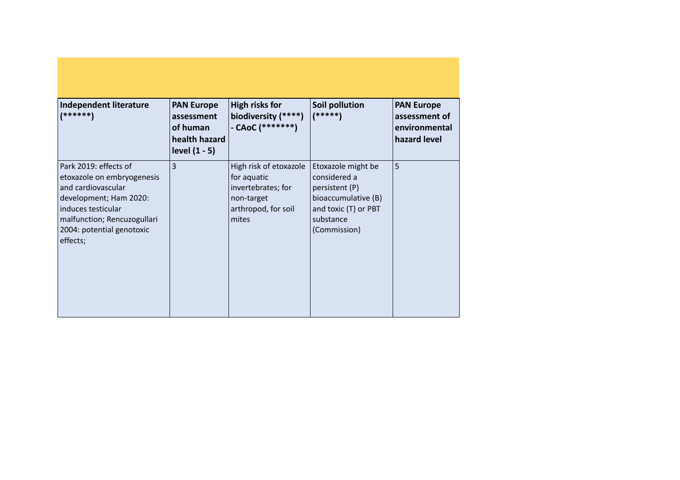| Independent literature<br>(******)                                                                                                                                                                | <b>PAN Europe</b><br>assessment<br>of human<br>health hazard<br>level $(1 - 5)$ | <b>High risks for</b><br>biodiversity (****)<br>- CAoC (*******)                                          | Soil pollution<br>(*****)                                                                                                        | <b>PAN Europe</b><br>assessment of<br>environmental<br>hazard level |
|---------------------------------------------------------------------------------------------------------------------------------------------------------------------------------------------------|---------------------------------------------------------------------------------|-----------------------------------------------------------------------------------------------------------|----------------------------------------------------------------------------------------------------------------------------------|---------------------------------------------------------------------|
| Park 2019: effects of<br>etoxazole on embryogenesis<br>and cardiovascular<br>development; Ham 2020:<br>induces testicular<br>malfunction; Rencuzogullari<br>2004: potential genotoxic<br>effects; | $\overline{3}$                                                                  | High risk of etoxazole<br>for aquatic<br>invertebrates; for<br>non-target<br>arthropod, for soil<br>mites | Etoxazole might be<br>considered a<br>persistent (P)<br>bioaccumulative (B)<br>and toxic (T) or PBT<br>substance<br>(Commission) | 5                                                                   |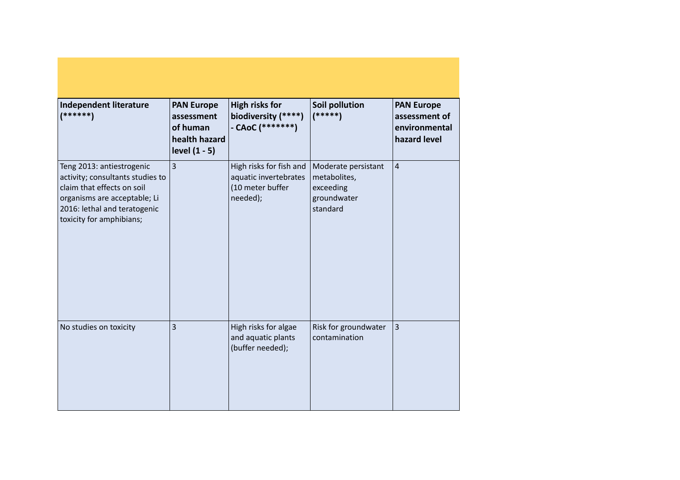| Independent literature<br>$(******)$                                                                                                                                                    | <b>PAN Europe</b><br>assessment<br>of human<br>health hazard<br>level (1 - 5) | <b>High risks for</b><br>biodiversity (****)<br>- CAoC $(******")$               | <b>Soil pollution</b><br>$(****)$                                           | <b>PAN Europe</b><br>assessment of<br>environmental<br>hazard level |
|-----------------------------------------------------------------------------------------------------------------------------------------------------------------------------------------|-------------------------------------------------------------------------------|----------------------------------------------------------------------------------|-----------------------------------------------------------------------------|---------------------------------------------------------------------|
| Teng 2013: antiestrogenic<br>activity; consultants studies to<br>claim that effects on soil<br>organisms are acceptable; Li<br>2016: lethal and teratogenic<br>toxicity for amphibians; | $\overline{3}$                                                                | High risks for fish and<br>aquatic invertebrates<br>(10 meter buffer<br>needed); | Moderate persistant<br>metabolites,<br>exceeding<br>groundwater<br>standard | $\overline{4}$                                                      |
| No studies on toxicity                                                                                                                                                                  | $\overline{3}$                                                                | High risks for algae<br>and aquatic plants<br>(buffer needed);                   | Risk for groundwater<br>contamination                                       | $\vert$ 3                                                           |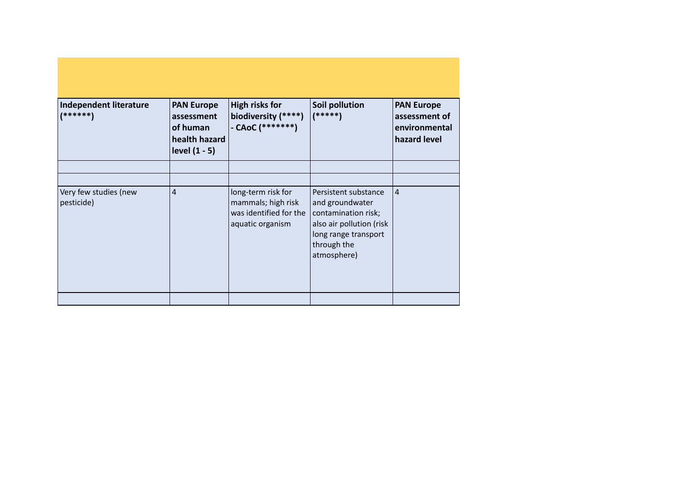| Independent literature<br>$(******)$ | <b>PAN Europe</b><br>assessment<br>of human<br>health hazard<br>level $(1 - 5)$ | <b>High risks for</b><br>biodiversity (****)<br>- CAoC (*******)                       | Soil pollution<br>$(*****)$                                                                                                                      | <b>PAN Europe</b><br>assessment of<br>environmental<br>hazard level |
|--------------------------------------|---------------------------------------------------------------------------------|----------------------------------------------------------------------------------------|--------------------------------------------------------------------------------------------------------------------------------------------------|---------------------------------------------------------------------|
|                                      |                                                                                 |                                                                                        |                                                                                                                                                  |                                                                     |
|                                      |                                                                                 |                                                                                        |                                                                                                                                                  |                                                                     |
| Very few studies (new<br>pesticide)  | $\overline{4}$                                                                  | long-term risk for<br>mammals; high risk<br>was identified for the<br>aquatic organism | Persistent substance<br>and groundwater<br>contamination risk;<br>also air pollution (risk<br>long range transport<br>through the<br>atmosphere) | 4                                                                   |
|                                      |                                                                                 |                                                                                        |                                                                                                                                                  |                                                                     |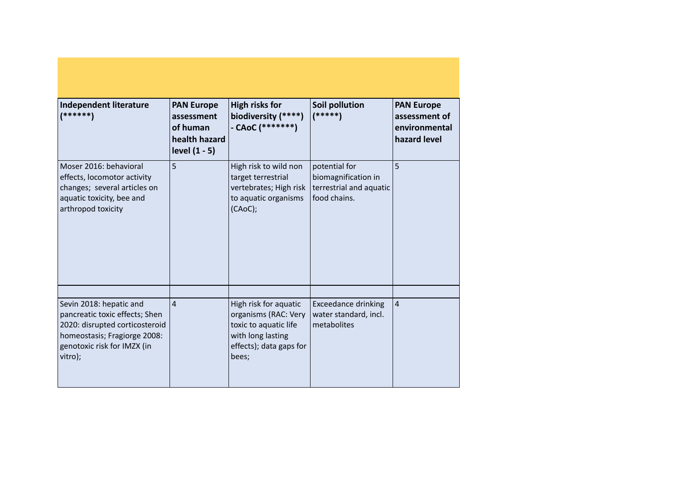| Independent literature<br>$(******")$                                                                                                                                 | <b>PAN Europe</b><br>assessment<br>of human<br>health hazard<br>level (1 - 5) | <b>High risks for</b><br>biodiversity (****)<br>- CAoC (*******)                                                                | Soil pollution<br>$(*****)$                                                     | <b>PAN Europe</b><br>assessment of<br>environmental<br>hazard level |
|-----------------------------------------------------------------------------------------------------------------------------------------------------------------------|-------------------------------------------------------------------------------|---------------------------------------------------------------------------------------------------------------------------------|---------------------------------------------------------------------------------|---------------------------------------------------------------------|
| Moser 2016: behavioral<br>effects, locomotor activity<br>changes; several articles on<br>aquatic toxicity, bee and<br>arthropod toxicity                              | 5                                                                             | High risk to wild non<br>target terrestrial<br>vertebrates; High risk<br>to aquatic organisms<br>(CAoC);                        | potential for<br>biomagnification in<br>terrestrial and aquatic<br>food chains. | 5                                                                   |
|                                                                                                                                                                       |                                                                               |                                                                                                                                 |                                                                                 |                                                                     |
| Sevin 2018: hepatic and<br>pancreatic toxic effects; Shen<br>2020: disrupted corticosteroid<br>homeostasis; Fragiorge 2008:<br>genotoxic risk for IMZX (in<br>vitro); | $\overline{4}$                                                                | High risk for aquatic<br>organisms (RAC: Very<br>toxic to aquatic life<br>with long lasting<br>effects); data gaps for<br>bees; | <b>Exceedance drinking</b><br>water standard, incl.<br>metabolites              | $\overline{4}$                                                      |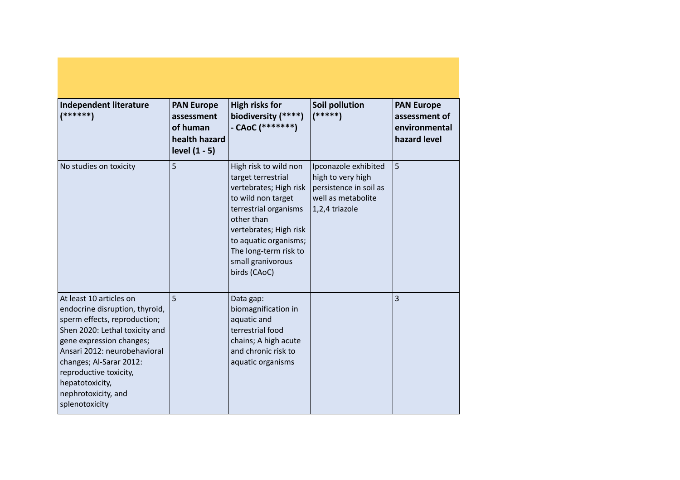| Independent literature<br>$(******)$                                                                                                                                                                                                                                                                     | <b>PAN Europe</b><br>assessment<br>of human<br>health hazard<br>level (1 - 5) | <b>High risks for</b><br>biodiversity (****)<br>- CAoC $(******")$                                                                                                                                                                                  | Soil pollution<br>$(*****")$                                                                                | <b>PAN Europe</b><br>assessment of<br>environmental<br>hazard level |
|----------------------------------------------------------------------------------------------------------------------------------------------------------------------------------------------------------------------------------------------------------------------------------------------------------|-------------------------------------------------------------------------------|-----------------------------------------------------------------------------------------------------------------------------------------------------------------------------------------------------------------------------------------------------|-------------------------------------------------------------------------------------------------------------|---------------------------------------------------------------------|
| No studies on toxicity                                                                                                                                                                                                                                                                                   | 5                                                                             | High risk to wild non<br>target terrestrial<br>vertebrates; High risk<br>to wild non target<br>terrestrial organisms<br>other than<br>vertebrates; High risk<br>to aquatic organisms;<br>The long-term risk to<br>small granivorous<br>birds (CAoC) | Ipconazole exhibited<br>high to very high<br>persistence in soil as<br>well as metabolite<br>1,2,4 triazole | 5                                                                   |
| At least 10 articles on<br>endocrine disruption, thyroid,<br>sperm effects, reproduction;<br>Shen 2020: Lethal toxicity and<br>gene expression changes;<br>Ansari 2012: neurobehavioral<br>changes; Al-Sarar 2012:<br>reproductive toxicity,<br>hepatotoxicity,<br>nephrotoxicity, and<br>splenotoxicity | 5                                                                             | Data gap:<br>biomagnification in<br>aquatic and<br>terrestrial food<br>chains; A high acute<br>and chronic risk to<br>aquatic organisms                                                                                                             |                                                                                                             | 3                                                                   |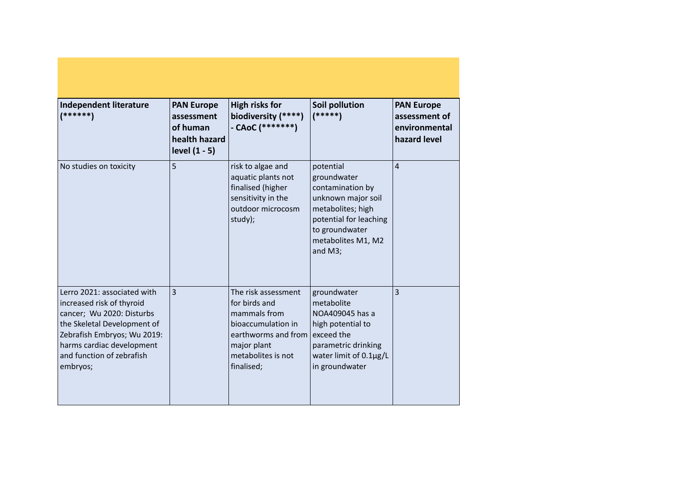| Independent literature<br>(******)                                                                                                                                                                                        | <b>PAN Europe</b><br>assessment<br>of human<br>health hazard<br>level (1 - 5) | <b>High risks for</b><br>biodiversity (****)<br>- CAoC $(******")$                                                                                   | Soil pollution<br>$(*****)$                                                                                                                                          | <b>PAN Europe</b><br>assessment of<br>environmental<br>hazard level |
|---------------------------------------------------------------------------------------------------------------------------------------------------------------------------------------------------------------------------|-------------------------------------------------------------------------------|------------------------------------------------------------------------------------------------------------------------------------------------------|----------------------------------------------------------------------------------------------------------------------------------------------------------------------|---------------------------------------------------------------------|
| No studies on toxicity                                                                                                                                                                                                    | 5                                                                             | risk to algae and<br>aquatic plants not<br>finalised (higher<br>sensitivity in the<br>outdoor microcosm<br>study);                                   | potential<br>groundwater<br>contamination by<br>unknown major soil<br>metabolites; high<br>potential for leaching<br>to groundwater<br>metabolites M1, M2<br>and M3; | $\overline{4}$                                                      |
| Lerro 2021: associated with<br>increased risk of thyroid<br>cancer; Wu 2020: Disturbs<br>the Skeletal Development of<br>Zebrafish Embryos; Wu 2019:<br>harms cardiac development<br>and function of zebrafish<br>embryos; | $\overline{3}$                                                                | The risk assessment<br>for birds and<br>mammals from<br>bioaccumulation in<br>earthworms and from<br>major plant<br>metabolites is not<br>finalised; | groundwater<br>metabolite<br>NOA409045 has a<br>high potential to<br>exceed the<br>parametric drinking<br>water limit of 0.1µg/L<br>in groundwater                   | 3                                                                   |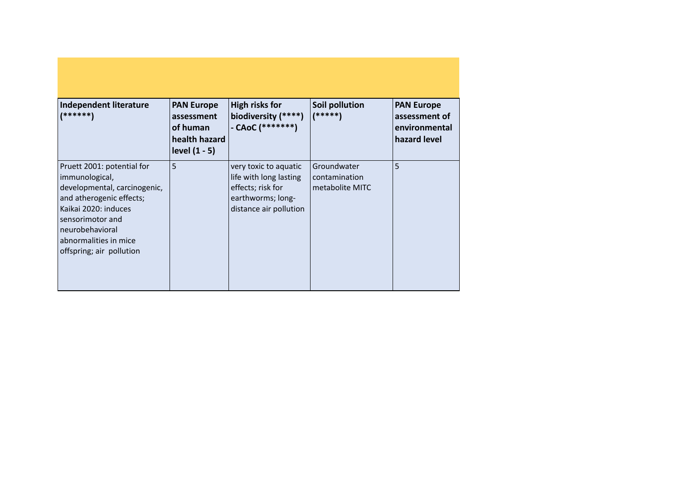| Independent literature<br>(******)                                                                                                                                                                                           | <b>PAN Europe</b><br>assessment<br>of human<br>health hazard<br>level $(1 - 5)$ | <b>High risks for</b><br>biodiversity (****)<br>$-$ CAoC (********)                                                 | Soil pollution<br>(*****)                       | <b>PAN Europe</b><br>assessment of<br>environmental<br>hazard level |
|------------------------------------------------------------------------------------------------------------------------------------------------------------------------------------------------------------------------------|---------------------------------------------------------------------------------|---------------------------------------------------------------------------------------------------------------------|-------------------------------------------------|---------------------------------------------------------------------|
| Pruett 2001: potential for<br>immunological,<br>developmental, carcinogenic,<br>and atherogenic effects;<br>Kaikai 2020: induces<br>sensorimotor and<br>neurobehavioral<br>abnormalities in mice<br>offspring; air pollution | 5                                                                               | very toxic to aquatic<br>life with long lasting<br>effects; risk for<br>earthworms; long-<br>distance air pollution | Groundwater<br>contamination<br>metabolite MITC | 5                                                                   |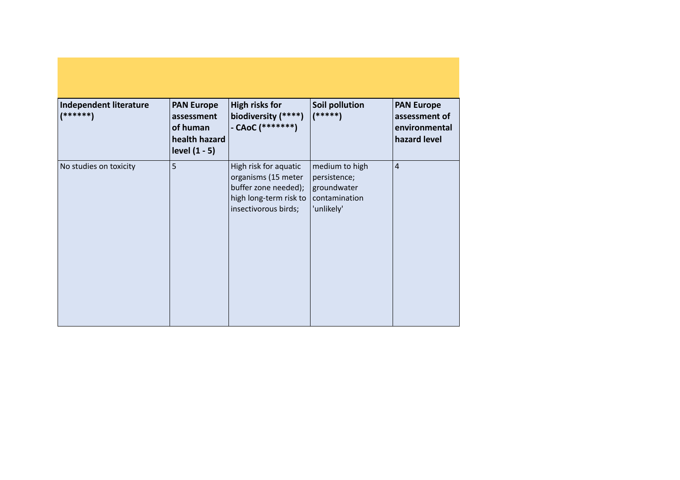| Independent literature<br>$(*****)$ | <b>PAN Europe</b><br>assessment<br>of human<br>health hazard<br>level $(1 - 5)$ | <b>High risks for</b><br>biodiversity (****)<br>- CAoC (*******)                                                       | Soil pollution<br>$(*****)$                                                  | <b>PAN Europe</b><br>assessment of<br>environmental<br>hazard level |
|-------------------------------------|---------------------------------------------------------------------------------|------------------------------------------------------------------------------------------------------------------------|------------------------------------------------------------------------------|---------------------------------------------------------------------|
| No studies on toxicity              | 5                                                                               | High risk for aquatic<br>organisms (15 meter<br>buffer zone needed);<br>high long-term risk to<br>insectivorous birds; | medium to high<br>persistence;<br>groundwater<br>contamination<br>'unlikely' | $\overline{4}$                                                      |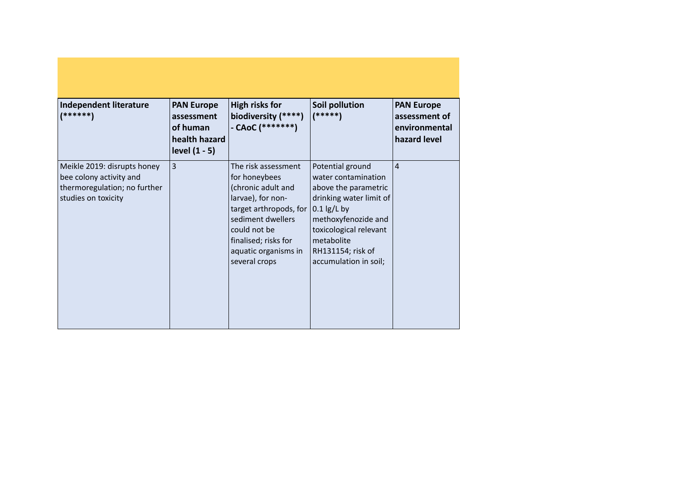| Independent literature<br>(******)                                                                            | <b>PAN Europe</b><br>assessment<br>of human<br>health hazard<br>level $(1 - 5)$ | <b>High risks for</b><br>biodiversity (****)<br>- CAoC (*******)                                                                                                                                                                         | <b>Soil pollution</b><br>$(*****")$                                                                                                                                                                     | <b>PAN Europe</b><br>assessment of<br>environmental<br>hazard level |
|---------------------------------------------------------------------------------------------------------------|---------------------------------------------------------------------------------|------------------------------------------------------------------------------------------------------------------------------------------------------------------------------------------------------------------------------------------|---------------------------------------------------------------------------------------------------------------------------------------------------------------------------------------------------------|---------------------------------------------------------------------|
| Meikle 2019: disrupts honey<br>bee colony activity and<br>thermoregulation; no further<br>studies on toxicity | $\overline{3}$                                                                  | The risk assessment<br>for honeybees<br>(chronic adult and<br>larvae), for non-<br>target arthropods, for $\vert 0.1 \vert g/L$ by<br>sediment dwellers<br>could not be<br>finalised; risks for<br>aquatic organisms in<br>several crops | Potential ground<br>water contamination<br>above the parametric<br>drinking water limit of<br>methoxyfenozide and<br>toxicological relevant<br>metabolite<br>RH131154; risk of<br>accumulation in soil; | $\overline{4}$                                                      |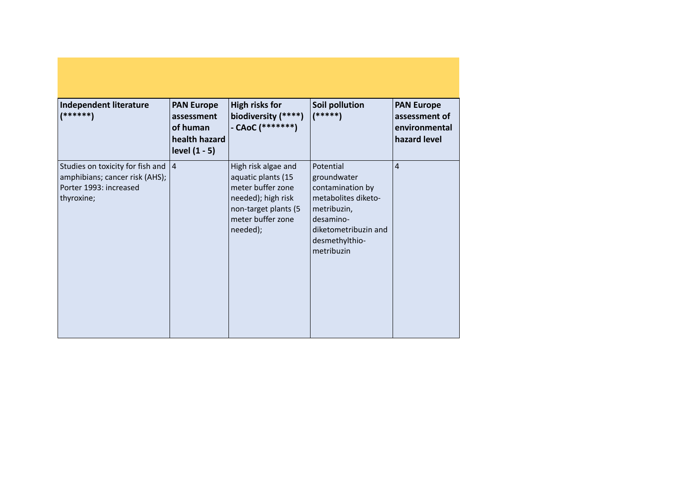| <b>Independent literature</b><br>(******)                                                                  | <b>PAN Europe</b><br>assessment<br>of human<br>health hazard<br>level $(1 - 5)$ | <b>High risks for</b><br>biodiversity (****)<br>- CAoC (*******)                                                                              | Soil pollution<br>$(*****)$                                                                                                                             | <b>PAN Europe</b><br>assessment of<br>environmental<br>hazard level |
|------------------------------------------------------------------------------------------------------------|---------------------------------------------------------------------------------|-----------------------------------------------------------------------------------------------------------------------------------------------|---------------------------------------------------------------------------------------------------------------------------------------------------------|---------------------------------------------------------------------|
| Studies on toxicity for fish and<br>amphibians; cancer risk (AHS);<br>Porter 1993: increased<br>thyroxine; | 4                                                                               | High risk algae and<br>aquatic plants (15<br>meter buffer zone<br>needed); high risk<br>non-target plants (5<br>meter buffer zone<br>needed); | Potential<br>groundwater<br>contamination by<br>metabolites diketo-<br>metribuzin,<br>desamino-<br>diketometribuzin and<br>desmethylthio-<br>metribuzin | 4                                                                   |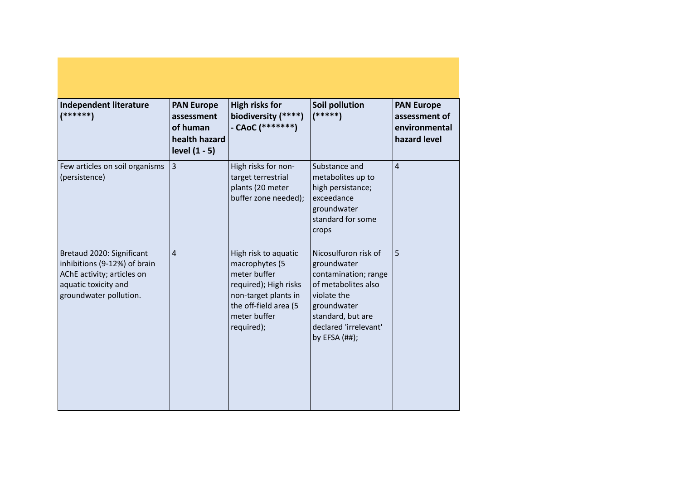| Independent literature<br>(******)                                                                                                        | <b>PAN Europe</b><br>assessment<br>of human<br>health hazard<br>level (1 - 5) | <b>High risks for</b><br>biodiversity (****)<br>- CAoC $(******")$                                                                                             | Soil pollution<br>$(*****)$                                                                                                                                                        | <b>PAN Europe</b><br>assessment of<br>environmental<br>hazard level |
|-------------------------------------------------------------------------------------------------------------------------------------------|-------------------------------------------------------------------------------|----------------------------------------------------------------------------------------------------------------------------------------------------------------|------------------------------------------------------------------------------------------------------------------------------------------------------------------------------------|---------------------------------------------------------------------|
| Few articles on soil organisms<br>(persistence)                                                                                           | 3                                                                             | High risks for non-<br>target terrestrial<br>plants (20 meter<br>buffer zone needed);                                                                          | Substance and<br>metabolites up to<br>high persistance;<br>exceedance<br>groundwater<br>standard for some<br>crops                                                                 | $\overline{4}$                                                      |
| Bretaud 2020: Significant<br>inhibitions (9-12%) of brain<br>AChE activity; articles on<br>aquatic toxicity and<br>groundwater pollution. | $\overline{4}$                                                                | High risk to aquatic<br>macrophytes (5<br>meter buffer<br>required); High risks<br>non-target plants in<br>the off-field area (5<br>meter buffer<br>required); | Nicosulfuron risk of<br>groundwater<br>contamination; range<br>of metabolites also<br>violate the<br>groundwater<br>standard, but are<br>declared 'irrelevant'<br>by EFSA $(H#)$ ; | 5                                                                   |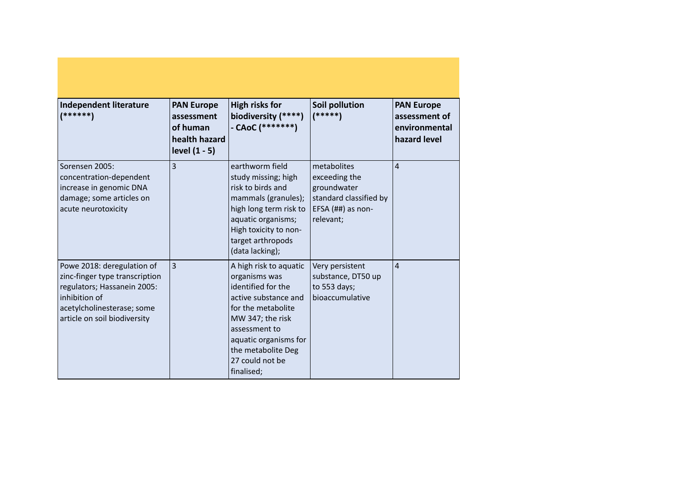| Independent literature<br>$(******)$                                                                                                                                       | <b>PAN Europe</b><br>assessment<br>of human<br>health hazard<br>level $(1 - 5)$ | <b>High risks for</b><br>biodiversity (****)<br>- CAoC (*******)                                                                                                                                                                 | <b>Soil pollution</b><br>$(*****)$                                                                        | <b>PAN Europe</b><br>assessment of<br>environmental<br>hazard level |
|----------------------------------------------------------------------------------------------------------------------------------------------------------------------------|---------------------------------------------------------------------------------|----------------------------------------------------------------------------------------------------------------------------------------------------------------------------------------------------------------------------------|-----------------------------------------------------------------------------------------------------------|---------------------------------------------------------------------|
| Sorensen 2005:<br>concentration-dependent<br>increase in genomic DNA<br>damage; some articles on<br>acute neurotoxicity                                                    | 3                                                                               | earthworm field<br>study missing; high<br>risk to birds and<br>mammals (granules);<br>high long term risk to<br>aquatic organisms;<br>High toxicity to non-<br>target arthropods<br>(data lacking);                              | metabolites<br>exceeding the<br>groundwater<br>standard classified by<br>EFSA $(H#)$ as non-<br>relevant; | $\overline{4}$                                                      |
| Powe 2018: deregulation of<br>zinc-finger type transcription<br>regulators; Hassanein 2005:<br>inhibition of<br>acetylcholinesterase; some<br>article on soil biodiversity | 3                                                                               | A high risk to aquatic<br>organisms was<br>identified for the<br>active substance and<br>for the metabolite<br>MW 347; the risk<br>assessment to<br>aquatic organisms for<br>the metabolite Deg<br>27 could not be<br>finalised; | Very persistent<br>substance, DT50 up<br>to 553 days;<br>bioaccumulative                                  | $\overline{4}$                                                      |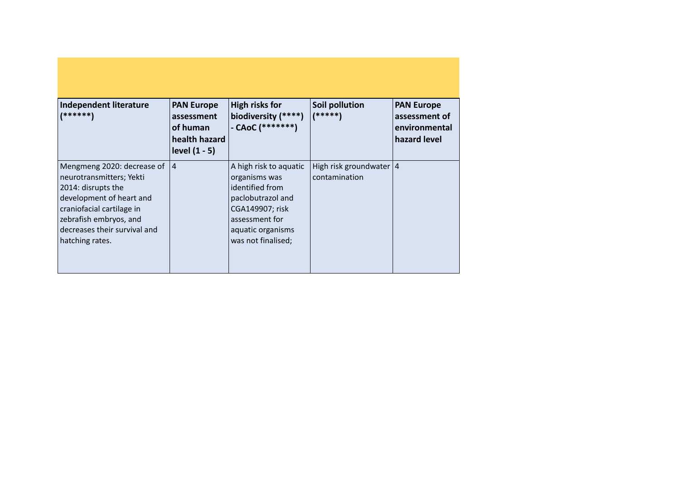| Independent literature<br>  ******                                                                                                                                                                                 | <b>PAN Europe</b><br>assessment<br>of human<br>health hazard<br>level $(1 - 5)$ | High risks for<br>biodiversity (****)<br>$-$ CAoC (********)                                                                                                    | Soil pollution<br>(*****)                  | <b>PAN Europe</b><br>assessment of<br>environmental<br>hazard level |
|--------------------------------------------------------------------------------------------------------------------------------------------------------------------------------------------------------------------|---------------------------------------------------------------------------------|-----------------------------------------------------------------------------------------------------------------------------------------------------------------|--------------------------------------------|---------------------------------------------------------------------|
| Mengmeng 2020: decrease of<br>neurotransmitters; Yekti<br>2014: disrupts the<br>development of heart and<br>craniofacial cartilage in<br>zebrafish embryos, and<br>decreases their survival and<br>hatching rates. | 14                                                                              | A high risk to aquatic<br>organisms was<br>identified from<br>paclobutrazol and<br>CGA149907; risk<br>assessment for<br>aquatic organisms<br>was not finalised; | High risk groundwater   4<br>contamination |                                                                     |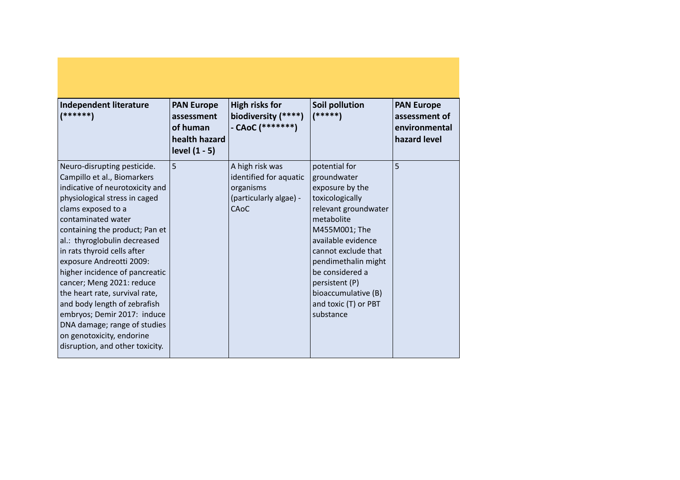| <b>Independent literature</b><br>(******)                                                                                                                                                                                                                                                                                                                                                                                                                                                                                                                               | <b>PAN Europe</b><br>assessment<br>of human<br>health hazard<br>level $(1 - 5)$ | <b>High risks for</b><br>biodiversity (****)<br>- CAoC (*******)                         | Soil pollution<br>$(*****)$                                                                                                                                                                                                                                                                    | <b>PAN Europe</b><br>assessment of<br>environmental<br>hazard level |
|-------------------------------------------------------------------------------------------------------------------------------------------------------------------------------------------------------------------------------------------------------------------------------------------------------------------------------------------------------------------------------------------------------------------------------------------------------------------------------------------------------------------------------------------------------------------------|---------------------------------------------------------------------------------|------------------------------------------------------------------------------------------|------------------------------------------------------------------------------------------------------------------------------------------------------------------------------------------------------------------------------------------------------------------------------------------------|---------------------------------------------------------------------|
| Neuro-disrupting pesticide.<br>Campillo et al., Biomarkers<br>indicative of neurotoxicity and<br>physiological stress in caged<br>clams exposed to a<br>contaminated water<br>containing the product; Pan et<br>al.: thyroglobulin decreased<br>in rats thyroid cells after<br>exposure Andreotti 2009:<br>higher incidence of pancreatic<br>cancer; Meng 2021: reduce<br>the heart rate, survival rate,<br>and body length of zebrafish<br>embryos; Demir 2017: induce<br>DNA damage; range of studies<br>on genotoxicity, endorine<br>disruption, and other toxicity. | 5                                                                               | A high risk was<br>identified for aquatic<br>organisms<br>(particularly algae) -<br>CAoC | potential for<br>groundwater<br>exposure by the<br>toxicologically<br>relevant groundwater<br>metabolite<br>M455M001; The<br>available evidence<br>cannot exclude that<br>pendimethalin might<br>be considered a<br>persistent (P)<br>bioaccumulative (B)<br>and toxic (T) or PBT<br>substance | 5                                                                   |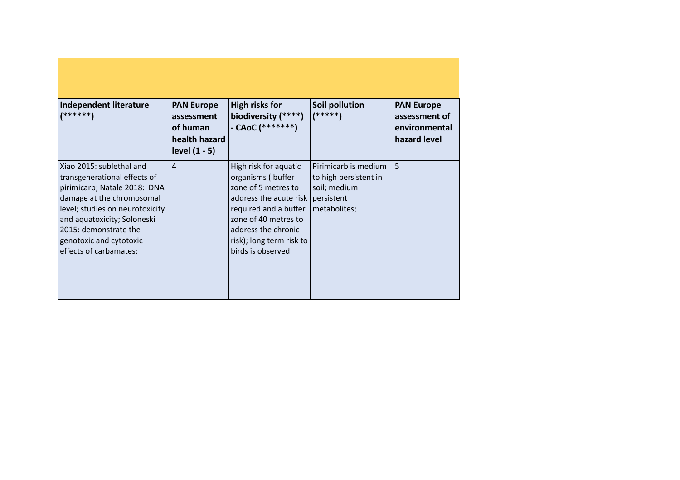| Independent literature<br>(******)                                                                                                                                                                                                                                    | <b>PAN Europe</b><br>assessment<br>of human<br>health hazard<br>level $(1 - 5)$ | <b>High risks for</b><br>biodiversity (****)<br>- CAoC (*******)                                                                                                                                                                  | Soil pollution<br>$(****)$                                                    | <b>PAN Europe</b><br>assessment of<br>environmental<br>hazard level |
|-----------------------------------------------------------------------------------------------------------------------------------------------------------------------------------------------------------------------------------------------------------------------|---------------------------------------------------------------------------------|-----------------------------------------------------------------------------------------------------------------------------------------------------------------------------------------------------------------------------------|-------------------------------------------------------------------------------|---------------------------------------------------------------------|
| Xiao 2015: sublethal and<br>transgenerational effects of<br>pirimicarb; Natale 2018: DNA<br>damage at the chromosomal<br>level; studies on neurotoxicity<br>and aquatoxicity; Soloneski<br>2015: demonstrate the<br>genotoxic and cytotoxic<br>effects of carbamates; | $\overline{4}$                                                                  | High risk for aquatic<br>organisms (buffer<br>zone of 5 metres to<br>address the acute risk   persistent<br>required and a buffer<br>zone of 40 metres to<br>address the chronic<br>risk); long term risk to<br>birds is observed | Pirimicarb is medium<br>to high persistent in<br>soil; medium<br>metabolites; | 5                                                                   |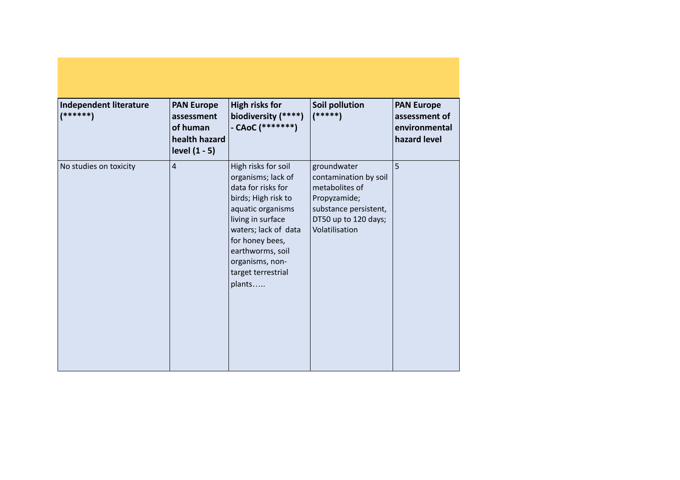| <b>Independent literature</b><br>(******) | <b>PAN Europe</b><br>assessment<br>of human<br>health hazard<br>level $(1 - 5)$ | <b>High risks for</b><br>biodiversity (****)<br>- CAoC $(******")$                                                                                                                                                                                 | Soil pollution<br>$(****)$                                                                                                                | <b>PAN Europe</b><br>assessment of<br>environmental<br>hazard level |
|-------------------------------------------|---------------------------------------------------------------------------------|----------------------------------------------------------------------------------------------------------------------------------------------------------------------------------------------------------------------------------------------------|-------------------------------------------------------------------------------------------------------------------------------------------|---------------------------------------------------------------------|
| No studies on toxicity                    | $\overline{4}$                                                                  | High risks for soil<br>organisms; lack of<br>data for risks for<br>birds; High risk to<br>aquatic organisms<br>living in surface<br>waters; lack of data<br>for honey bees,<br>earthworms, soil<br>organisms, non-<br>target terrestrial<br>plants | groundwater<br>contamination by soil<br>metabolites of<br>Propyzamide;<br>substance persistent,<br>DT50 up to 120 days;<br>Volatilisation | 5                                                                   |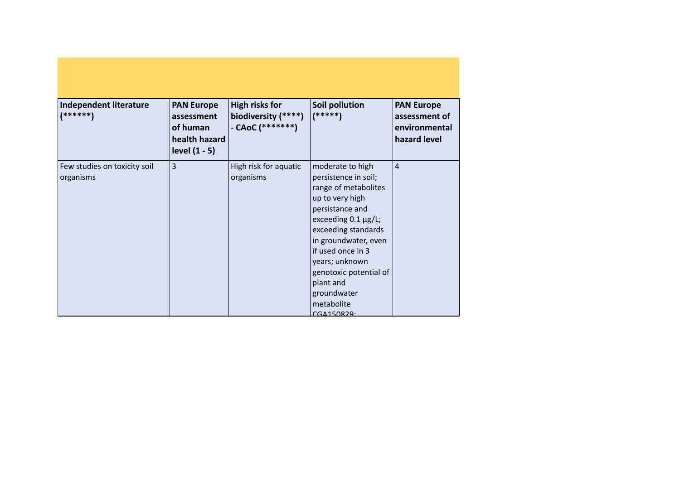| Independent literature<br>$(******")$     | <b>PAN Europe</b><br>assessment<br>of human<br>health hazard<br>level (1 - 5) | <b>High risks for</b><br>biodiversity (****)<br>- CAoC (*******) | Soil pollution<br>$(*****)$                                                                                                                                                                                                                                                                                | <b>PAN Europe</b><br>assessment of<br>environmental<br>hazard level |
|-------------------------------------------|-------------------------------------------------------------------------------|------------------------------------------------------------------|------------------------------------------------------------------------------------------------------------------------------------------------------------------------------------------------------------------------------------------------------------------------------------------------------------|---------------------------------------------------------------------|
| Few studies on toxicity soil<br>organisms | $\overline{3}$                                                                | High risk for aquatic<br>organisms                               | moderate to high<br>persistence in soil;<br>range of metabolites<br>up to very high<br>persistance and<br>exceeding $0.1 \mu g/L$ ;<br>exceeding standards<br>in groundwater, even<br>if used once in 3<br>years; unknown<br>genotoxic potential of<br>plant and<br>groundwater<br>metabolite<br>CGA150829 | $\overline{4}$                                                      |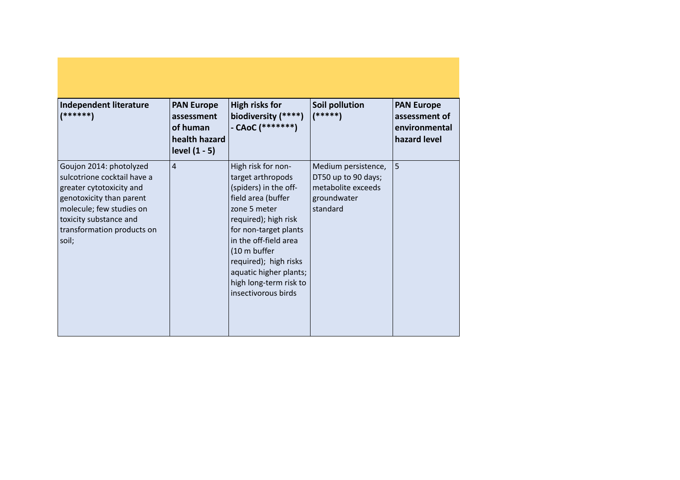| Independent literature<br>(******)                                                                                                                                                                          | <b>PAN Europe</b><br>assessment<br>of human<br>health hazard<br>level $(1 - 5)$ | <b>High risks for</b><br>biodiversity (****)<br>- CAoC (*******)                                                                                                                                                                                                                                     | Soil pollution<br>$(*****)$                                                                 | <b>PAN Europe</b><br>assessment of<br>environmental<br>hazard level |
|-------------------------------------------------------------------------------------------------------------------------------------------------------------------------------------------------------------|---------------------------------------------------------------------------------|------------------------------------------------------------------------------------------------------------------------------------------------------------------------------------------------------------------------------------------------------------------------------------------------------|---------------------------------------------------------------------------------------------|---------------------------------------------------------------------|
| Goujon 2014: photolyzed<br>sulcotrione cocktail have a<br>greater cytotoxicity and<br>genotoxicity than parent<br>molecule; few studies on<br>toxicity substance and<br>transformation products on<br>soil; | $\overline{4}$                                                                  | High risk for non-<br>target arthropods<br>(spiders) in the off-<br>field area (buffer<br>zone 5 meter<br>required); high risk<br>for non-target plants<br>in the off-field area<br>(10 m buffer<br>required); high risks<br>aquatic higher plants;<br>high long-term risk to<br>insectivorous birds | Medium persistence,<br>DT50 up to 90 days;<br>metabolite exceeds<br>groundwater<br>standard | 5                                                                   |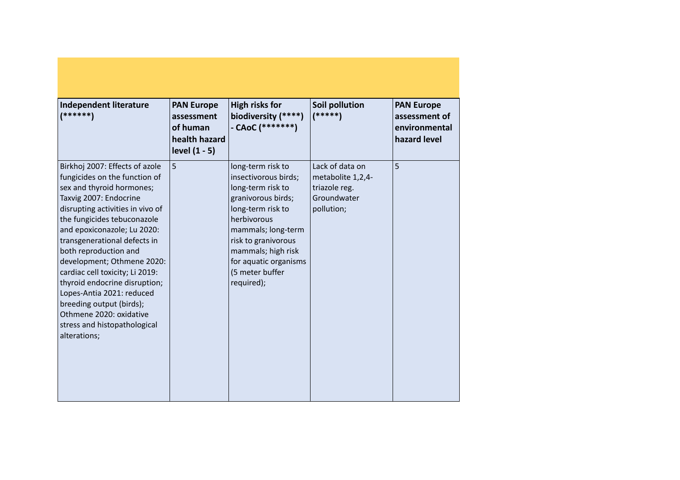| <b>Independent literature</b><br>(******)                                                                                                                                                                                                                                                                                                                                                                                                                                                                               | <b>PAN Europe</b><br>assessment<br>of human<br>health hazard<br>level $(1 - 5)$ | <b>High risks for</b><br>biodiversity (****)<br>- CAoC $(******")$                                                                                                                                                                                    | Soil pollution<br>$(*****)$                                                        | <b>PAN Europe</b><br>assessment of<br>environmental<br>hazard level |
|-------------------------------------------------------------------------------------------------------------------------------------------------------------------------------------------------------------------------------------------------------------------------------------------------------------------------------------------------------------------------------------------------------------------------------------------------------------------------------------------------------------------------|---------------------------------------------------------------------------------|-------------------------------------------------------------------------------------------------------------------------------------------------------------------------------------------------------------------------------------------------------|------------------------------------------------------------------------------------|---------------------------------------------------------------------|
| Birkhoj 2007: Effects of azole<br>fungicides on the function of<br>sex and thyroid hormones;<br>Taxvig 2007: Endocrine<br>disrupting activities in vivo of<br>the fungicides tebuconazole<br>and epoxiconazole; Lu 2020:<br>transgenerational defects in<br>both reproduction and<br>development; Othmene 2020:<br>cardiac cell toxicity; Li 2019:<br>thyroid endocrine disruption;<br>Lopes-Antia 2021: reduced<br>breeding output (birds);<br>Othmene 2020: oxidative<br>stress and histopathological<br>alterations; | 5                                                                               | long-term risk to<br>insectivorous birds;<br>long-term risk to<br>granivorous birds;<br>long-term risk to<br>herbivorous<br>mammals; long-term<br>risk to granivorous<br>mammals; high risk<br>for aquatic organisms<br>(5 meter buffer<br>required); | Lack of data on<br>metabolite 1,2,4-<br>triazole reg.<br>Groundwater<br>pollution; | 5                                                                   |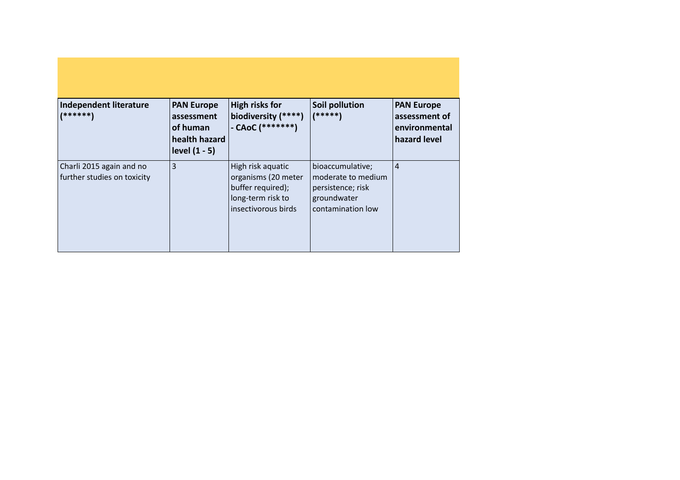| Independent literature<br>$(******)$                    | <b>PAN Europe</b><br>assessment<br>of human<br>health hazard<br>level $(1 - 5)$ | <b>High risks for</b><br>biodiversity (****)<br>- CAoC $(******")$                                        | <b>Soil pollution</b><br>(*****)                                                                | <b>PAN Europe</b><br>assessment of<br>environmental<br>hazard level |
|---------------------------------------------------------|---------------------------------------------------------------------------------|-----------------------------------------------------------------------------------------------------------|-------------------------------------------------------------------------------------------------|---------------------------------------------------------------------|
| Charli 2015 again and no<br>further studies on toxicity | $\overline{3}$                                                                  | High risk aquatic<br>organisms (20 meter<br>buffer required);<br>long-term risk to<br>insectivorous birds | bioaccumulative;<br>moderate to medium<br>persistence; risk<br>groundwater<br>contamination low | $\overline{4}$                                                      |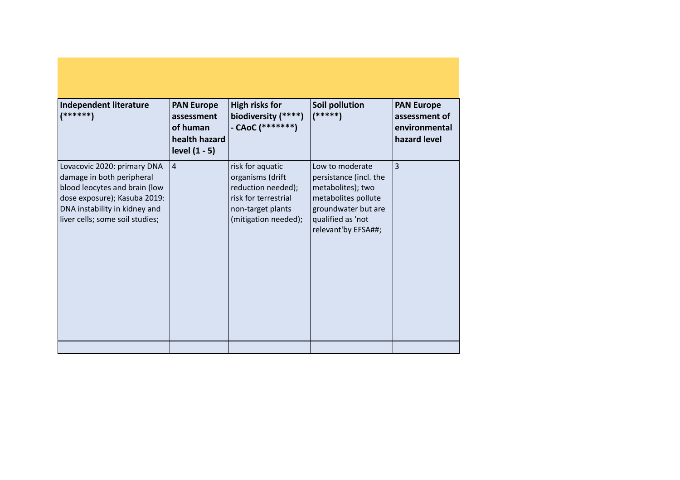| <b>Independent literature</b><br>*******                                                                                                                                                      | <b>PAN Europe</b><br>assessment<br>of human<br>health hazard<br>level $(1 - 5)$ | <b>High risks for</b><br>biodiversity (****)<br>- CAoC (*******)                                                                | Soil pollution<br>$(*****)$                                                                                                                              | <b>PAN Europe</b><br>assessment of<br>environmental<br>hazard level |
|-----------------------------------------------------------------------------------------------------------------------------------------------------------------------------------------------|---------------------------------------------------------------------------------|---------------------------------------------------------------------------------------------------------------------------------|----------------------------------------------------------------------------------------------------------------------------------------------------------|---------------------------------------------------------------------|
| Lovacovic 2020: primary DNA<br>damage in both peripheral<br>blood leocytes and brain (low<br>dose exposure); Kasuba 2019:<br>DNA instability in kidney and<br>liver cells; some soil studies; | $ 4\rangle$                                                                     | risk for aquatic<br>organisms (drift<br>reduction needed);<br>risk for terrestrial<br>non-target plants<br>(mitigation needed); | Low to moderate<br>persistance (incl. the<br>metabolites); two<br>metabolites pollute<br>groundwater but are<br>qualified as 'not<br>relevant'by EFSA##; | 3                                                                   |
|                                                                                                                                                                                               |                                                                                 |                                                                                                                                 |                                                                                                                                                          |                                                                     |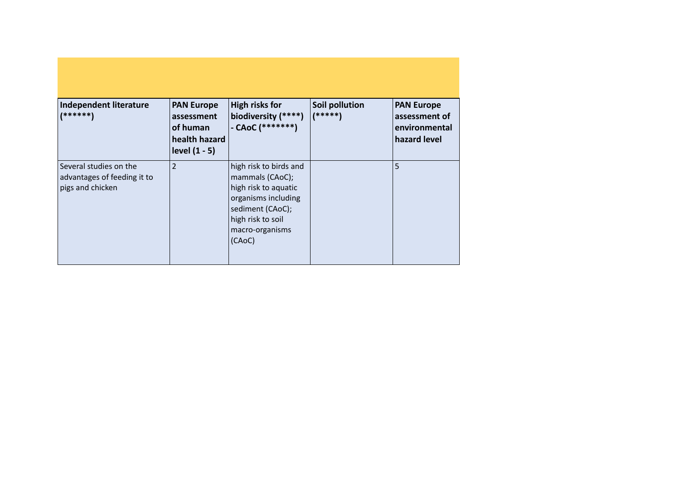| Independent literature<br>$(*)$ ******)                                   | <b>PAN Europe</b><br>assessment<br>of human<br>health hazard<br>level (1 - 5) | <b>High risks for</b><br>biodiversity (****)<br>- CAoC (*******)                                                                                               | Soil pollution<br>(*****) | <b>PAN Europe</b><br>assessment of<br>environmental<br>hazard level |
|---------------------------------------------------------------------------|-------------------------------------------------------------------------------|----------------------------------------------------------------------------------------------------------------------------------------------------------------|---------------------------|---------------------------------------------------------------------|
| Several studies on the<br>advantages of feeding it to<br>pigs and chicken | $\overline{2}$                                                                | high risk to birds and<br>mammals (CAoC);<br>high risk to aquatic<br>organisms including<br>sediment (CAoC);<br>high risk to soil<br>macro-organisms<br>(CAoC) |                           | 5                                                                   |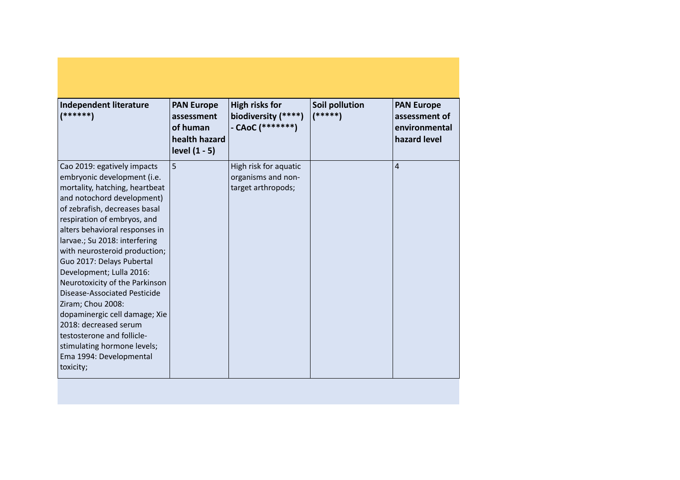| Independent literature<br>$(******)$                                                                                                                                                                                                                                                                                                                                                                                                                                                                                                                                                                          | <b>PAN Europe</b><br>assessment<br>of human<br>health hazard<br>level $(1 - 5)$ | <b>High risks for</b><br>biodiversity (****)<br>- CAoC (*******)  | Soil pollution<br>$(*****)$ | <b>PAN Europe</b><br>assessment of<br>environmental<br>hazard level |
|---------------------------------------------------------------------------------------------------------------------------------------------------------------------------------------------------------------------------------------------------------------------------------------------------------------------------------------------------------------------------------------------------------------------------------------------------------------------------------------------------------------------------------------------------------------------------------------------------------------|---------------------------------------------------------------------------------|-------------------------------------------------------------------|-----------------------------|---------------------------------------------------------------------|
| Cao 2019: egatively impacts<br>embryonic development (i.e.<br>mortality, hatching, heartbeat<br>and notochord development)<br>of zebrafish, decreases basal<br>respiration of embryos, and<br>alters behavioral responses in<br>larvae.; Su 2018: interfering<br>with neurosteroid production;<br>Guo 2017: Delays Pubertal<br>Development; Lulla 2016:<br>Neurotoxicity of the Parkinson<br>Disease-Associated Pesticide<br>Ziram; Chou 2008:<br>dopaminergic cell damage; Xie<br>2018: decreased serum<br>testosterone and follicle-<br>stimulating hormone levels;<br>Ema 1994: Developmental<br>toxicity; | 5                                                                               | High risk for aquatic<br>organisms and non-<br>target arthropods; |                             | $\overline{4}$                                                      |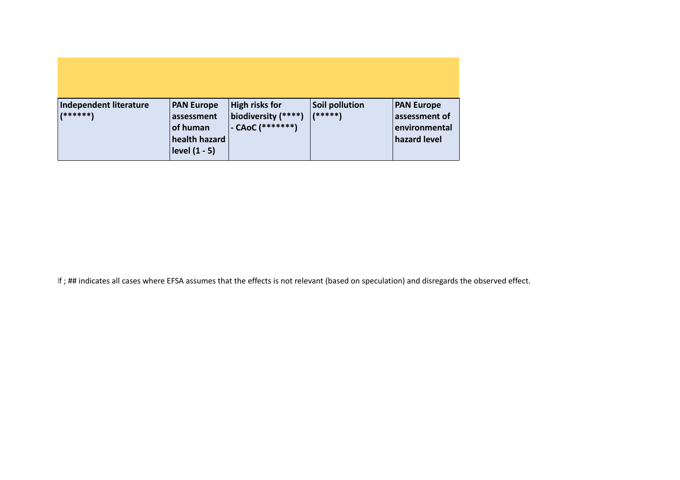| Independent literature<br>(******) | <b>PAN Europe</b><br>assessment<br>of human<br>health hazard<br>level $(1 - 5)$ | High risks for<br>$\vert$ biodiversity (****)<br>$-CAoC$ $(******")$ | Soil pollution<br>$1*****$ | <b>PAN Europe</b><br>assessment of<br>environmental<br>hazard level |
|------------------------------------|---------------------------------------------------------------------------------|----------------------------------------------------------------------|----------------------------|---------------------------------------------------------------------|

If; ## indicates all cases where EFSA assumes that the effects is not relevant (based on speculation) and disregards the observed effect.